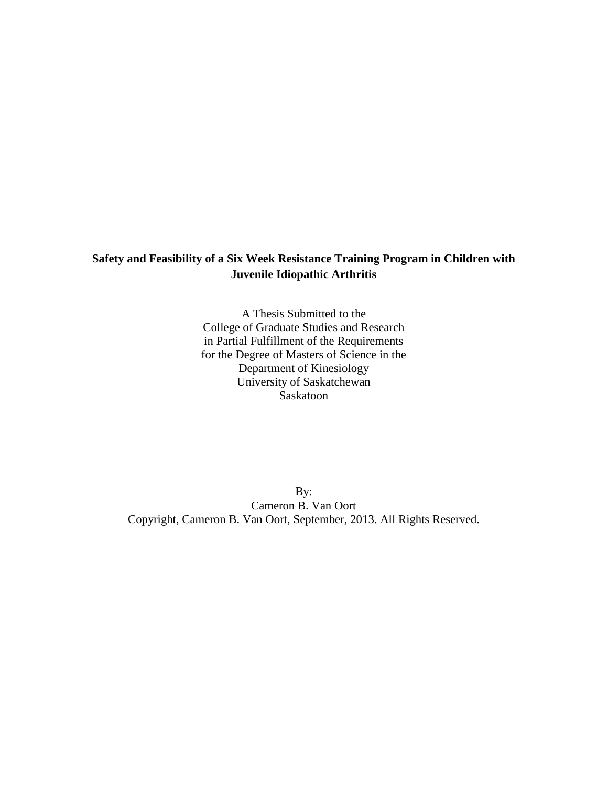# **Safety and Feasibility of a Six Week Resistance Training Program in Children with Juvenile Idiopathic Arthritis**

A Thesis Submitted to the College of Graduate Studies and Research in Partial Fulfillment of the Requirements for the Degree of Masters of Science in the Department of Kinesiology University of Saskatchewan Saskatoon

By: Cameron B. Van Oort Copyright, Cameron B. Van Oort, September, 2013. All Rights Reserved.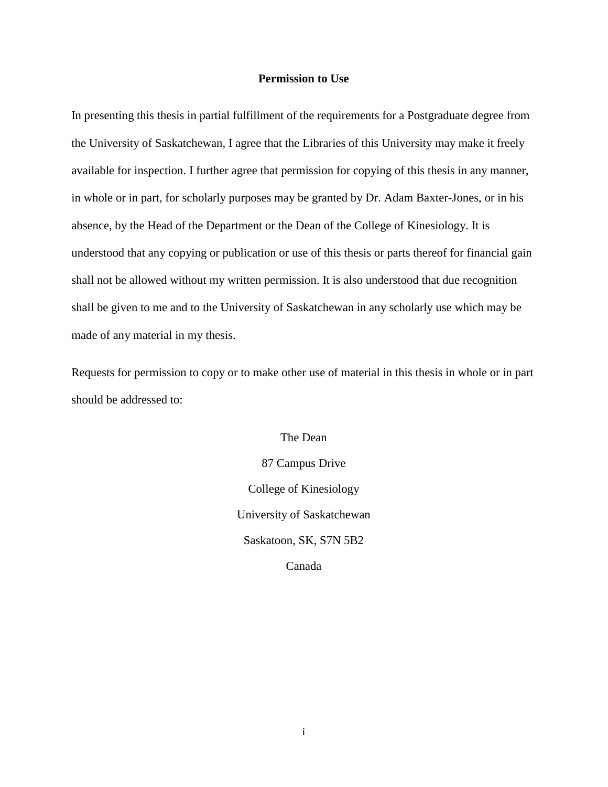# **Permission to Use**

In presenting this thesis in partial fulfillment of the requirements for a Postgraduate degree from the University of Saskatchewan, I agree that the Libraries of this University may make it freely available for inspection. I further agree that permission for copying of this thesis in any manner, in whole or in part, for scholarly purposes may be granted by Dr. Adam Baxter-Jones, or in his absence, by the Head of the Department or the Dean of the College of Kinesiology. It is understood that any copying or publication or use of this thesis or parts thereof for financial gain shall not be allowed without my written permission. It is also understood that due recognition shall be given to me and to the University of Saskatchewan in any scholarly use which may be made of any material in my thesis.

Requests for permission to copy or to make other use of material in this thesis in whole or in part should be addressed to:

> The Dean 87 Campus Drive College of Kinesiology University of Saskatchewan Saskatoon, SK, S7N 5B2 Canada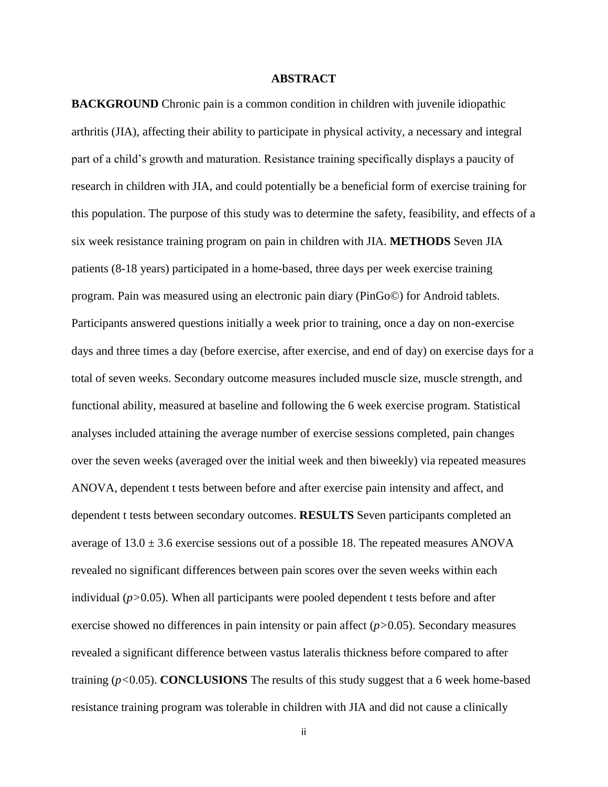# **ABSTRACT**

**BACKGROUND** Chronic pain is a common condition in children with juvenile idiopathic arthritis (JIA), affecting their ability to participate in physical activity, a necessary and integral part of a child"s growth and maturation. Resistance training specifically displays a paucity of research in children with JIA, and could potentially be a beneficial form of exercise training for this population. The purpose of this study was to determine the safety, feasibility, and effects of a six week resistance training program on pain in children with JIA. **METHODS** Seven JIA patients (8-18 years) participated in a home-based, three days per week exercise training program. Pain was measured using an electronic pain diary (PinGo©) for Android tablets. Participants answered questions initially a week prior to training, once a day on non-exercise days and three times a day (before exercise, after exercise, and end of day) on exercise days for a total of seven weeks. Secondary outcome measures included muscle size, muscle strength, and functional ability, measured at baseline and following the 6 week exercise program. Statistical analyses included attaining the average number of exercise sessions completed, pain changes over the seven weeks (averaged over the initial week and then biweekly) via repeated measures ANOVA, dependent t tests between before and after exercise pain intensity and affect, and dependent t tests between secondary outcomes. **RESULTS** Seven participants completed an average of  $13.0 \pm 3.6$  exercise sessions out of a possible 18. The repeated measures ANOVA revealed no significant differences between pain scores over the seven weeks within each individual (*p>*0.05). When all participants were pooled dependent t tests before and after exercise showed no differences in pain intensity or pain affect (*p>*0.05). Secondary measures revealed a significant difference between vastus lateralis thickness before compared to after training (*p<*0.05). **CONCLUSIONS** The results of this study suggest that a 6 week home-based resistance training program was tolerable in children with JIA and did not cause a clinically

ii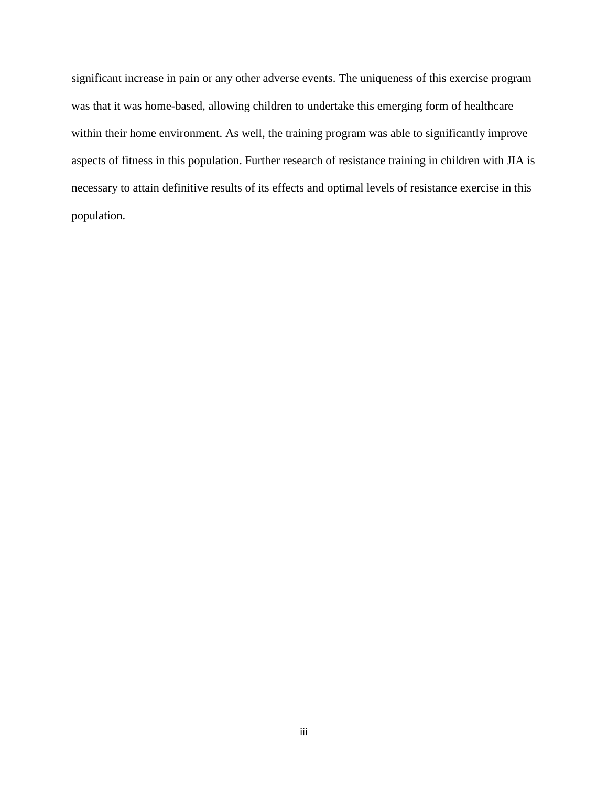significant increase in pain or any other adverse events. The uniqueness of this exercise program was that it was home-based, allowing children to undertake this emerging form of healthcare within their home environment. As well, the training program was able to significantly improve aspects of fitness in this population. Further research of resistance training in children with JIA is necessary to attain definitive results of its effects and optimal levels of resistance exercise in this population.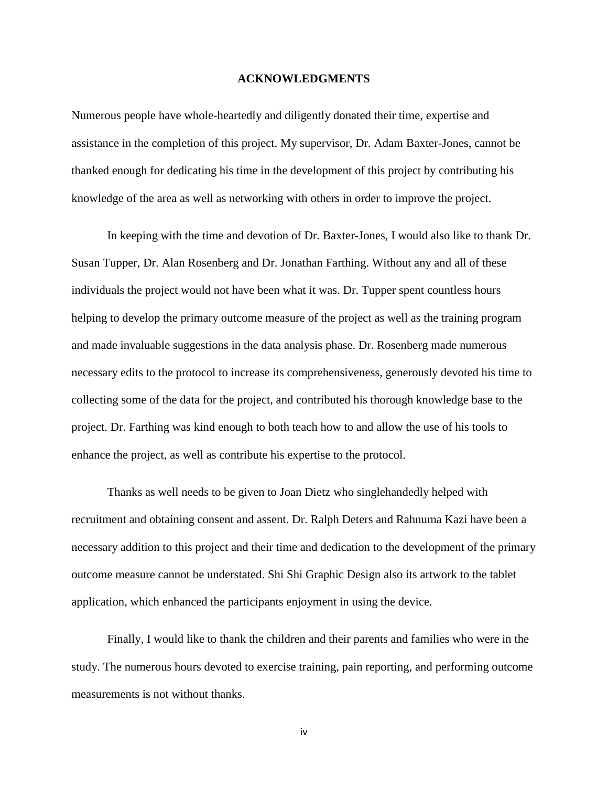#### **ACKNOWLEDGMENTS**

Numerous people have whole-heartedly and diligently donated their time, expertise and assistance in the completion of this project. My supervisor, Dr. Adam Baxter-Jones, cannot be thanked enough for dedicating his time in the development of this project by contributing his knowledge of the area as well as networking with others in order to improve the project.

In keeping with the time and devotion of Dr. Baxter-Jones, I would also like to thank Dr. Susan Tupper, Dr. Alan Rosenberg and Dr. Jonathan Farthing. Without any and all of these individuals the project would not have been what it was. Dr. Tupper spent countless hours helping to develop the primary outcome measure of the project as well as the training program and made invaluable suggestions in the data analysis phase. Dr. Rosenberg made numerous necessary edits to the protocol to increase its comprehensiveness, generously devoted his time to collecting some of the data for the project, and contributed his thorough knowledge base to the project. Dr. Farthing was kind enough to both teach how to and allow the use of his tools to enhance the project, as well as contribute his expertise to the protocol.

Thanks as well needs to be given to Joan Dietz who singlehandedly helped with recruitment and obtaining consent and assent. Dr. Ralph Deters and Rahnuma Kazi have been a necessary addition to this project and their time and dedication to the development of the primary outcome measure cannot be understated. Shi Shi Graphic Design also its artwork to the tablet application, which enhanced the participants enjoyment in using the device.

Finally, I would like to thank the children and their parents and families who were in the study. The numerous hours devoted to exercise training, pain reporting, and performing outcome measurements is not without thanks.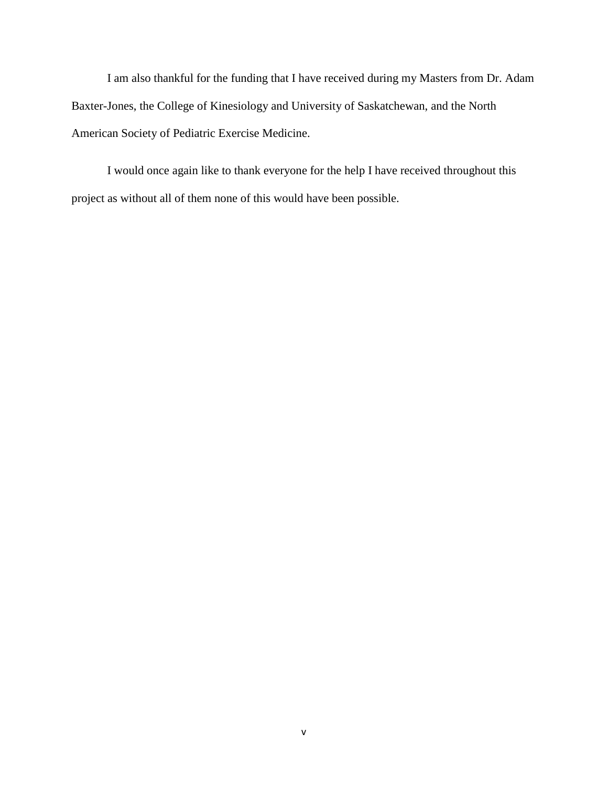I am also thankful for the funding that I have received during my Masters from Dr. Adam Baxter-Jones, the College of Kinesiology and University of Saskatchewan, and the North American Society of Pediatric Exercise Medicine.

I would once again like to thank everyone for the help I have received throughout this project as without all of them none of this would have been possible.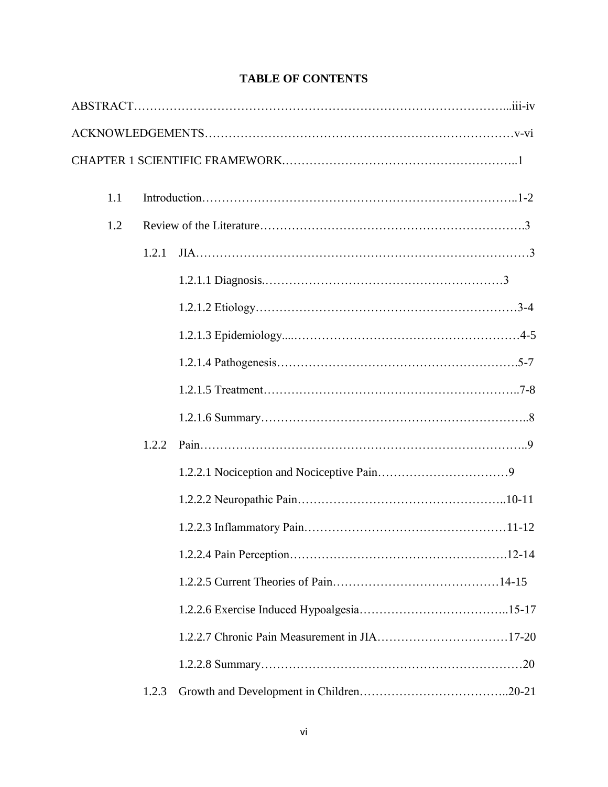| 1.1 |       |  |  |  |
|-----|-------|--|--|--|
| 1.2 |       |  |  |  |
|     | 1.2.1 |  |  |  |
|     |       |  |  |  |
|     |       |  |  |  |
|     |       |  |  |  |
|     |       |  |  |  |
|     |       |  |  |  |
|     |       |  |  |  |
|     | 1.2.2 |  |  |  |
|     |       |  |  |  |
|     |       |  |  |  |
|     |       |  |  |  |
|     |       |  |  |  |
|     |       |  |  |  |
|     |       |  |  |  |
|     |       |  |  |  |
|     |       |  |  |  |
|     | 1.2.3 |  |  |  |

# **TABLE OF CONTENTS**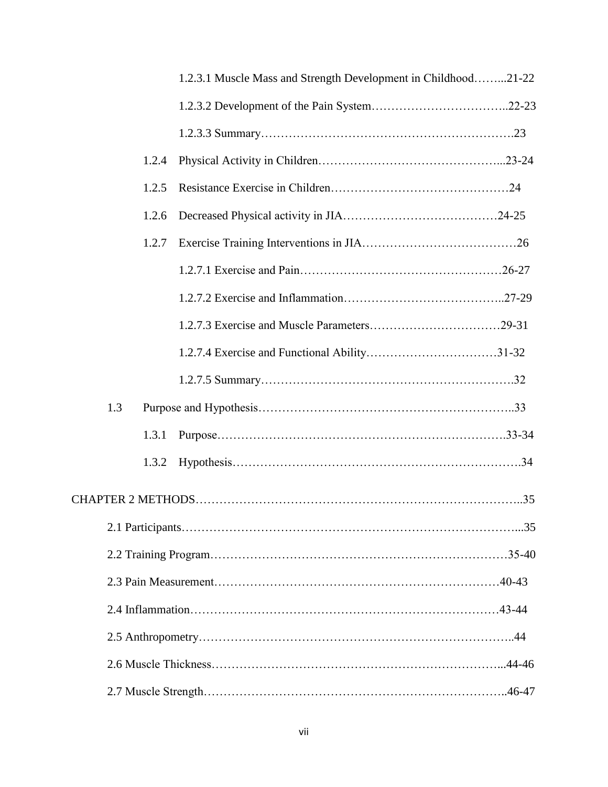|  |     |       | 1.2.3.1 Muscle Mass and Strength Development in Childhood21-22 |  |  |  |
|--|-----|-------|----------------------------------------------------------------|--|--|--|
|  |     |       |                                                                |  |  |  |
|  |     |       |                                                                |  |  |  |
|  |     | 1.2.4 |                                                                |  |  |  |
|  |     | 1.2.5 |                                                                |  |  |  |
|  |     | 1.2.6 |                                                                |  |  |  |
|  |     | 1.2.7 |                                                                |  |  |  |
|  |     |       |                                                                |  |  |  |
|  |     |       |                                                                |  |  |  |
|  |     |       |                                                                |  |  |  |
|  |     |       |                                                                |  |  |  |
|  |     |       |                                                                |  |  |  |
|  | 1.3 |       |                                                                |  |  |  |
|  |     | 1.3.1 |                                                                |  |  |  |
|  |     | 1.3.2 |                                                                |  |  |  |
|  |     |       |                                                                |  |  |  |
|  |     |       |                                                                |  |  |  |
|  |     |       |                                                                |  |  |  |
|  |     |       |                                                                |  |  |  |
|  |     |       |                                                                |  |  |  |
|  |     |       |                                                                |  |  |  |
|  |     |       |                                                                |  |  |  |
|  |     |       |                                                                |  |  |  |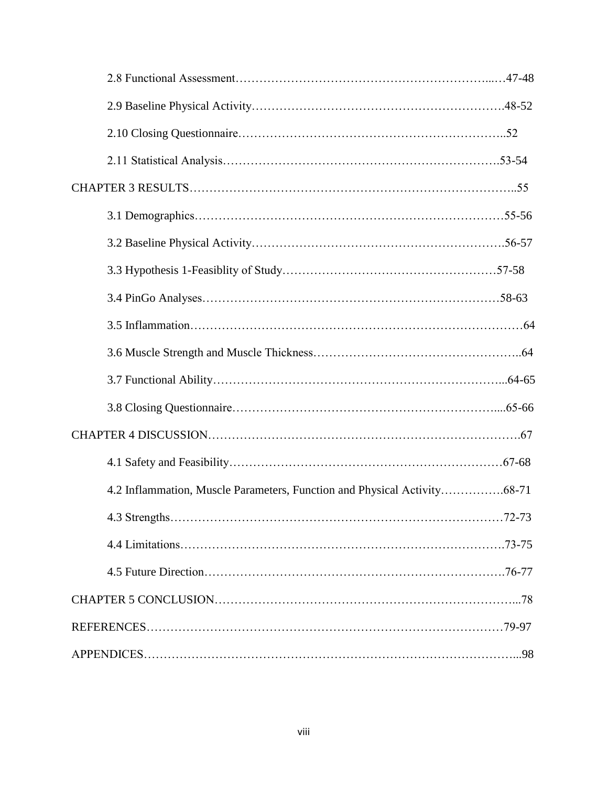| 4.2 Inflammation, Muscle Parameters, Function and Physical Activity68-71 |  |
|--------------------------------------------------------------------------|--|
|                                                                          |  |
|                                                                          |  |
|                                                                          |  |
|                                                                          |  |
|                                                                          |  |
|                                                                          |  |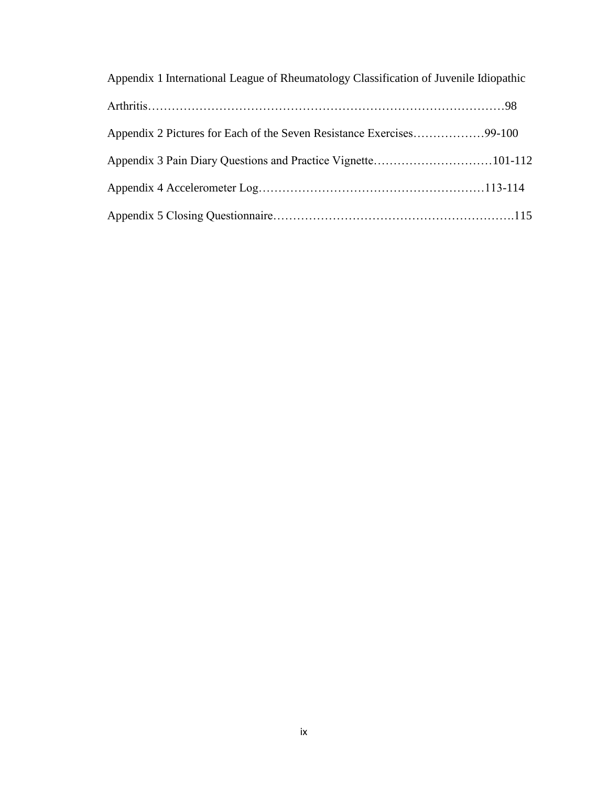| Appendix 1 International League of Rheumatology Classification of Juvenile Idiopathic |  |
|---------------------------------------------------------------------------------------|--|
|                                                                                       |  |
| Appendix 2 Pictures for Each of the Seven Resistance Exercises99-100                  |  |
|                                                                                       |  |
|                                                                                       |  |
|                                                                                       |  |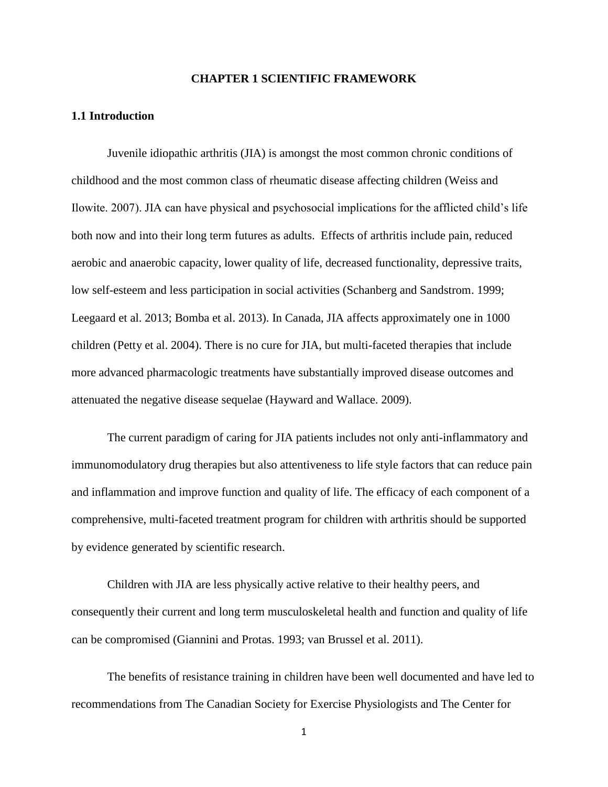#### **CHAPTER 1 SCIENTIFIC FRAMEWORK**

## **1.1 Introduction**

Juvenile idiopathic arthritis (JIA) is amongst the most common chronic conditions of childhood and the most common class of rheumatic disease affecting children (Weiss and Ilowite. 2007). JIA can have physical and psychosocial implications for the afflicted child"s life both now and into their long term futures as adults. Effects of arthritis include pain, reduced aerobic and anaerobic capacity, lower quality of life, decreased functionality, depressive traits, low self-esteem and less participation in social activities (Schanberg and Sandstrom. 1999; Leegaard et al. 2013; Bomba et al. 2013). In Canada, JIA affects approximately one in 1000 children (Petty et al. 2004). There is no cure for JIA, but multi-faceted therapies that include more advanced pharmacologic treatments have substantially improved disease outcomes and attenuated the negative disease sequelae (Hayward and Wallace. 2009).

The current paradigm of caring for JIA patients includes not only anti-inflammatory and immunomodulatory drug therapies but also attentiveness to life style factors that can reduce pain and inflammation and improve function and quality of life. The efficacy of each component of a comprehensive, multi-faceted treatment program for children with arthritis should be supported by evidence generated by scientific research.

Children with JIA are less physically active relative to their healthy peers, and consequently their current and long term musculoskeletal health and function and quality of life can be compromised (Giannini and Protas. 1993; van Brussel et al. 2011).

The benefits of resistance training in children have been well documented and have led to recommendations from The Canadian Society for Exercise Physiologists and The Center for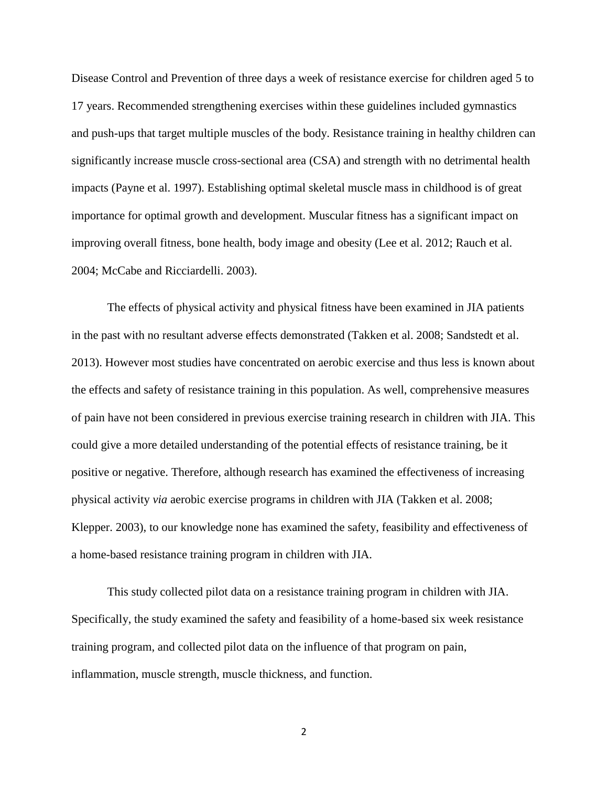Disease Control and Prevention of three days a week of resistance exercise for children aged 5 to 17 years. Recommended strengthening exercises within these guidelines included gymnastics and push-ups that target multiple muscles of the body. Resistance training in healthy children can significantly increase muscle cross-sectional area (CSA) and strength with no detrimental health impacts (Payne et al. 1997). Establishing optimal skeletal muscle mass in childhood is of great importance for optimal growth and development. Muscular fitness has a significant impact on improving overall fitness, bone health, body image and obesity (Lee et al. 2012; Rauch et al. 2004; McCabe and Ricciardelli. 2003).

The effects of physical activity and physical fitness have been examined in JIA patients in the past with no resultant adverse effects demonstrated (Takken et al. 2008; Sandstedt et al. 2013). However most studies have concentrated on aerobic exercise and thus less is known about the effects and safety of resistance training in this population. As well, comprehensive measures of pain have not been considered in previous exercise training research in children with JIA. This could give a more detailed understanding of the potential effects of resistance training, be it positive or negative. Therefore, although research has examined the effectiveness of increasing physical activity *via* aerobic exercise programs in children with JIA (Takken et al. 2008; Klepper. 2003), to our knowledge none has examined the safety, feasibility and effectiveness of a home-based resistance training program in children with JIA.

This study collected pilot data on a resistance training program in children with JIA. Specifically, the study examined the safety and feasibility of a home-based six week resistance training program, and collected pilot data on the influence of that program on pain, inflammation, muscle strength, muscle thickness, and function.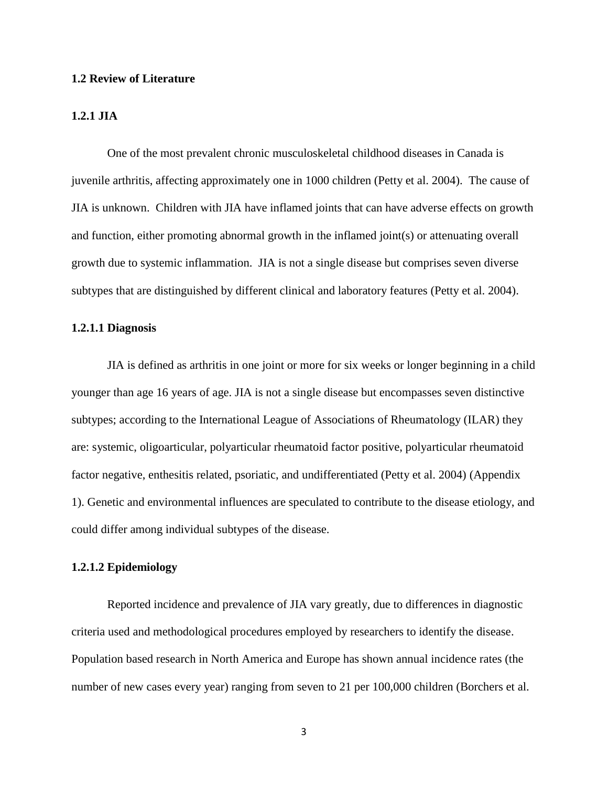#### **1.2 Review of Literature**

## **1.2.1 JIA**

One of the most prevalent chronic musculoskeletal childhood diseases in Canada is juvenile arthritis, affecting approximately one in 1000 children (Petty et al. 2004). The cause of JIA is unknown. Children with JIA have inflamed joints that can have adverse effects on growth and function, either promoting abnormal growth in the inflamed joint(s) or attenuating overall growth due to systemic inflammation. JIA is not a single disease but comprises seven diverse subtypes that are distinguished by different clinical and laboratory features (Petty et al. 2004).

## **1.2.1.1 Diagnosis**

JIA is defined as arthritis in one joint or more for six weeks or longer beginning in a child younger than age 16 years of age. JIA is not a single disease but encompasses seven distinctive subtypes; according to the International League of Associations of Rheumatology (ILAR) they are: systemic, oligoarticular, polyarticular rheumatoid factor positive, polyarticular rheumatoid factor negative, enthesitis related, psoriatic, and undifferentiated (Petty et al. 2004) (Appendix 1). Genetic and environmental influences are speculated to contribute to the disease etiology, and could differ among individual subtypes of the disease.

## **1.2.1.2 Epidemiology**

Reported incidence and prevalence of JIA vary greatly, due to differences in diagnostic criteria used and methodological procedures employed by researchers to identify the disease. Population based research in North America and Europe has shown annual incidence rates (the number of new cases every year) ranging from seven to 21 per 100,000 children (Borchers et al.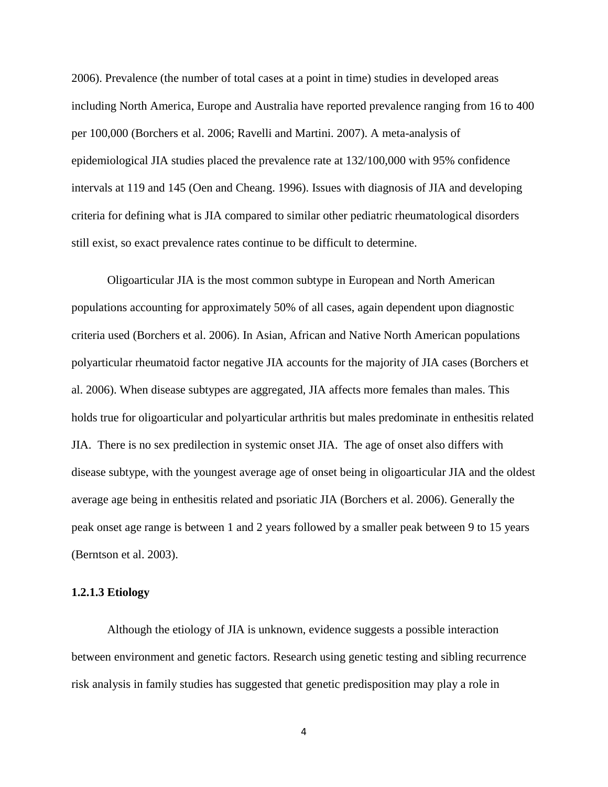2006). Prevalence (the number of total cases at a point in time) studies in developed areas including North America, Europe and Australia have reported prevalence ranging from 16 to 400 per 100,000 (Borchers et al. 2006; Ravelli and Martini. 2007). A meta-analysis of epidemiological JIA studies placed the prevalence rate at 132/100,000 with 95% confidence intervals at 119 and 145 (Oen and Cheang. 1996). Issues with diagnosis of JIA and developing criteria for defining what is JIA compared to similar other pediatric rheumatological disorders still exist, so exact prevalence rates continue to be difficult to determine.

Oligoarticular JIA is the most common subtype in European and North American populations accounting for approximately 50% of all cases, again dependent upon diagnostic criteria used (Borchers et al. 2006). In Asian, African and Native North American populations polyarticular rheumatoid factor negative JIA accounts for the majority of JIA cases (Borchers et al. 2006). When disease subtypes are aggregated, JIA affects more females than males. This holds true for oligoarticular and polyarticular arthritis but males predominate in enthesitis related JIA. There is no sex predilection in systemic onset JIA. The age of onset also differs with disease subtype, with the youngest average age of onset being in oligoarticular JIA and the oldest average age being in enthesitis related and psoriatic JIA (Borchers et al. 2006). Generally the peak onset age range is between 1 and 2 years followed by a smaller peak between 9 to 15 years (Berntson et al. 2003).

## **1.2.1.3 Etiology**

Although the etiology of JIA is unknown, evidence suggests a possible interaction between environment and genetic factors. Research using genetic testing and sibling recurrence risk analysis in family studies has suggested that genetic predisposition may play a role in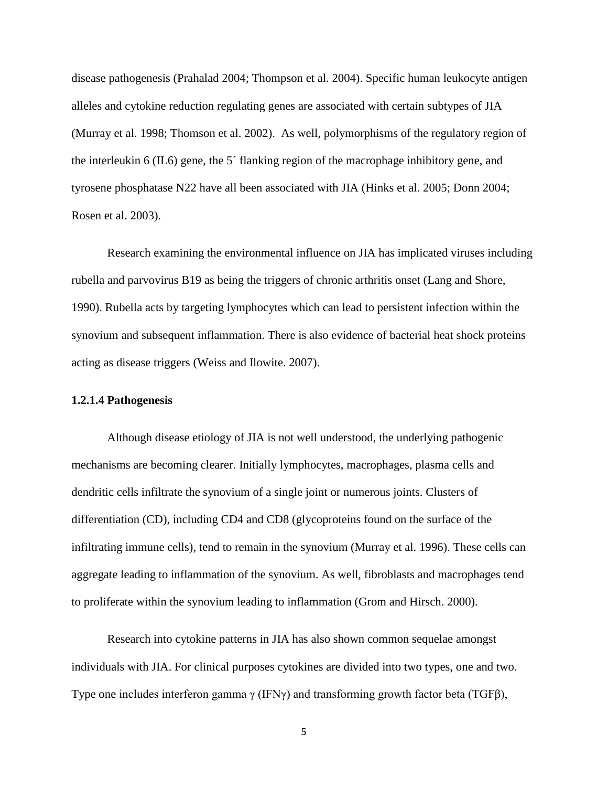disease pathogenesis (Prahalad 2004; Thompson et al. 2004). Specific human leukocyte antigen alleles and cytokine reduction regulating genes are associated with certain subtypes of JIA (Murray et al. 1998; Thomson et al. 2002). As well, polymorphisms of the regulatory region of the interleukin 6 (IL6) gene, the 5´ flanking region of the macrophage inhibitory gene, and tyrosene phosphatase N22 have all been associated with JIA (Hinks et al. 2005; Donn 2004; Rosen et al. 2003).

Research examining the environmental influence on JIA has implicated viruses including rubella and parvovirus B19 as being the triggers of chronic arthritis onset (Lang and Shore, 1990). Rubella acts by targeting lymphocytes which can lead to persistent infection within the synovium and subsequent inflammation. There is also evidence of bacterial heat shock proteins acting as disease triggers (Weiss and Ilowite. 2007).

## **1.2.1.4 Pathogenesis**

Although disease etiology of JIA is not well understood, the underlying pathogenic mechanisms are becoming clearer. Initially lymphocytes, macrophages, plasma cells and dendritic cells infiltrate the synovium of a single joint or numerous joints. Clusters of differentiation (CD), including CD4 and CD8 (glycoproteins found on the surface of the infiltrating immune cells), tend to remain in the synovium (Murray et al. 1996). These cells can aggregate leading to inflammation of the synovium. As well, fibroblasts and macrophages tend to proliferate within the synovium leading to inflammation (Grom and Hirsch. 2000).

Research into cytokine patterns in JIA has also shown common sequelae amongst individuals with JIA. For clinical purposes cytokines are divided into two types, one and two. Type one includes interferon gamma γ (IFNγ) and transforming growth factor beta (TGFβ),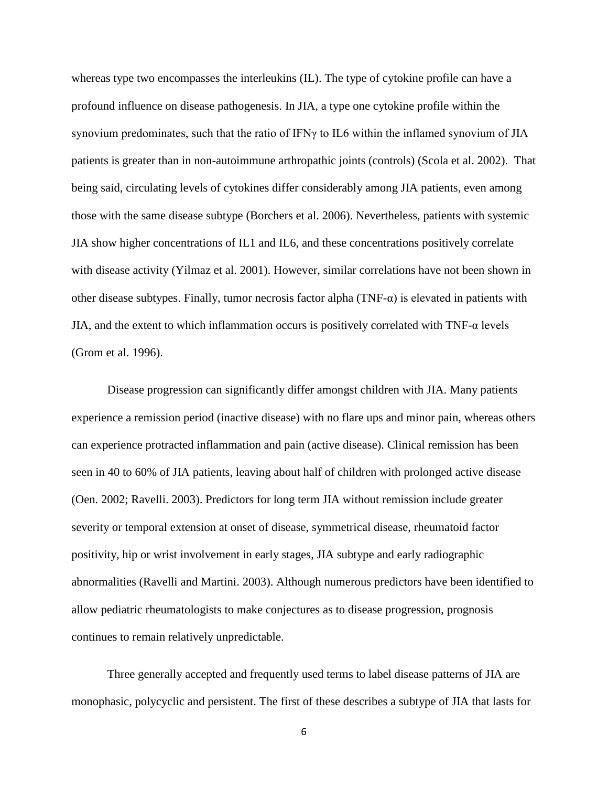whereas type two encompasses the interleukins (IL). The type of cytokine profile can have a profound influence on disease pathogenesis. In JIA, a type one cytokine profile within the synovium predominates, such that the ratio of IFNγ to IL6 within the inflamed synovium of JIA patients is greater than in non-autoimmune arthropathic joints (controls) (Scola et al. 2002). That being said, circulating levels of cytokines differ considerably among JIA patients, even among those with the same disease subtype (Borchers et al. 2006). Nevertheless, patients with systemic JIA show higher concentrations of IL1 and IL6, and these concentrations positively correlate with disease activity (Yilmaz et al. 2001). However, similar correlations have not been shown in other disease subtypes. Finally, tumor necrosis factor alpha  $(TNF-\alpha)$  is elevated in patients with JIA, and the extent to which inflammation occurs is positively correlated with  $TNF-\alpha$  levels (Grom et al. 1996).

Disease progression can significantly differ amongst children with JIA. Many patients experience a remission period (inactive disease) with no flare ups and minor pain, whereas others can experience protracted inflammation and pain (active disease). Clinical remission has been seen in 40 to 60% of JIA patients, leaving about half of children with prolonged active disease (Oen. 2002; Ravelli. 2003). Predictors for long term JIA without remission include greater severity or temporal extension at onset of disease, symmetrical disease, rheumatoid factor positivity, hip or wrist involvement in early stages, JIA subtype and early radiographic abnormalities (Ravelli and Martini. 2003). Although numerous predictors have been identified to allow pediatric rheumatologists to make conjectures as to disease progression, prognosis continues to remain relatively unpredictable.

Three generally accepted and frequently used terms to label disease patterns of JIA are monophasic, polycyclic and persistent. The first of these describes a subtype of JIA that lasts for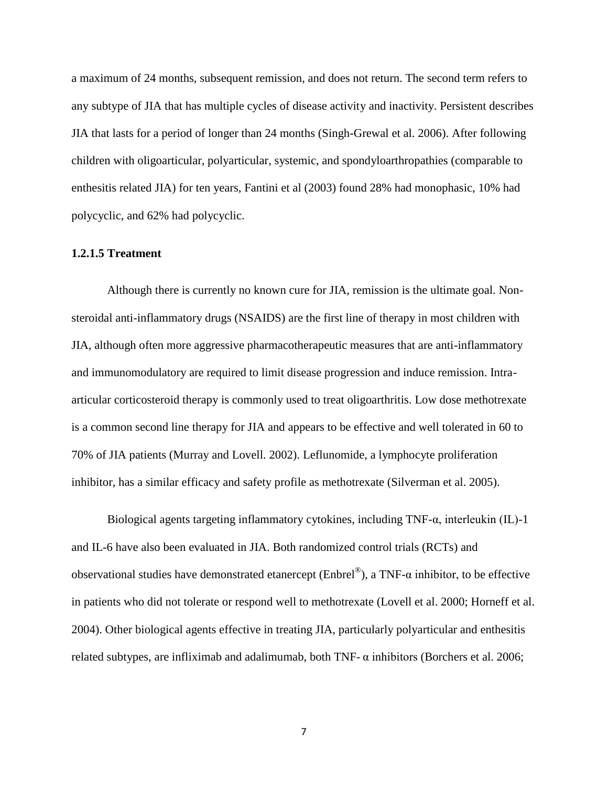a maximum of 24 months, subsequent remission, and does not return. The second term refers to any subtype of JIA that has multiple cycles of disease activity and inactivity. Persistent describes JIA that lasts for a period of longer than 24 months (Singh-Grewal et al. 2006). After following children with oligoarticular, polyarticular, systemic, and spondyloarthropathies (comparable to enthesitis related JIA) for ten years, Fantini et al (2003) found 28% had monophasic, 10% had polycyclic, and 62% had polycyclic.

# **1.2.1.5 Treatment**

Although there is currently no known cure for JIA, remission is the ultimate goal. Nonsteroidal anti-inflammatory drugs (NSAIDS) are the first line of therapy in most children with JIA, although often more aggressive pharmacotherapeutic measures that are anti-inflammatory and immunomodulatory are required to limit disease progression and induce remission. Intraarticular corticosteroid therapy is commonly used to treat oligoarthritis. Low dose methotrexate is a common second line therapy for JIA and appears to be effective and well tolerated in 60 to 70% of JIA patients (Murray and Lovell. 2002). Leflunomide, a lymphocyte proliferation inhibitor, has a similar efficacy and safety profile as methotrexate (Silverman et al. 2005).

Biological agents targeting inflammatory cytokines, including TNF-α, interleukin (IL)-1 and IL-6 have also been evaluated in JIA. Both randomized control trials (RCTs) and observational studies have demonstrated etanercept (Enbrel®), a TNF- $\alpha$  inhibitor, to be effective in patients who did not tolerate or respond well to methotrexate (Lovell et al. 2000; Horneff et al. 2004). Other biological agents effective in treating JIA, particularly polyarticular and enthesitis related subtypes, are infliximab and adalimumab, both TNF-  $\alpha$  inhibitors (Borchers et al. 2006;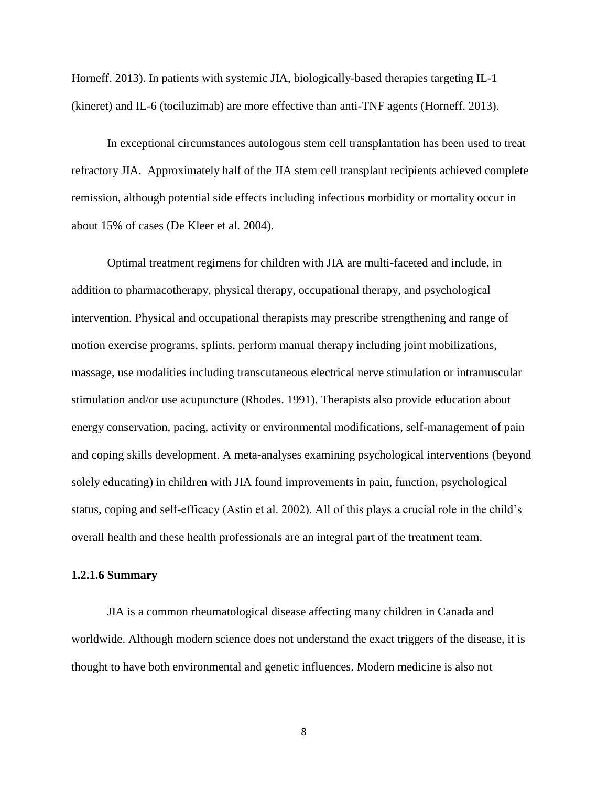Horneff. 2013). In patients with systemic JIA, biologically-based therapies targeting IL-1 (kineret) and IL-6 (tociluzimab) are more effective than anti-TNF agents (Horneff. 2013).

In exceptional circumstances autologous stem cell transplantation has been used to treat refractory JIA. Approximately half of the JIA stem cell transplant recipients achieved complete remission, although potential side effects including infectious morbidity or mortality occur in about 15% of cases (De Kleer et al. 2004).

Optimal treatment regimens for children with JIA are multi-faceted and include, in addition to pharmacotherapy, physical therapy, occupational therapy, and psychological intervention. Physical and occupational therapists may prescribe strengthening and range of motion exercise programs, splints, perform manual therapy including joint mobilizations, massage, use modalities including transcutaneous electrical nerve stimulation or intramuscular stimulation and/or use acupuncture (Rhodes. 1991). Therapists also provide education about energy conservation, pacing, activity or environmental modifications, self-management of pain and coping skills development. A meta-analyses examining psychological interventions (beyond solely educating) in children with JIA found improvements in pain, function, psychological status, coping and self-efficacy (Astin et al. 2002). All of this plays a crucial role in the child"s overall health and these health professionals are an integral part of the treatment team.

## **1.2.1.6 Summary**

JIA is a common rheumatological disease affecting many children in Canada and worldwide. Although modern science does not understand the exact triggers of the disease, it is thought to have both environmental and genetic influences. Modern medicine is also not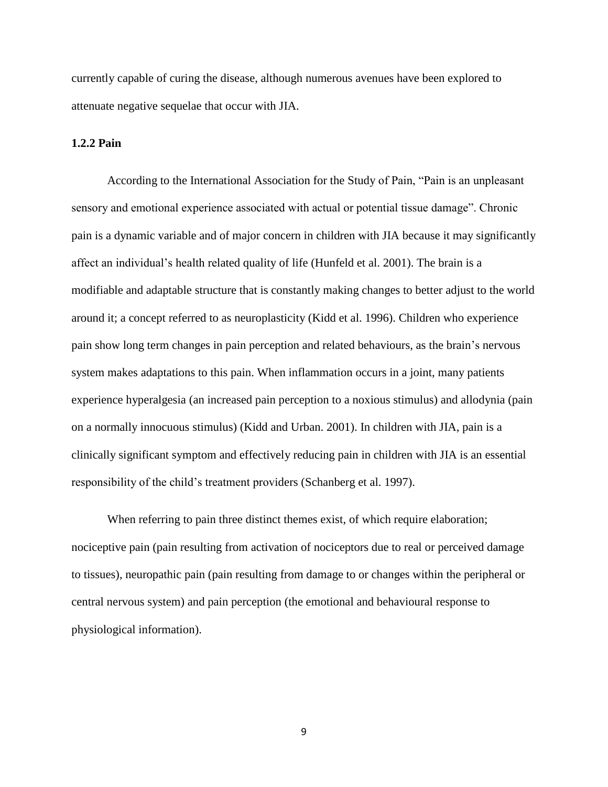currently capable of curing the disease, although numerous avenues have been explored to attenuate negative sequelae that occur with JIA.

## **1.2.2 Pain**

According to the International Association for the Study of Pain, "Pain is an unpleasant sensory and emotional experience associated with actual or potential tissue damage". Chronic pain is a dynamic variable and of major concern in children with JIA because it may significantly affect an individual"s health related quality of life (Hunfeld et al. 2001). The brain is a modifiable and adaptable structure that is constantly making changes to better adjust to the world around it; a concept referred to as neuroplasticity (Kidd et al. 1996). Children who experience pain show long term changes in pain perception and related behaviours, as the brain"s nervous system makes adaptations to this pain. When inflammation occurs in a joint, many patients experience hyperalgesia (an increased pain perception to a noxious stimulus) and allodynia (pain on a normally innocuous stimulus) (Kidd and Urban. 2001). In children with JIA, pain is a clinically significant symptom and effectively reducing pain in children with JIA is an essential responsibility of the child"s treatment providers (Schanberg et al. 1997).

When referring to pain three distinct themes exist, of which require elaboration; nociceptive pain (pain resulting from activation of nociceptors due to real or perceived damage to tissues), neuropathic pain (pain resulting from damage to or changes within the peripheral or central nervous system) and pain perception (the emotional and behavioural response to physiological information).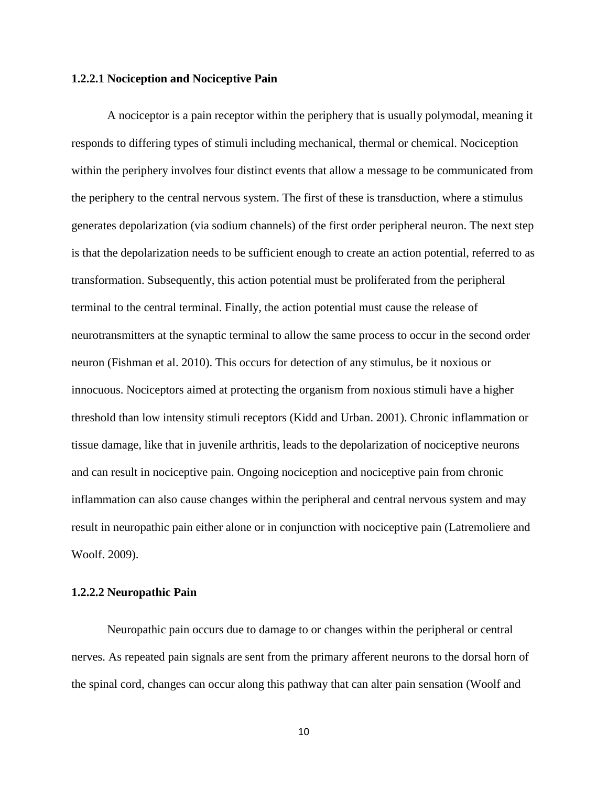## **1.2.2.1 Nociception and Nociceptive Pain**

A nociceptor is a pain receptor within the periphery that is usually polymodal, meaning it responds to differing types of stimuli including mechanical, thermal or chemical. Nociception within the periphery involves four distinct events that allow a message to be communicated from the periphery to the central nervous system. The first of these is transduction, where a stimulus generates depolarization (via sodium channels) of the first order peripheral neuron. The next step is that the depolarization needs to be sufficient enough to create an action potential, referred to as transformation. Subsequently, this action potential must be proliferated from the peripheral terminal to the central terminal. Finally, the action potential must cause the release of neurotransmitters at the synaptic terminal to allow the same process to occur in the second order neuron (Fishman et al. 2010). This occurs for detection of any stimulus, be it noxious or innocuous. Nociceptors aimed at protecting the organism from noxious stimuli have a higher threshold than low intensity stimuli receptors (Kidd and Urban. 2001). Chronic inflammation or tissue damage, like that in juvenile arthritis, leads to the depolarization of nociceptive neurons and can result in nociceptive pain. Ongoing nociception and nociceptive pain from chronic inflammation can also cause changes within the peripheral and central nervous system and may result in neuropathic pain either alone or in conjunction with nociceptive pain (Latremoliere and Woolf. 2009).

## **1.2.2.2 Neuropathic Pain**

Neuropathic pain occurs due to damage to or changes within the peripheral or central nerves. As repeated pain signals are sent from the primary afferent neurons to the dorsal horn of the spinal cord, changes can occur along this pathway that can alter pain sensation (Woolf and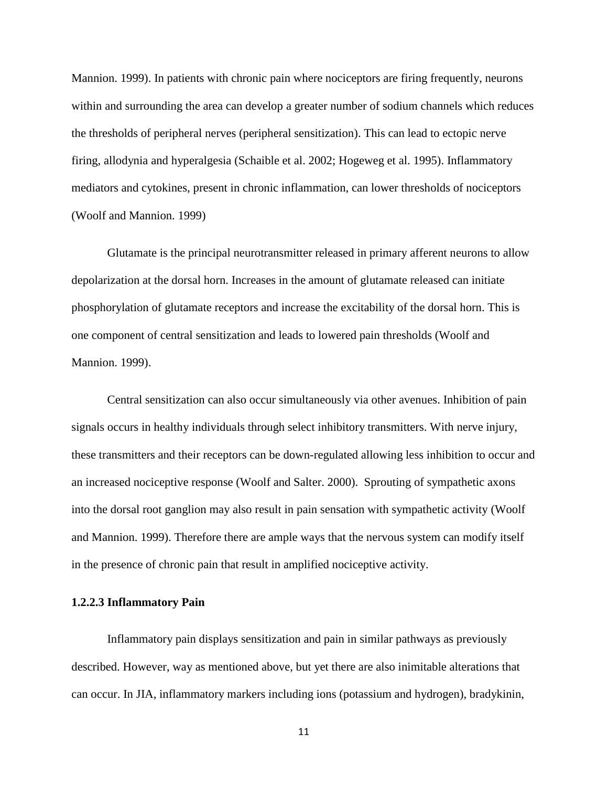Mannion. 1999). In patients with chronic pain where nociceptors are firing frequently, neurons within and surrounding the area can develop a greater number of sodium channels which reduces the thresholds of peripheral nerves (peripheral sensitization). This can lead to ectopic nerve firing, allodynia and hyperalgesia (Schaible et al. 2002; Hogeweg et al. 1995). Inflammatory mediators and cytokines, present in chronic inflammation, can lower thresholds of nociceptors (Woolf and Mannion. 1999)

Glutamate is the principal neurotransmitter released in primary afferent neurons to allow depolarization at the dorsal horn. Increases in the amount of glutamate released can initiate phosphorylation of glutamate receptors and increase the excitability of the dorsal horn. This is one component of central sensitization and leads to lowered pain thresholds (Woolf and Mannion. 1999).

Central sensitization can also occur simultaneously via other avenues. Inhibition of pain signals occurs in healthy individuals through select inhibitory transmitters. With nerve injury, these transmitters and their receptors can be down-regulated allowing less inhibition to occur and an increased nociceptive response (Woolf and Salter. 2000). Sprouting of sympathetic axons into the dorsal root ganglion may also result in pain sensation with sympathetic activity (Woolf and Mannion. 1999). Therefore there are ample ways that the nervous system can modify itself in the presence of chronic pain that result in amplified nociceptive activity.

## **1.2.2.3 Inflammatory Pain**

Inflammatory pain displays sensitization and pain in similar pathways as previously described. However, way as mentioned above, but yet there are also inimitable alterations that can occur. In JIA, inflammatory markers including ions (potassium and hydrogen), bradykinin,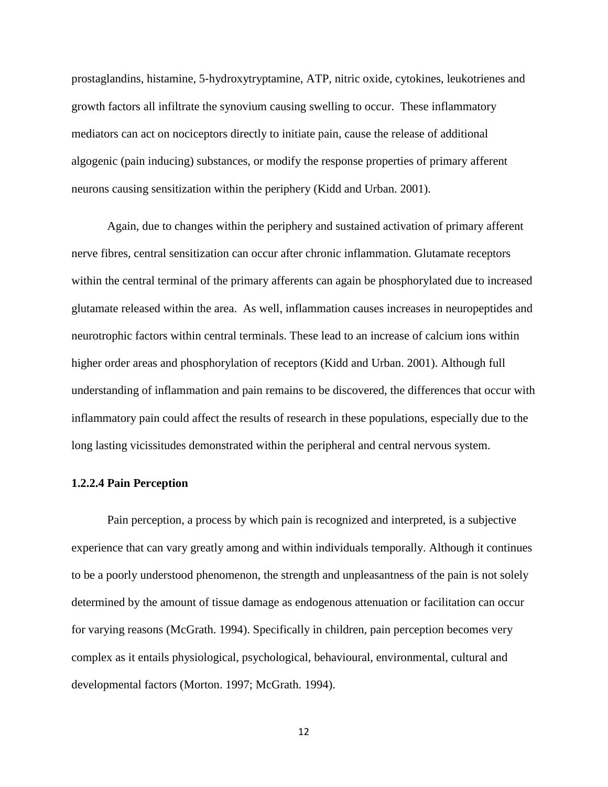prostaglandins, histamine, 5‐hydroxytryptamine, ATP, nitric oxide, cytokines, leukotrienes and growth factors all infiltrate the synovium causing swelling to occur. These inflammatory mediators can act on nociceptors directly to initiate pain, cause the release of additional algogenic (pain inducing) substances, or modify the response properties of primary afferent neurons causing sensitization within the periphery (Kidd and Urban. 2001).

Again, due to changes within the periphery and sustained activation of primary afferent nerve fibres, central sensitization can occur after chronic inflammation. Glutamate receptors within the central terminal of the primary afferents can again be phosphorylated due to increased glutamate released within the area. As well, inflammation causes increases in neuropeptides and neurotrophic factors within central terminals. These lead to an increase of calcium ions within higher order areas and phosphorylation of receptors (Kidd and Urban. 2001). Although full understanding of inflammation and pain remains to be discovered, the differences that occur with inflammatory pain could affect the results of research in these populations, especially due to the long lasting vicissitudes demonstrated within the peripheral and central nervous system.

## **1.2.2.4 Pain Perception**

Pain perception, a process by which pain is recognized and interpreted, is a subjective experience that can vary greatly among and within individuals temporally. Although it continues to be a poorly understood phenomenon, the strength and unpleasantness of the pain is not solely determined by the amount of tissue damage as endogenous attenuation or facilitation can occur for varying reasons (McGrath. 1994). Specifically in children, pain perception becomes very complex as it entails physiological, psychological, behavioural, environmental, cultural and developmental factors (Morton. 1997; McGrath. 1994).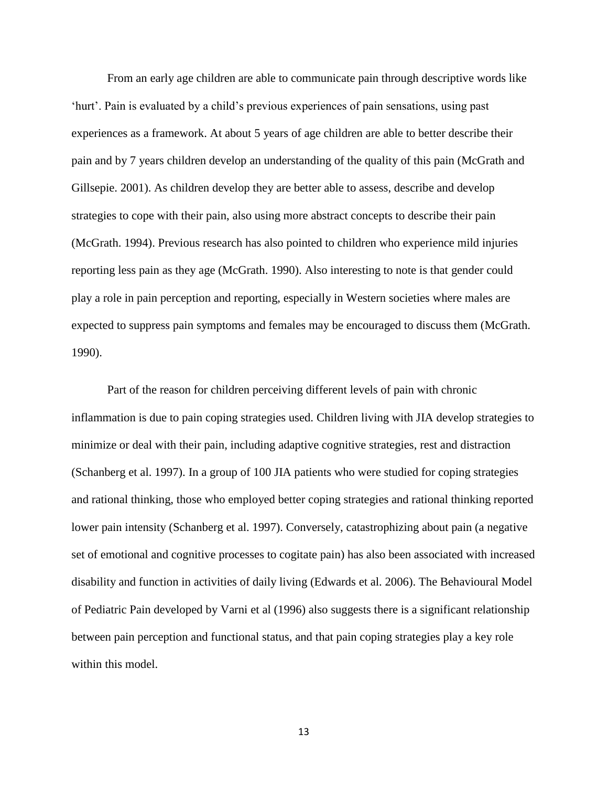From an early age children are able to communicate pain through descriptive words like "hurt". Pain is evaluated by a child"s previous experiences of pain sensations, using past experiences as a framework. At about 5 years of age children are able to better describe their pain and by 7 years children develop an understanding of the quality of this pain (McGrath and Gillsepie. 2001). As children develop they are better able to assess, describe and develop strategies to cope with their pain, also using more abstract concepts to describe their pain (McGrath. 1994). Previous research has also pointed to children who experience mild injuries reporting less pain as they age (McGrath. 1990). Also interesting to note is that gender could play a role in pain perception and reporting, especially in Western societies where males are expected to suppress pain symptoms and females may be encouraged to discuss them (McGrath. 1990).

Part of the reason for children perceiving different levels of pain with chronic inflammation is due to pain coping strategies used. Children living with JIA develop strategies to minimize or deal with their pain, including adaptive cognitive strategies, rest and distraction (Schanberg et al. 1997). In a group of 100 JIA patients who were studied for coping strategies and rational thinking, those who employed better coping strategies and rational thinking reported lower pain intensity (Schanberg et al. 1997). Conversely, catastrophizing about pain (a negative set of emotional and cognitive processes to cogitate pain) has also been associated with increased disability and function in activities of daily living (Edwards et al. 2006). The Behavioural Model of Pediatric Pain developed by Varni et al (1996) also suggests there is a significant relationship between pain perception and functional status, and that pain coping strategies play a key role within this model.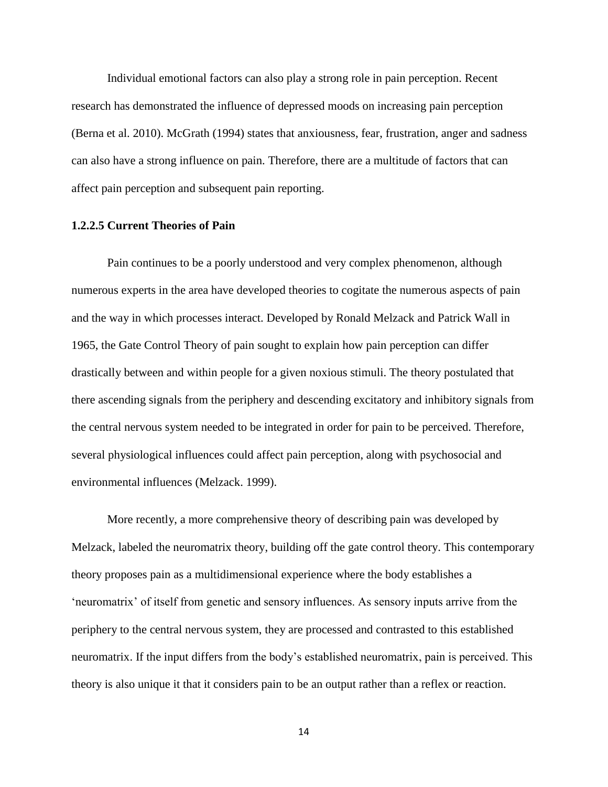Individual emotional factors can also play a strong role in pain perception. Recent research has demonstrated the influence of depressed moods on increasing pain perception (Berna et al. 2010). McGrath (1994) states that anxiousness, fear, frustration, anger and sadness can also have a strong influence on pain. Therefore, there are a multitude of factors that can affect pain perception and subsequent pain reporting.

# **1.2.2.5 Current Theories of Pain**

Pain continues to be a poorly understood and very complex phenomenon, although numerous experts in the area have developed theories to cogitate the numerous aspects of pain and the way in which processes interact. Developed by Ronald Melzack and Patrick Wall in 1965, the Gate Control Theory of pain sought to explain how pain perception can differ drastically between and within people for a given noxious stimuli. The theory postulated that there ascending signals from the periphery and descending excitatory and inhibitory signals from the central nervous system needed to be integrated in order for pain to be perceived. Therefore, several physiological influences could affect pain perception, along with psychosocial and environmental influences (Melzack. 1999).

More recently, a more comprehensive theory of describing pain was developed by Melzack, labeled the neuromatrix theory, building off the gate control theory. This contemporary theory proposes pain as a multidimensional experience where the body establishes a "neuromatrix" of itself from genetic and sensory influences. As sensory inputs arrive from the periphery to the central nervous system, they are processed and contrasted to this established neuromatrix. If the input differs from the body"s established neuromatrix, pain is perceived. This theory is also unique it that it considers pain to be an output rather than a reflex or reaction.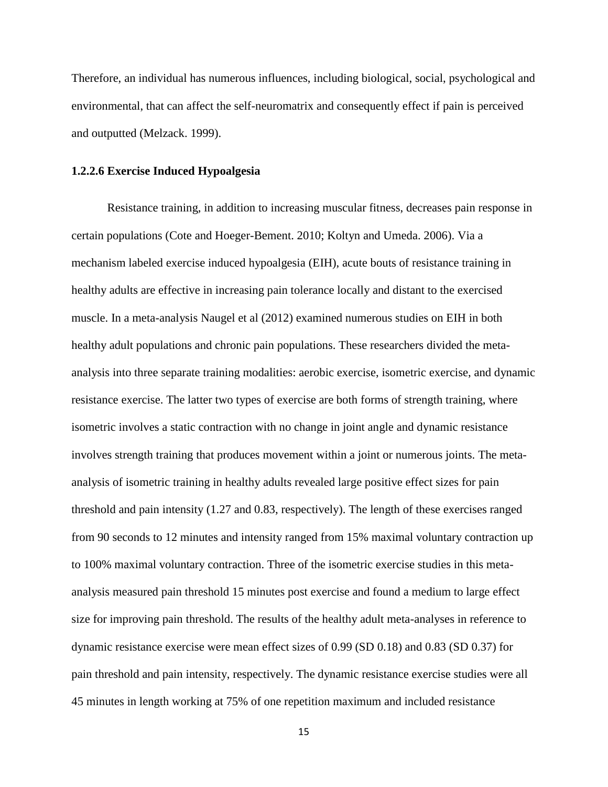Therefore, an individual has numerous influences, including biological, social, psychological and environmental, that can affect the self-neuromatrix and consequently effect if pain is perceived and outputted (Melzack. 1999).

#### **1.2.2.6 Exercise Induced Hypoalgesia**

Resistance training, in addition to increasing muscular fitness, decreases pain response in certain populations (Cote and Hoeger-Bement. 2010; Koltyn and Umeda. 2006). Via a mechanism labeled exercise induced hypoalgesia (EIH), acute bouts of resistance training in healthy adults are effective in increasing pain tolerance locally and distant to the exercised muscle. In a meta-analysis Naugel et al (2012) examined numerous studies on EIH in both healthy adult populations and chronic pain populations. These researchers divided the metaanalysis into three separate training modalities: aerobic exercise, isometric exercise, and dynamic resistance exercise. The latter two types of exercise are both forms of strength training, where isometric involves a static contraction with no change in joint angle and dynamic resistance involves strength training that produces movement within a joint or numerous joints. The metaanalysis of isometric training in healthy adults revealed large positive effect sizes for pain threshold and pain intensity (1.27 and 0.83, respectively). The length of these exercises ranged from 90 seconds to 12 minutes and intensity ranged from 15% maximal voluntary contraction up to 100% maximal voluntary contraction. Three of the isometric exercise studies in this metaanalysis measured pain threshold 15 minutes post exercise and found a medium to large effect size for improving pain threshold. The results of the healthy adult meta-analyses in reference to dynamic resistance exercise were mean effect sizes of 0.99 (SD 0.18) and 0.83 (SD 0.37) for pain threshold and pain intensity, respectively. The dynamic resistance exercise studies were all 45 minutes in length working at 75% of one repetition maximum and included resistance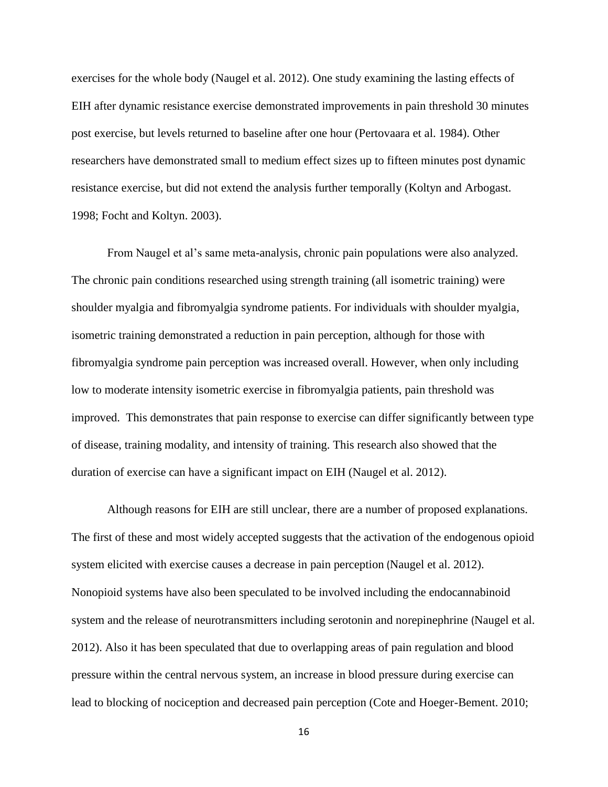exercises for the whole body (Naugel et al. 2012). One study examining the lasting effects of EIH after dynamic resistance exercise demonstrated improvements in pain threshold 30 minutes post exercise, but levels returned to baseline after one hour (Pertovaara et al. 1984). Other researchers have demonstrated small to medium effect sizes up to fifteen minutes post dynamic resistance exercise, but did not extend the analysis further temporally (Koltyn and Arbogast. 1998; Focht and Koltyn. 2003).

From Naugel et al"s same meta-analysis, chronic pain populations were also analyzed. The chronic pain conditions researched using strength training (all isometric training) were shoulder myalgia and fibromyalgia syndrome patients. For individuals with shoulder myalgia, isometric training demonstrated a reduction in pain perception, although for those with fibromyalgia syndrome pain perception was increased overall. However, when only including low to moderate intensity isometric exercise in fibromyalgia patients, pain threshold was improved. This demonstrates that pain response to exercise can differ significantly between type of disease, training modality, and intensity of training. This research also showed that the duration of exercise can have a significant impact on EIH (Naugel et al. 2012).

Although reasons for EIH are still unclear, there are a number of proposed explanations. The first of these and most widely accepted suggests that the activation of the endogenous opioid system elicited with exercise causes a decrease in pain perception (Naugel et al. 2012). Nonopioid systems have also been speculated to be involved including the endocannabinoid system and the release of neurotransmitters including serotonin and norepinephrine (Naugel et al. 2012). Also it has been speculated that due to overlapping areas of pain regulation and blood pressure within the central nervous system, an increase in blood pressure during exercise can lead to blocking of nociception and decreased pain perception (Cote and Hoeger-Bement. 2010;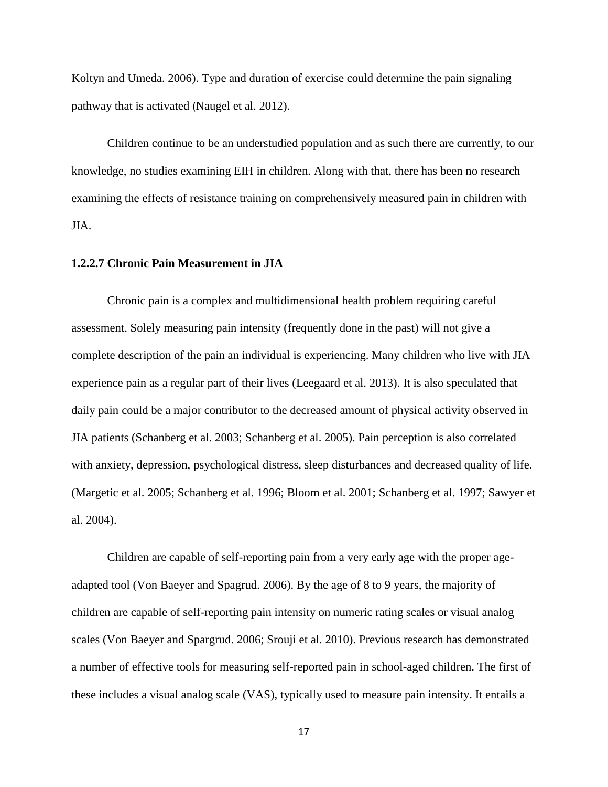Koltyn and Umeda. 2006). Type and duration of exercise could determine the pain signaling pathway that is activated (Naugel et al. 2012).

Children continue to be an understudied population and as such there are currently, to our knowledge, no studies examining EIH in children. Along with that, there has been no research examining the effects of resistance training on comprehensively measured pain in children with JIA.

## **1.2.2.7 Chronic Pain Measurement in JIA**

Chronic pain is a complex and multidimensional health problem requiring careful assessment. Solely measuring pain intensity (frequently done in the past) will not give a complete description of the pain an individual is experiencing. Many children who live with JIA experience pain as a regular part of their lives (Leegaard et al. 2013). It is also speculated that daily pain could be a major contributor to the decreased amount of physical activity observed in JIA patients (Schanberg et al. 2003; Schanberg et al. 2005). Pain perception is also correlated with anxiety, depression, psychological distress, sleep disturbances and decreased quality of life. (Margetic et al. 2005; Schanberg et al. 1996; Bloom et al. 2001; Schanberg et al. 1997; Sawyer et al. 2004).

Children are capable of self-reporting pain from a very early age with the proper ageadapted tool (Von Baeyer and Spagrud. 2006). By the age of 8 to 9 years, the majority of children are capable of self-reporting pain intensity on numeric rating scales or visual analog scales (Von Baeyer and Spargrud. 2006; Srouji et al. 2010). Previous research has demonstrated a number of effective tools for measuring self-reported pain in school-aged children. The first of these includes a visual analog scale (VAS), typically used to measure pain intensity. It entails a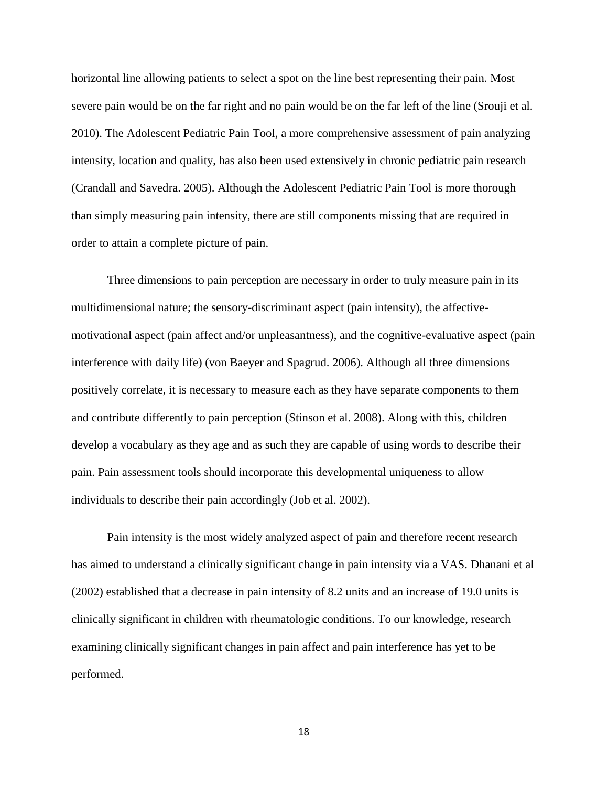horizontal line allowing patients to select a spot on the line best representing their pain. Most severe pain would be on the far right and no pain would be on the far left of the line (Srouji et al. 2010). The Adolescent Pediatric Pain Tool, a more comprehensive assessment of pain analyzing intensity, location and quality, has also been used extensively in chronic pediatric pain research (Crandall and Savedra. 2005). Although the Adolescent Pediatric Pain Tool is more thorough than simply measuring pain intensity, there are still components missing that are required in order to attain a complete picture of pain.

Three dimensions to pain perception are necessary in order to truly measure pain in its multidimensional nature; the sensory-discriminant aspect (pain intensity), the affectivemotivational aspect (pain affect and/or unpleasantness), and the cognitive-evaluative aspect (pain interference with daily life) (von Baeyer and Spagrud. 2006). Although all three dimensions positively correlate, it is necessary to measure each as they have separate components to them and contribute differently to pain perception (Stinson et al. 2008). Along with this, children develop a vocabulary as they age and as such they are capable of using words to describe their pain. Pain assessment tools should incorporate this developmental uniqueness to allow individuals to describe their pain accordingly (Job et al. 2002).

Pain intensity is the most widely analyzed aspect of pain and therefore recent research has aimed to understand a clinically significant change in pain intensity via a VAS. Dhanani et al (2002) established that a decrease in pain intensity of 8.2 units and an increase of 19.0 units is clinically significant in children with rheumatologic conditions. To our knowledge, research examining clinically significant changes in pain affect and pain interference has yet to be performed.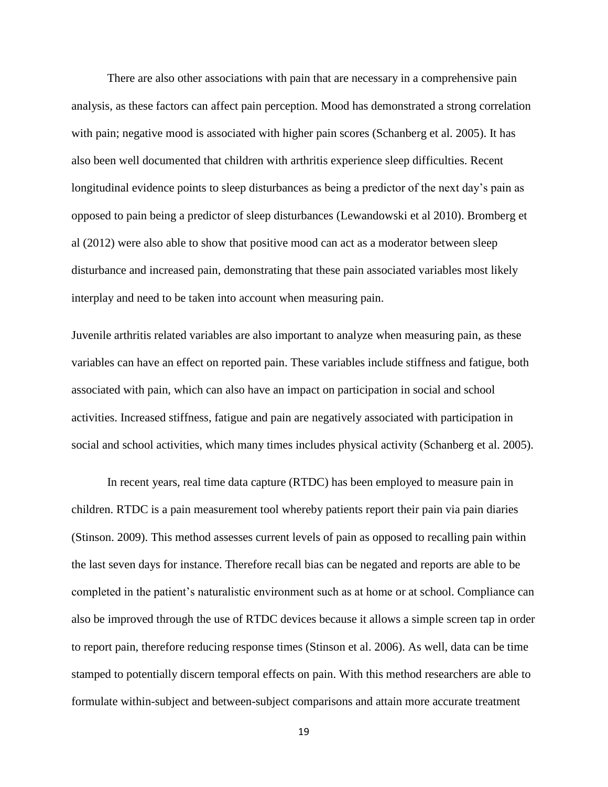There are also other associations with pain that are necessary in a comprehensive pain analysis, as these factors can affect pain perception. Mood has demonstrated a strong correlation with pain; negative mood is associated with higher pain scores (Schanberg et al. 2005). It has also been well documented that children with arthritis experience sleep difficulties. Recent longitudinal evidence points to sleep disturbances as being a predictor of the next day's pain as opposed to pain being a predictor of sleep disturbances (Lewandowski et al 2010). Bromberg et al (2012) were also able to show that positive mood can act as a moderator between sleep disturbance and increased pain, demonstrating that these pain associated variables most likely interplay and need to be taken into account when measuring pain.

Juvenile arthritis related variables are also important to analyze when measuring pain, as these variables can have an effect on reported pain. These variables include stiffness and fatigue, both associated with pain, which can also have an impact on participation in social and school activities. Increased stiffness, fatigue and pain are negatively associated with participation in social and school activities, which many times includes physical activity (Schanberg et al. 2005).

In recent years, real time data capture (RTDC) has been employed to measure pain in children. RTDC is a pain measurement tool whereby patients report their pain via pain diaries (Stinson. 2009). This method assesses current levels of pain as opposed to recalling pain within the last seven days for instance. Therefore recall bias can be negated and reports are able to be completed in the patient"s naturalistic environment such as at home or at school. Compliance can also be improved through the use of RTDC devices because it allows a simple screen tap in order to report pain, therefore reducing response times (Stinson et al. 2006). As well, data can be time stamped to potentially discern temporal effects on pain. With this method researchers are able to formulate within-subject and between-subject comparisons and attain more accurate treatment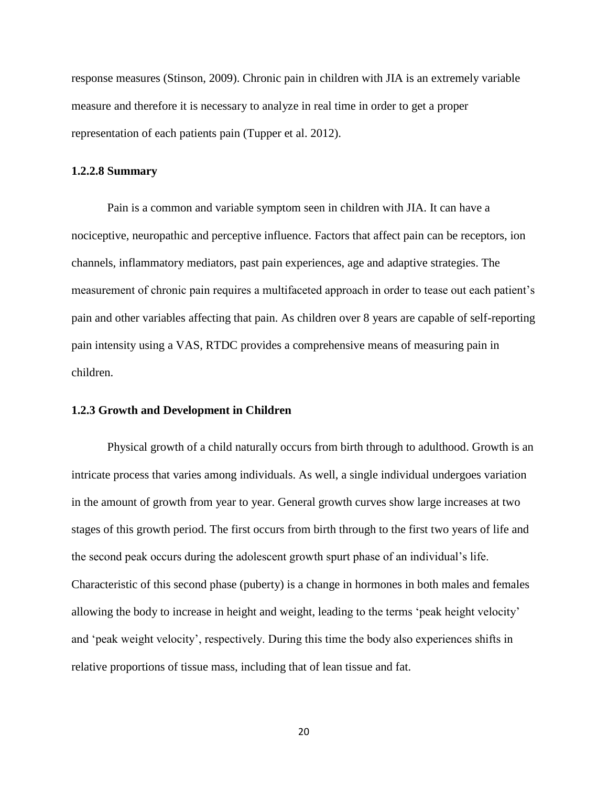response measures (Stinson, 2009). Chronic pain in children with JIA is an extremely variable measure and therefore it is necessary to analyze in real time in order to get a proper representation of each patients pain (Tupper et al. 2012).

#### **1.2.2.8 Summary**

Pain is a common and variable symptom seen in children with JIA. It can have a nociceptive, neuropathic and perceptive influence. Factors that affect pain can be receptors, ion channels, inflammatory mediators, past pain experiences, age and adaptive strategies. The measurement of chronic pain requires a multifaceted approach in order to tease out each patient"s pain and other variables affecting that pain. As children over 8 years are capable of self-reporting pain intensity using a VAS, RTDC provides a comprehensive means of measuring pain in children.

#### **1.2.3 Growth and Development in Children**

Physical growth of a child naturally occurs from birth through to adulthood. Growth is an intricate process that varies among individuals. As well, a single individual undergoes variation in the amount of growth from year to year. General growth curves show large increases at two stages of this growth period. The first occurs from birth through to the first two years of life and the second peak occurs during the adolescent growth spurt phase of an individual"s life. Characteristic of this second phase (puberty) is a change in hormones in both males and females allowing the body to increase in height and weight, leading to the terms "peak height velocity" and "peak weight velocity", respectively. During this time the body also experiences shifts in relative proportions of tissue mass, including that of lean tissue and fat.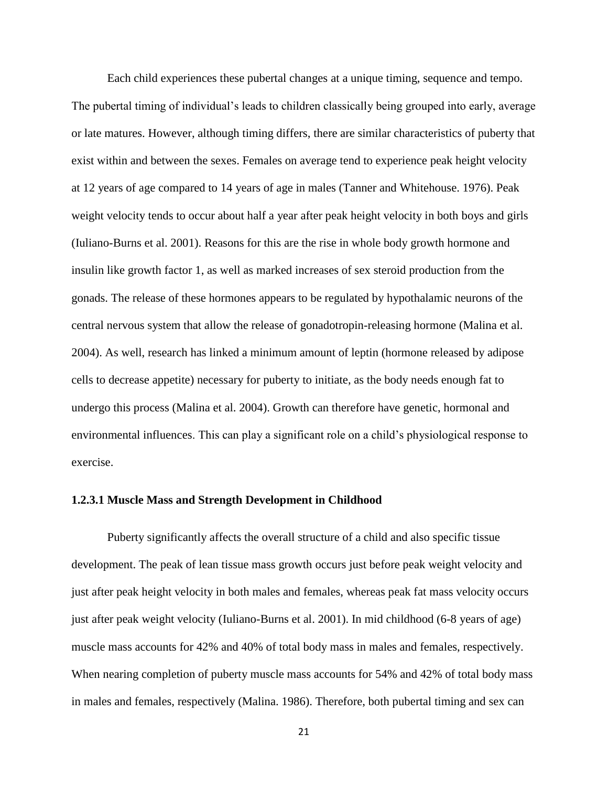Each child experiences these pubertal changes at a unique timing, sequence and tempo. The pubertal timing of individual's leads to children classically being grouped into early, average or late matures. However, although timing differs, there are similar characteristics of puberty that exist within and between the sexes. Females on average tend to experience peak height velocity at 12 years of age compared to 14 years of age in males (Tanner and Whitehouse. 1976). Peak weight velocity tends to occur about half a year after peak height velocity in both boys and girls (Iuliano-Burns et al. 2001). Reasons for this are the rise in whole body growth hormone and insulin like growth factor 1, as well as marked increases of sex steroid production from the gonads. The release of these hormones appears to be regulated by hypothalamic neurons of the central nervous system that allow the release of gonadotropin-releasing hormone (Malina et al. 2004). As well, research has linked a minimum amount of leptin (hormone released by adipose cells to decrease appetite) necessary for puberty to initiate, as the body needs enough fat to undergo this process (Malina et al. 2004). Growth can therefore have genetic, hormonal and environmental influences. This can play a significant role on a child"s physiological response to exercise.

## **1.2.3.1 Muscle Mass and Strength Development in Childhood**

Puberty significantly affects the overall structure of a child and also specific tissue development. The peak of lean tissue mass growth occurs just before peak weight velocity and just after peak height velocity in both males and females, whereas peak fat mass velocity occurs just after peak weight velocity (Iuliano-Burns et al. 2001). In mid childhood (6-8 years of age) muscle mass accounts for 42% and 40% of total body mass in males and females, respectively. When nearing completion of puberty muscle mass accounts for 54% and 42% of total body mass in males and females, respectively (Malina. 1986). Therefore, both pubertal timing and sex can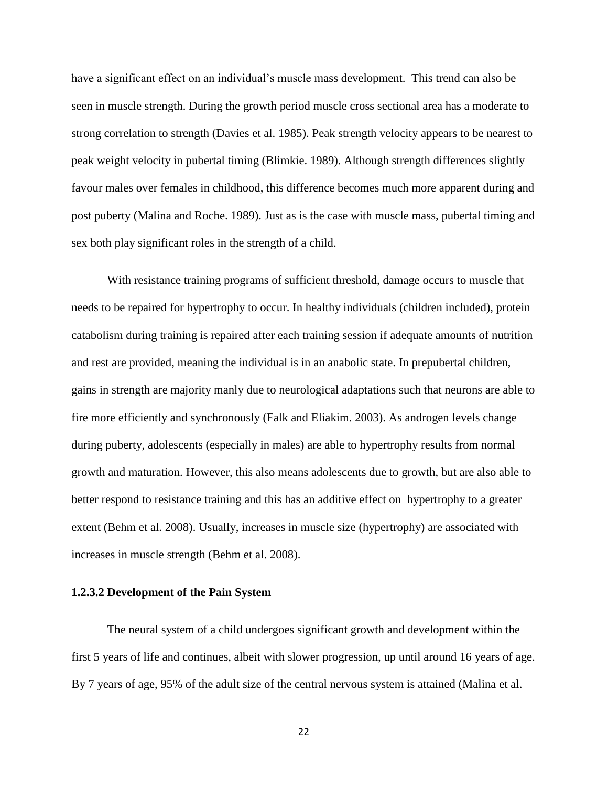have a significant effect on an individual's muscle mass development. This trend can also be seen in muscle strength. During the growth period muscle cross sectional area has a moderate to strong correlation to strength (Davies et al. 1985). Peak strength velocity appears to be nearest to peak weight velocity in pubertal timing (Blimkie. 1989). Although strength differences slightly favour males over females in childhood, this difference becomes much more apparent during and post puberty (Malina and Roche. 1989). Just as is the case with muscle mass, pubertal timing and sex both play significant roles in the strength of a child.

With resistance training programs of sufficient threshold, damage occurs to muscle that needs to be repaired for hypertrophy to occur. In healthy individuals (children included), protein catabolism during training is repaired after each training session if adequate amounts of nutrition and rest are provided, meaning the individual is in an anabolic state. In prepubertal children, gains in strength are majority manly due to neurological adaptations such that neurons are able to fire more efficiently and synchronously (Falk and Eliakim. 2003). As androgen levels change during puberty, adolescents (especially in males) are able to hypertrophy results from normal growth and maturation. However, this also means adolescents due to growth, but are also able to better respond to resistance training and this has an additive effect on hypertrophy to a greater extent (Behm et al. 2008). Usually, increases in muscle size (hypertrophy) are associated with increases in muscle strength (Behm et al. 2008).

## **1.2.3.2 Development of the Pain System**

The neural system of a child undergoes significant growth and development within the first 5 years of life and continues, albeit with slower progression, up until around 16 years of age. By 7 years of age, 95% of the adult size of the central nervous system is attained (Malina et al.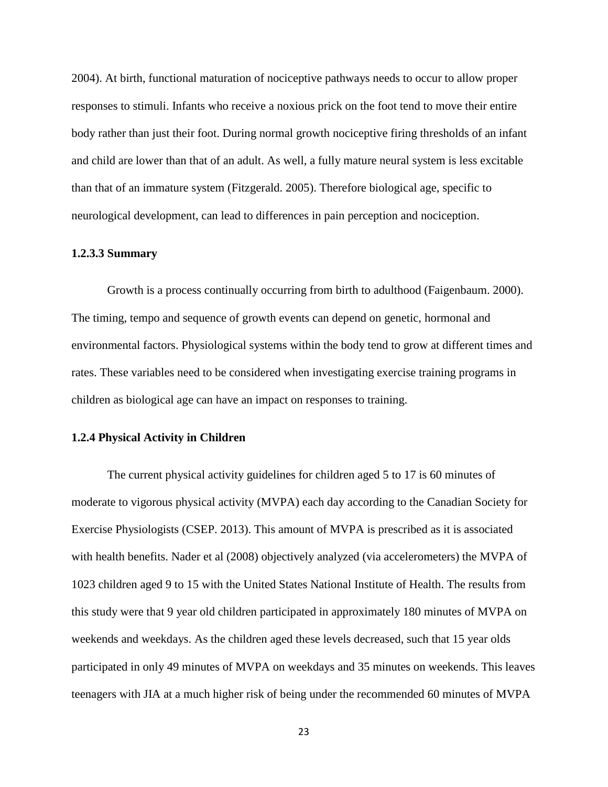2004). At birth, functional maturation of nociceptive pathways needs to occur to allow proper responses to stimuli. Infants who receive a noxious prick on the foot tend to move their entire body rather than just their foot. During normal growth nociceptive firing thresholds of an infant and child are lower than that of an adult. As well, a fully mature neural system is less excitable than that of an immature system (Fitzgerald. 2005). Therefore biological age, specific to neurological development, can lead to differences in pain perception and nociception.

#### **1.2.3.3 Summary**

Growth is a process continually occurring from birth to adulthood (Faigenbaum. 2000). The timing, tempo and sequence of growth events can depend on genetic, hormonal and environmental factors. Physiological systems within the body tend to grow at different times and rates. These variables need to be considered when investigating exercise training programs in children as biological age can have an impact on responses to training.

#### **1.2.4 Physical Activity in Children**

The current physical activity guidelines for children aged 5 to 17 is 60 minutes of moderate to vigorous physical activity (MVPA) each day according to the Canadian Society for Exercise Physiologists (CSEP. 2013). This amount of MVPA is prescribed as it is associated with health benefits. Nader et al (2008) objectively analyzed (via accelerometers) the MVPA of 1023 children aged 9 to 15 with the United States National Institute of Health. The results from this study were that 9 year old children participated in approximately 180 minutes of MVPA on weekends and weekdays. As the children aged these levels decreased, such that 15 year olds participated in only 49 minutes of MVPA on weekdays and 35 minutes on weekends. This leaves teenagers with JIA at a much higher risk of being under the recommended 60 minutes of MVPA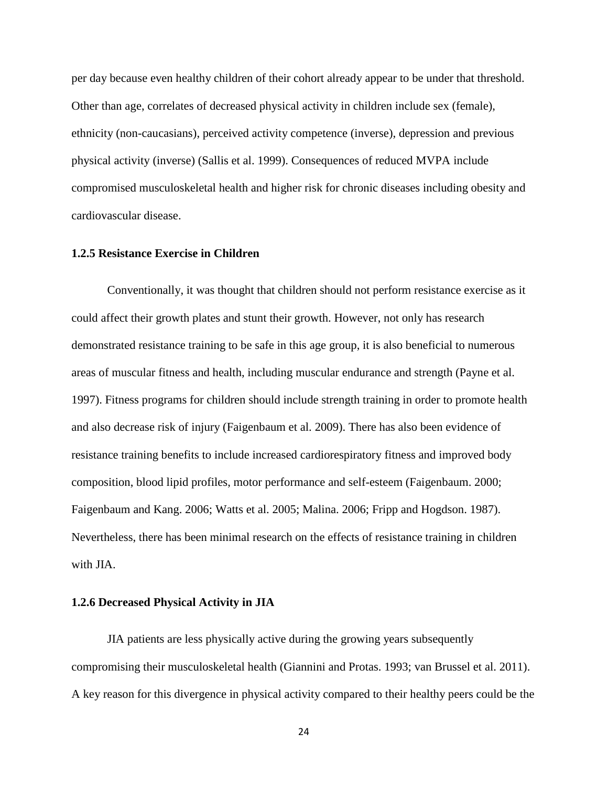per day because even healthy children of their cohort already appear to be under that threshold. Other than age, correlates of decreased physical activity in children include sex (female), ethnicity (non-caucasians), perceived activity competence (inverse), depression and previous physical activity (inverse) (Sallis et al. 1999). Consequences of reduced MVPA include compromised musculoskeletal health and higher risk for chronic diseases including obesity and cardiovascular disease.

# **1.2.5 Resistance Exercise in Children**

Conventionally, it was thought that children should not perform resistance exercise as it could affect their growth plates and stunt their growth. However, not only has research demonstrated resistance training to be safe in this age group, it is also beneficial to numerous areas of muscular fitness and health, including muscular endurance and strength (Payne et al. 1997). Fitness programs for children should include strength training in order to promote health and also decrease risk of injury (Faigenbaum et al. 2009). There has also been evidence of resistance training benefits to include increased cardiorespiratory fitness and improved body composition, blood lipid profiles, motor performance and self-esteem (Faigenbaum. 2000; Faigenbaum and Kang. 2006; Watts et al. 2005; Malina. 2006; Fripp and Hogdson. 1987). Nevertheless, there has been minimal research on the effects of resistance training in children with JIA.

## **1.2.6 Decreased Physical Activity in JIA**

JIA patients are less physically active during the growing years subsequently compromising their musculoskeletal health (Giannini and Protas. 1993; van Brussel et al. 2011). A key reason for this divergence in physical activity compared to their healthy peers could be the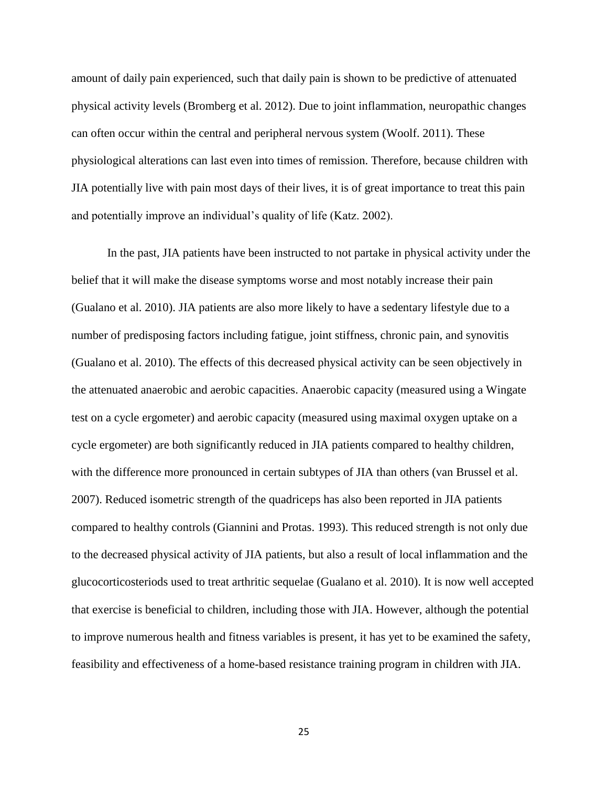amount of daily pain experienced, such that daily pain is shown to be predictive of attenuated physical activity levels (Bromberg et al. 2012). Due to joint inflammation, neuropathic changes can often occur within the central and peripheral nervous system (Woolf. 2011). These physiological alterations can last even into times of remission. Therefore, because children with JIA potentially live with pain most days of their lives, it is of great importance to treat this pain and potentially improve an individual's quality of life (Katz. 2002).

In the past, JIA patients have been instructed to not partake in physical activity under the belief that it will make the disease symptoms worse and most notably increase their pain (Gualano et al. 2010). JIA patients are also more likely to have a sedentary lifestyle due to a number of predisposing factors including fatigue, joint stiffness, chronic pain, and synovitis (Gualano et al. 2010). The effects of this decreased physical activity can be seen objectively in the attenuated anaerobic and aerobic capacities. Anaerobic capacity (measured using a Wingate test on a cycle ergometer) and aerobic capacity (measured using maximal oxygen uptake on a cycle ergometer) are both significantly reduced in JIA patients compared to healthy children, with the difference more pronounced in certain subtypes of JIA than others (van Brussel et al. 2007). Reduced isometric strength of the quadriceps has also been reported in JIA patients compared to healthy controls (Giannini and Protas. 1993). This reduced strength is not only due to the decreased physical activity of JIA patients, but also a result of local inflammation and the glucocorticosteriods used to treat arthritic sequelae (Gualano et al. 2010). It is now well accepted that exercise is beneficial to children, including those with JIA. However, although the potential to improve numerous health and fitness variables is present, it has yet to be examined the safety, feasibility and effectiveness of a home-based resistance training program in children with JIA.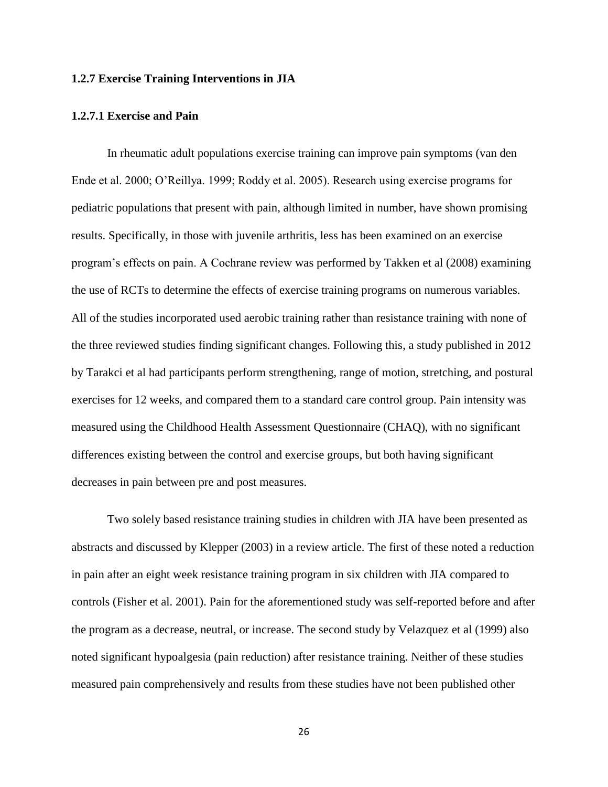## **1.2.7 Exercise Training Interventions in JIA**

## **1.2.7.1 Exercise and Pain**

In rheumatic adult populations exercise training can improve pain symptoms (van den Ende et al. 2000; O"Reillya. 1999; Roddy et al. 2005). Research using exercise programs for pediatric populations that present with pain, although limited in number, have shown promising results. Specifically, in those with juvenile arthritis, less has been examined on an exercise program"s effects on pain. A Cochrane review was performed by Takken et al (2008) examining the use of RCTs to determine the effects of exercise training programs on numerous variables. All of the studies incorporated used aerobic training rather than resistance training with none of the three reviewed studies finding significant changes. Following this, a study published in 2012 by Tarakci et al had participants perform strengthening, range of motion, stretching, and postural exercises for 12 weeks, and compared them to a standard care control group. Pain intensity was measured using the Childhood Health Assessment Questionnaire (CHAQ), with no significant differences existing between the control and exercise groups, but both having significant decreases in pain between pre and post measures.

Two solely based resistance training studies in children with JIA have been presented as abstracts and discussed by Klepper (2003) in a review article. The first of these noted a reduction in pain after an eight week resistance training program in six children with JIA compared to controls (Fisher et al. 2001). Pain for the aforementioned study was self-reported before and after the program as a decrease, neutral, or increase. The second study by Velazquez et al (1999) also noted significant hypoalgesia (pain reduction) after resistance training. Neither of these studies measured pain comprehensively and results from these studies have not been published other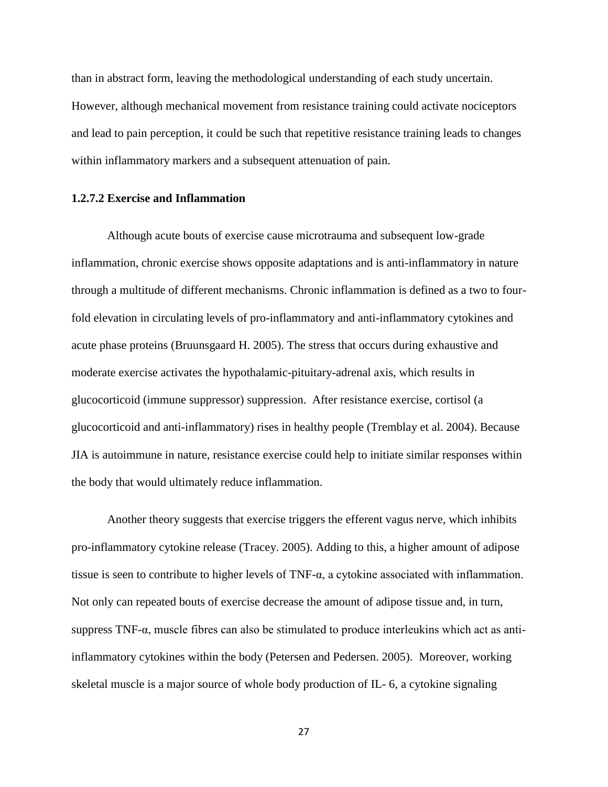than in abstract form, leaving the methodological understanding of each study uncertain. However, although mechanical movement from resistance training could activate nociceptors and lead to pain perception, it could be such that repetitive resistance training leads to changes within inflammatory markers and a subsequent attenuation of pain.

## **1.2.7.2 Exercise and Inflammation**

Although acute bouts of exercise cause microtrauma and subsequent low-grade inflammation, chronic exercise shows opposite adaptations and is anti-inflammatory in nature through a multitude of different mechanisms. Chronic inflammation is defined as a two to fourfold elevation in circulating levels of pro-inflammatory and anti-inflammatory cytokines and acute phase proteins (Bruunsgaard H. 2005). The stress that occurs during exhaustive and moderate exercise activates the hypothalamic-pituitary-adrenal axis, which results in glucocorticoid (immune suppressor) suppression. After resistance exercise, cortisol (a glucocorticoid and anti-inflammatory) rises in healthy people (Tremblay et al. 2004). Because JIA is autoimmune in nature, resistance exercise could help to initiate similar responses within the body that would ultimately reduce inflammation.

Another theory suggests that exercise triggers the efferent vagus nerve, which inhibits pro-inflammatory cytokine release (Tracey. 2005). Adding to this, a higher amount of adipose tissue is seen to contribute to higher levels of  $TNF-\alpha$ , a cytokine associated with inflammation. Not only can repeated bouts of exercise decrease the amount of adipose tissue and, in turn, suppress  $TNF-\alpha$ , muscle fibres can also be stimulated to produce interleukins which act as antiinflammatory cytokines within the body (Petersen and Pedersen. 2005). Moreover, working skeletal muscle is a major source of whole body production of IL- 6, a cytokine signaling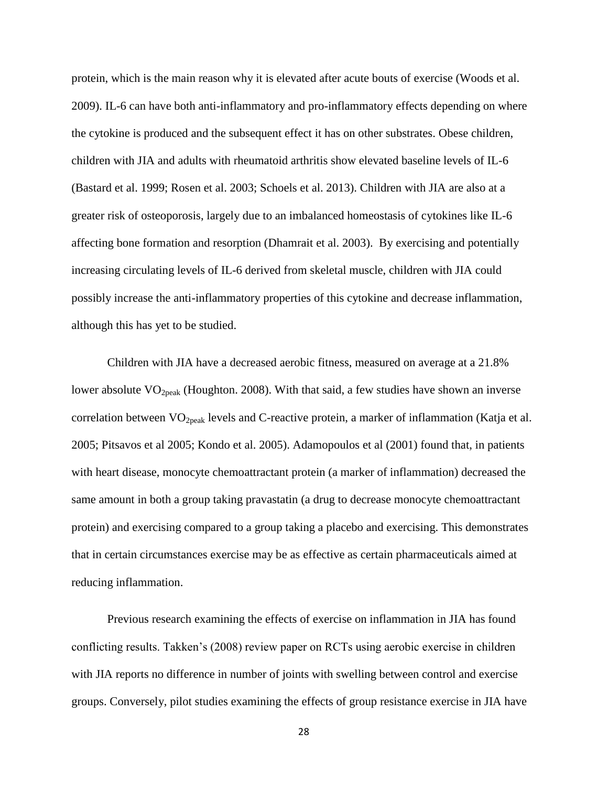protein, which is the main reason why it is elevated after acute bouts of exercise (Woods et al. 2009). IL-6 can have both anti-inflammatory and pro-inflammatory effects depending on where the cytokine is produced and the subsequent effect it has on other substrates. Obese children, children with JIA and adults with rheumatoid arthritis show elevated baseline levels of IL-6 (Bastard et al. 1999; Rosen et al. 2003; Schoels et al. 2013). Children with JIA are also at a greater risk of osteoporosis, largely due to an imbalanced homeostasis of cytokines like IL-6 affecting bone formation and resorption (Dhamrait et al. 2003). By exercising and potentially increasing circulating levels of IL-6 derived from skeletal muscle, children with JIA could possibly increase the anti-inflammatory properties of this cytokine and decrease inflammation, although this has yet to be studied.

Children with JIA have a decreased aerobic fitness, measured on average at a 21.8% lower absolute  $VO<sub>2peak</sub>$  (Houghton. 2008). With that said, a few studies have shown an inverse correlation between  $VO<sub>2peak</sub>$  levels and C-reactive protein, a marker of inflammation (Katja et al. 2005; Pitsavos et al 2005; Kondo et al. 2005). Adamopoulos et al (2001) found that, in patients with heart disease, monocyte chemoattractant protein (a marker of inflammation) decreased the same amount in both a group taking pravastatin (a drug to decrease monocyte chemoattractant protein) and exercising compared to a group taking a placebo and exercising. This demonstrates that in certain circumstances exercise may be as effective as certain pharmaceuticals aimed at reducing inflammation.

Previous research examining the effects of exercise on inflammation in JIA has found conflicting results. Takken"s (2008) review paper on RCTs using aerobic exercise in children with JIA reports no difference in number of joints with swelling between control and exercise groups. Conversely, pilot studies examining the effects of group resistance exercise in JIA have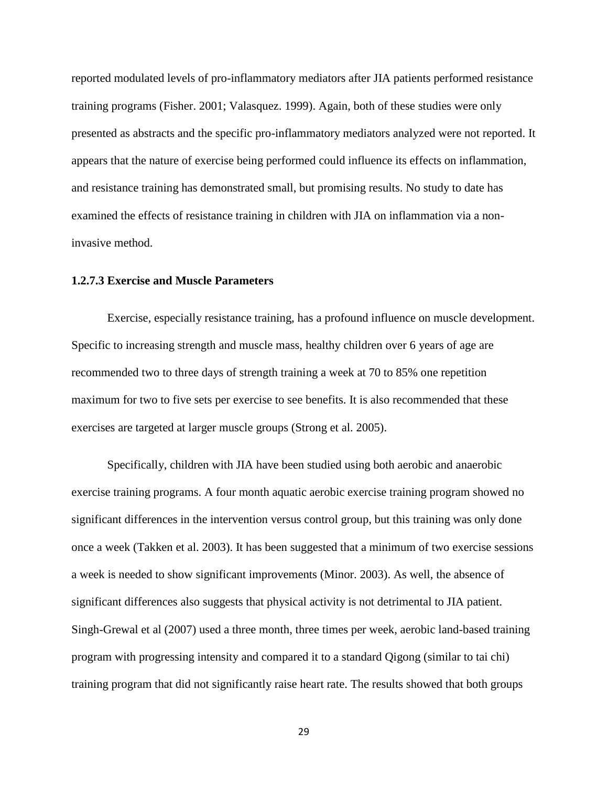reported modulated levels of pro-inflammatory mediators after JIA patients performed resistance training programs (Fisher. 2001; Valasquez. 1999). Again, both of these studies were only presented as abstracts and the specific pro-inflammatory mediators analyzed were not reported. It appears that the nature of exercise being performed could influence its effects on inflammation, and resistance training has demonstrated small, but promising results. No study to date has examined the effects of resistance training in children with JIA on inflammation via a noninvasive method.

# **1.2.7.3 Exercise and Muscle Parameters**

Exercise, especially resistance training, has a profound influence on muscle development. Specific to increasing strength and muscle mass, healthy children over 6 years of age are recommended two to three days of strength training a week at 70 to 85% one repetition maximum for two to five sets per exercise to see benefits. It is also recommended that these exercises are targeted at larger muscle groups (Strong et al. 2005).

Specifically, children with JIA have been studied using both aerobic and anaerobic exercise training programs. A four month aquatic aerobic exercise training program showed no significant differences in the intervention versus control group, but this training was only done once a week (Takken et al. 2003). It has been suggested that a minimum of two exercise sessions a week is needed to show significant improvements (Minor. 2003). As well, the absence of significant differences also suggests that physical activity is not detrimental to JIA patient. Singh-Grewal et al (2007) used a three month, three times per week, aerobic land-based training program with progressing intensity and compared it to a standard Qigong (similar to tai chi) training program that did not significantly raise heart rate. The results showed that both groups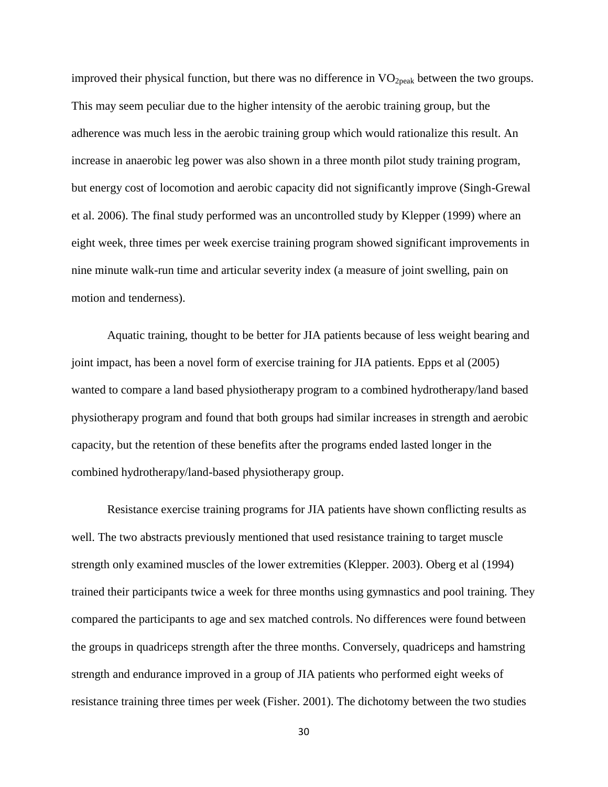improved their physical function, but there was no difference in  $VO<sub>2peak</sub>$  between the two groups. This may seem peculiar due to the higher intensity of the aerobic training group, but the adherence was much less in the aerobic training group which would rationalize this result. An increase in anaerobic leg power was also shown in a three month pilot study training program, but energy cost of locomotion and aerobic capacity did not significantly improve (Singh-Grewal et al. 2006). The final study performed was an uncontrolled study by Klepper (1999) where an eight week, three times per week exercise training program showed significant improvements in nine minute walk-run time and articular severity index (a measure of joint swelling, pain on motion and tenderness).

Aquatic training, thought to be better for JIA patients because of less weight bearing and joint impact, has been a novel form of exercise training for JIA patients. Epps et al (2005) wanted to compare a land based physiotherapy program to a combined hydrotherapy/land based physiotherapy program and found that both groups had similar increases in strength and aerobic capacity, but the retention of these benefits after the programs ended lasted longer in the combined hydrotherapy/land-based physiotherapy group.

Resistance exercise training programs for JIA patients have shown conflicting results as well. The two abstracts previously mentioned that used resistance training to target muscle strength only examined muscles of the lower extremities (Klepper. 2003). Oberg et al (1994) trained their participants twice a week for three months using gymnastics and pool training. They compared the participants to age and sex matched controls. No differences were found between the groups in quadriceps strength after the three months. Conversely, quadriceps and hamstring strength and endurance improved in a group of JIA patients who performed eight weeks of resistance training three times per week (Fisher. 2001). The dichotomy between the two studies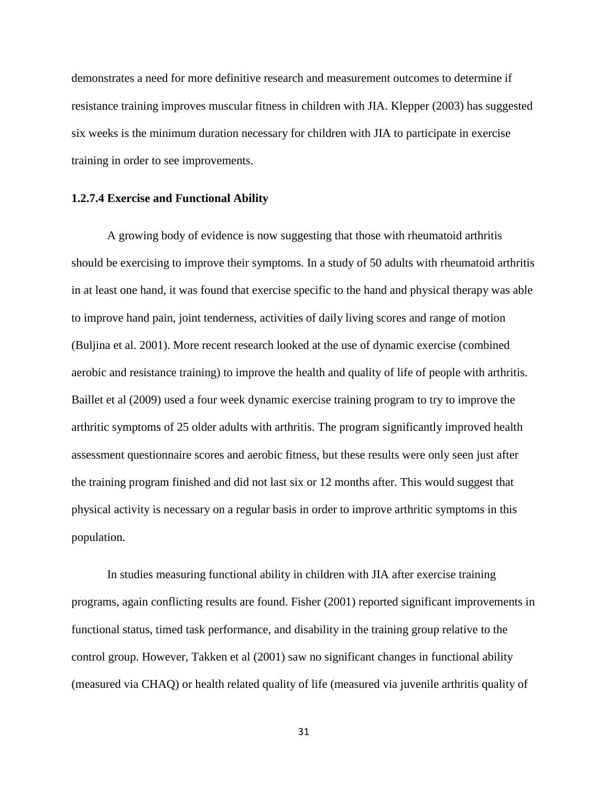demonstrates a need for more definitive research and measurement outcomes to determine if resistance training improves muscular fitness in children with JIA. Klepper (2003) has suggested six weeks is the minimum duration necessary for children with JIA to participate in exercise training in order to see improvements.

#### **1.2.7.4 Exercise and Functional Ability**

A growing body of evidence is now suggesting that those with rheumatoid arthritis should be exercising to improve their symptoms. In a study of 50 adults with rheumatoid arthritis in at least one hand, it was found that exercise specific to the hand and physical therapy was able to improve hand pain, joint tenderness, activities of daily living scores and range of motion (Buljina et al. 2001). More recent research looked at the use of dynamic exercise (combined aerobic and resistance training) to improve the health and quality of life of people with arthritis. Baillet et al (2009) used a four week dynamic exercise training program to try to improve the arthritic symptoms of 25 older adults with arthritis. The program significantly improved health assessment questionnaire scores and aerobic fitness, but these results were only seen just after the training program finished and did not last six or 12 months after. This would suggest that physical activity is necessary on a regular basis in order to improve arthritic symptoms in this population.

In studies measuring functional ability in children with JIA after exercise training programs, again conflicting results are found. Fisher (2001) reported significant improvements in functional status, timed task performance, and disability in the training group relative to the control group. However, Takken et al (2001) saw no significant changes in functional ability (measured via CHAQ) or health related quality of life (measured via juvenile arthritis quality of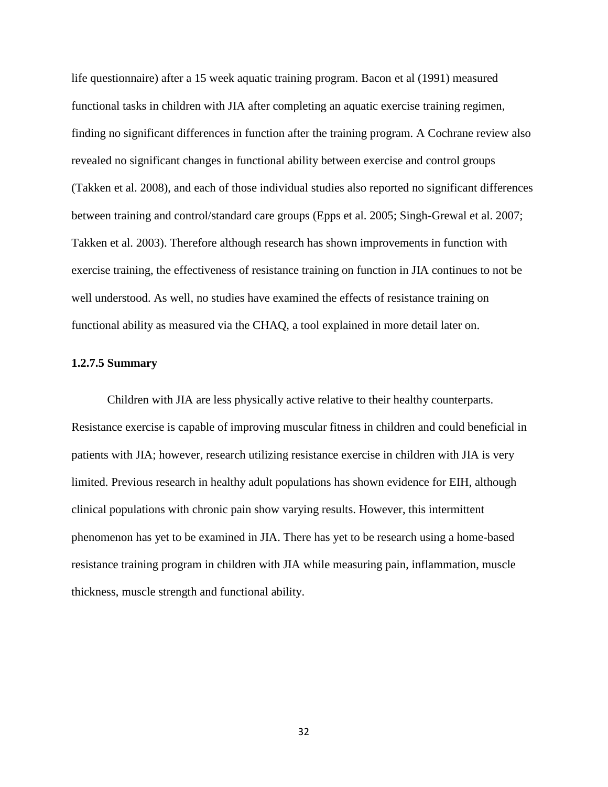life questionnaire) after a 15 week aquatic training program. Bacon et al (1991) measured functional tasks in children with JIA after completing an aquatic exercise training regimen, finding no significant differences in function after the training program. A Cochrane review also revealed no significant changes in functional ability between exercise and control groups (Takken et al. 2008), and each of those individual studies also reported no significant differences between training and control/standard care groups (Epps et al. 2005; Singh-Grewal et al. 2007; Takken et al. 2003). Therefore although research has shown improvements in function with exercise training, the effectiveness of resistance training on function in JIA continues to not be well understood. As well, no studies have examined the effects of resistance training on functional ability as measured via the CHAQ, a tool explained in more detail later on.

## **1.2.7.5 Summary**

Children with JIA are less physically active relative to their healthy counterparts. Resistance exercise is capable of improving muscular fitness in children and could beneficial in patients with JIA; however, research utilizing resistance exercise in children with JIA is very limited. Previous research in healthy adult populations has shown evidence for EIH, although clinical populations with chronic pain show varying results. However, this intermittent phenomenon has yet to be examined in JIA. There has yet to be research using a home-based resistance training program in children with JIA while measuring pain, inflammation, muscle thickness, muscle strength and functional ability.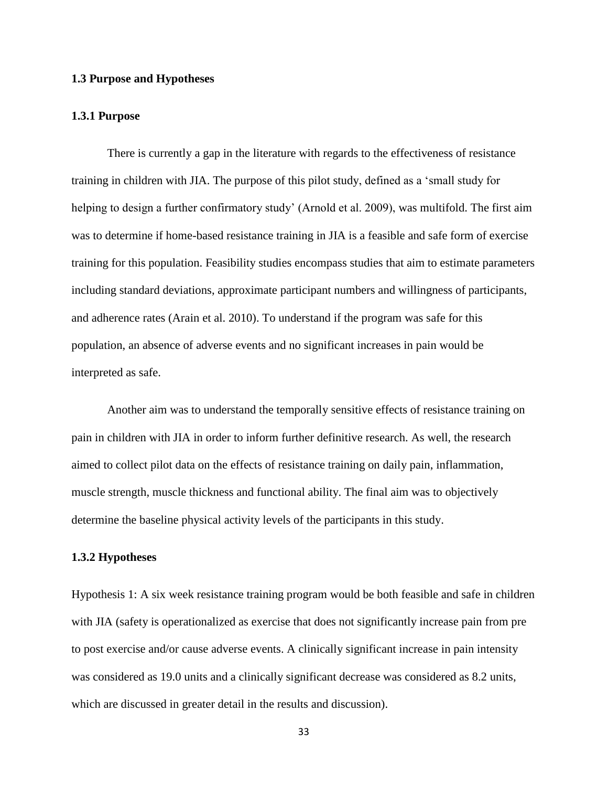## **1.3 Purpose and Hypotheses**

#### **1.3.1 Purpose**

There is currently a gap in the literature with regards to the effectiveness of resistance training in children with JIA. The purpose of this pilot study, defined as a "small study for helping to design a further confirmatory study' (Arnold et al. 2009), was multifold. The first aim was to determine if home-based resistance training in JIA is a feasible and safe form of exercise training for this population. Feasibility studies encompass studies that aim to estimate parameters including standard deviations, approximate participant numbers and willingness of participants, and adherence rates (Arain et al. 2010). To understand if the program was safe for this population, an absence of adverse events and no significant increases in pain would be interpreted as safe.

Another aim was to understand the temporally sensitive effects of resistance training on pain in children with JIA in order to inform further definitive research. As well, the research aimed to collect pilot data on the effects of resistance training on daily pain, inflammation, muscle strength, muscle thickness and functional ability. The final aim was to objectively determine the baseline physical activity levels of the participants in this study.

#### **1.3.2 Hypotheses**

Hypothesis 1: A six week resistance training program would be both feasible and safe in children with JIA (safety is operationalized as exercise that does not significantly increase pain from pre to post exercise and/or cause adverse events. A clinically significant increase in pain intensity was considered as 19.0 units and a clinically significant decrease was considered as 8.2 units, which are discussed in greater detail in the results and discussion).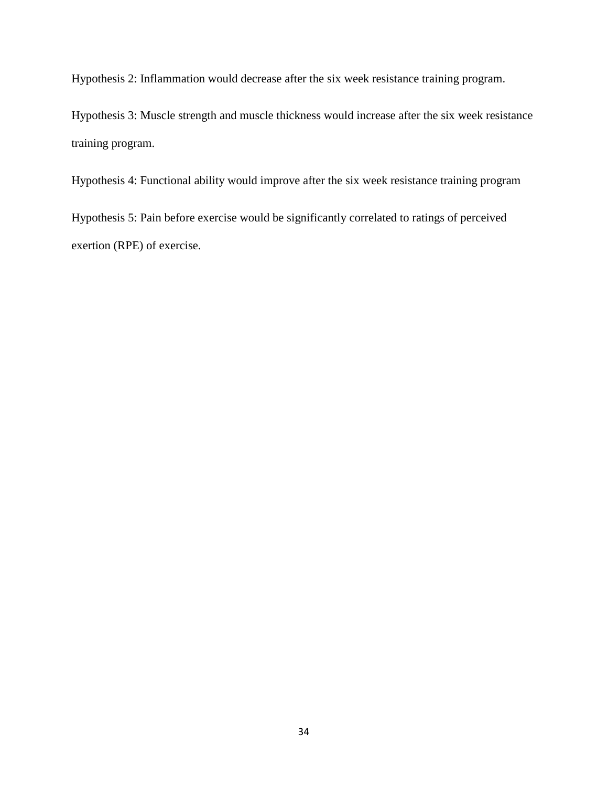Hypothesis 2: Inflammation would decrease after the six week resistance training program.

Hypothesis 3: Muscle strength and muscle thickness would increase after the six week resistance training program.

Hypothesis 4: Functional ability would improve after the six week resistance training program

Hypothesis 5: Pain before exercise would be significantly correlated to ratings of perceived exertion (RPE) of exercise.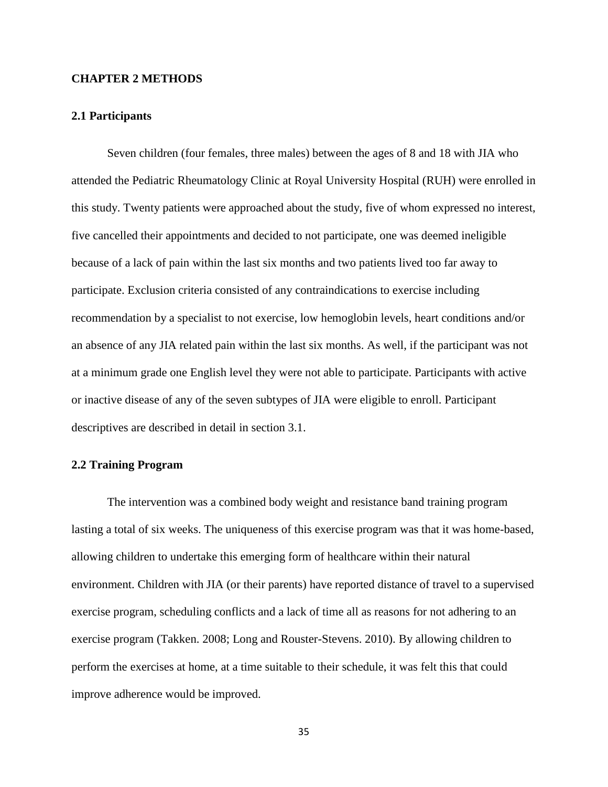## **CHAPTER 2 METHODS**

## **2.1 Participants**

Seven children (four females, three males) between the ages of 8 and 18 with JIA who attended the Pediatric Rheumatology Clinic at Royal University Hospital (RUH) were enrolled in this study. Twenty patients were approached about the study, five of whom expressed no interest, five cancelled their appointments and decided to not participate, one was deemed ineligible because of a lack of pain within the last six months and two patients lived too far away to participate. Exclusion criteria consisted of any contraindications to exercise including recommendation by a specialist to not exercise, low hemoglobin levels, heart conditions and/or an absence of any JIA related pain within the last six months. As well, if the participant was not at a minimum grade one English level they were not able to participate. Participants with active or inactive disease of any of the seven subtypes of JIA were eligible to enroll. Participant descriptives are described in detail in section 3.1.

## **2.2 Training Program**

The intervention was a combined body weight and resistance band training program lasting a total of six weeks. The uniqueness of this exercise program was that it was home-based, allowing children to undertake this emerging form of healthcare within their natural environment. Children with JIA (or their parents) have reported distance of travel to a supervised exercise program, scheduling conflicts and a lack of time all as reasons for not adhering to an exercise program (Takken. 2008; Long and Rouster-Stevens. 2010). By allowing children to perform the exercises at home, at a time suitable to their schedule, it was felt this that could improve adherence would be improved.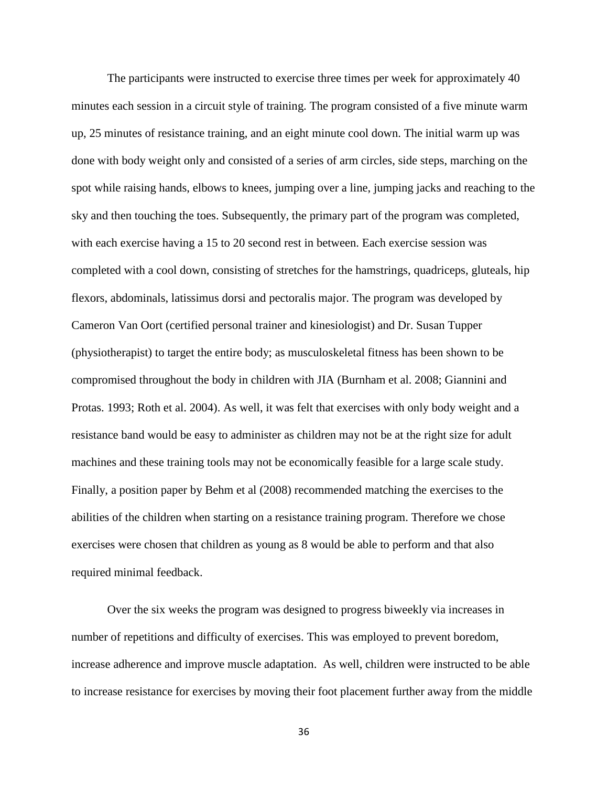The participants were instructed to exercise three times per week for approximately 40 minutes each session in a circuit style of training. The program consisted of a five minute warm up, 25 minutes of resistance training, and an eight minute cool down. The initial warm up was done with body weight only and consisted of a series of arm circles, side steps, marching on the spot while raising hands, elbows to knees, jumping over a line, jumping jacks and reaching to the sky and then touching the toes. Subsequently, the primary part of the program was completed, with each exercise having a 15 to 20 second rest in between. Each exercise session was completed with a cool down, consisting of stretches for the hamstrings, quadriceps, gluteals, hip flexors, abdominals, latissimus dorsi and pectoralis major. The program was developed by Cameron Van Oort (certified personal trainer and kinesiologist) and Dr. Susan Tupper (physiotherapist) to target the entire body; as musculoskeletal fitness has been shown to be compromised throughout the body in children with JIA (Burnham et al. 2008; Giannini and Protas. 1993; Roth et al. 2004). As well, it was felt that exercises with only body weight and a resistance band would be easy to administer as children may not be at the right size for adult machines and these training tools may not be economically feasible for a large scale study. Finally, a position paper by Behm et al (2008) recommended matching the exercises to the abilities of the children when starting on a resistance training program. Therefore we chose exercises were chosen that children as young as 8 would be able to perform and that also required minimal feedback.

Over the six weeks the program was designed to progress biweekly via increases in number of repetitions and difficulty of exercises. This was employed to prevent boredom, increase adherence and improve muscle adaptation. As well, children were instructed to be able to increase resistance for exercises by moving their foot placement further away from the middle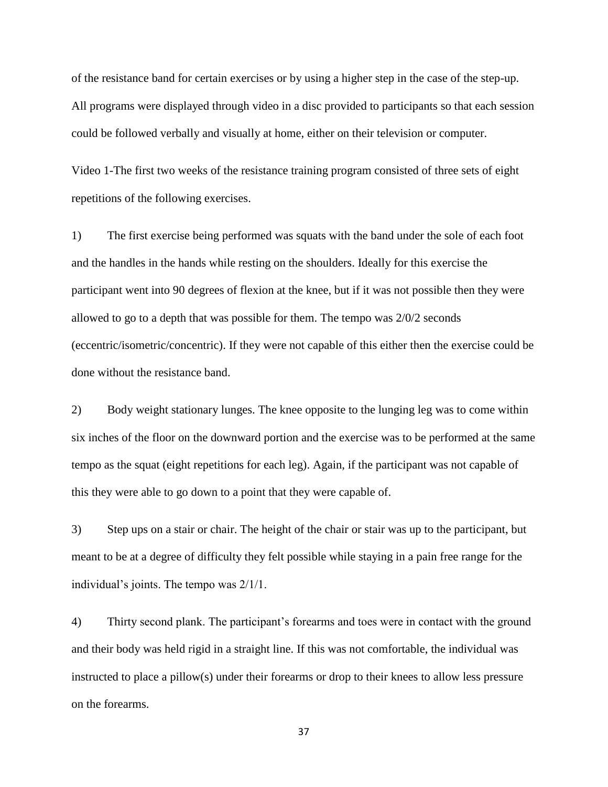of the resistance band for certain exercises or by using a higher step in the case of the step-up. All programs were displayed through video in a disc provided to participants so that each session could be followed verbally and visually at home, either on their television or computer.

Video 1-The first two weeks of the resistance training program consisted of three sets of eight repetitions of the following exercises.

1) The first exercise being performed was squats with the band under the sole of each foot and the handles in the hands while resting on the shoulders. Ideally for this exercise the participant went into 90 degrees of flexion at the knee, but if it was not possible then they were allowed to go to a depth that was possible for them. The tempo was 2/0/2 seconds (eccentric/isometric/concentric). If they were not capable of this either then the exercise could be done without the resistance band.

2) Body weight stationary lunges. The knee opposite to the lunging leg was to come within six inches of the floor on the downward portion and the exercise was to be performed at the same tempo as the squat (eight repetitions for each leg). Again, if the participant was not capable of this they were able to go down to a point that they were capable of.

3) Step ups on a stair or chair. The height of the chair or stair was up to the participant, but meant to be at a degree of difficulty they felt possible while staying in a pain free range for the individual"s joints. The tempo was 2/1/1.

4) Thirty second plank. The participant"s forearms and toes were in contact with the ground and their body was held rigid in a straight line. If this was not comfortable, the individual was instructed to place a pillow(s) under their forearms or drop to their knees to allow less pressure on the forearms.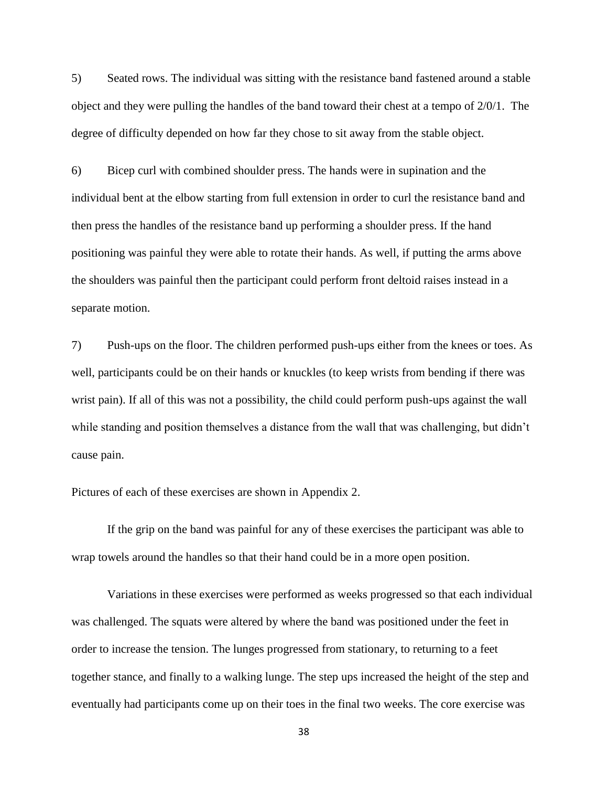5) Seated rows. The individual was sitting with the resistance band fastened around a stable object and they were pulling the handles of the band toward their chest at a tempo of 2/0/1. The degree of difficulty depended on how far they chose to sit away from the stable object.

6) Bicep curl with combined shoulder press. The hands were in supination and the individual bent at the elbow starting from full extension in order to curl the resistance band and then press the handles of the resistance band up performing a shoulder press. If the hand positioning was painful they were able to rotate their hands. As well, if putting the arms above the shoulders was painful then the participant could perform front deltoid raises instead in a separate motion.

7) Push-ups on the floor. The children performed push-ups either from the knees or toes. As well, participants could be on their hands or knuckles (to keep wrists from bending if there was wrist pain). If all of this was not a possibility, the child could perform push-ups against the wall while standing and position themselves a distance from the wall that was challenging, but didn't cause pain.

Pictures of each of these exercises are shown in Appendix 2.

If the grip on the band was painful for any of these exercises the participant was able to wrap towels around the handles so that their hand could be in a more open position.

Variations in these exercises were performed as weeks progressed so that each individual was challenged. The squats were altered by where the band was positioned under the feet in order to increase the tension. The lunges progressed from stationary, to returning to a feet together stance, and finally to a walking lunge. The step ups increased the height of the step and eventually had participants come up on their toes in the final two weeks. The core exercise was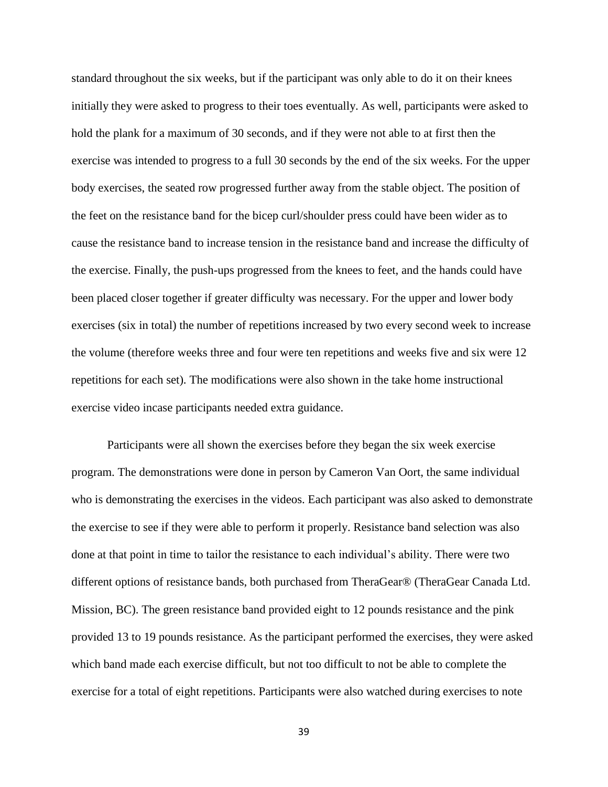standard throughout the six weeks, but if the participant was only able to do it on their knees initially they were asked to progress to their toes eventually. As well, participants were asked to hold the plank for a maximum of 30 seconds, and if they were not able to at first then the exercise was intended to progress to a full 30 seconds by the end of the six weeks. For the upper body exercises, the seated row progressed further away from the stable object. The position of the feet on the resistance band for the bicep curl/shoulder press could have been wider as to cause the resistance band to increase tension in the resistance band and increase the difficulty of the exercise. Finally, the push-ups progressed from the knees to feet, and the hands could have been placed closer together if greater difficulty was necessary. For the upper and lower body exercises (six in total) the number of repetitions increased by two every second week to increase the volume (therefore weeks three and four were ten repetitions and weeks five and six were 12 repetitions for each set). The modifications were also shown in the take home instructional exercise video incase participants needed extra guidance.

Participants were all shown the exercises before they began the six week exercise program. The demonstrations were done in person by Cameron Van Oort, the same individual who is demonstrating the exercises in the videos. Each participant was also asked to demonstrate the exercise to see if they were able to perform it properly. Resistance band selection was also done at that point in time to tailor the resistance to each individual"s ability. There were two different options of resistance bands, both purchased from TheraGear® (TheraGear Canada Ltd. Mission, BC). The green resistance band provided eight to 12 pounds resistance and the pink provided 13 to 19 pounds resistance. As the participant performed the exercises, they were asked which band made each exercise difficult, but not too difficult to not be able to complete the exercise for a total of eight repetitions. Participants were also watched during exercises to note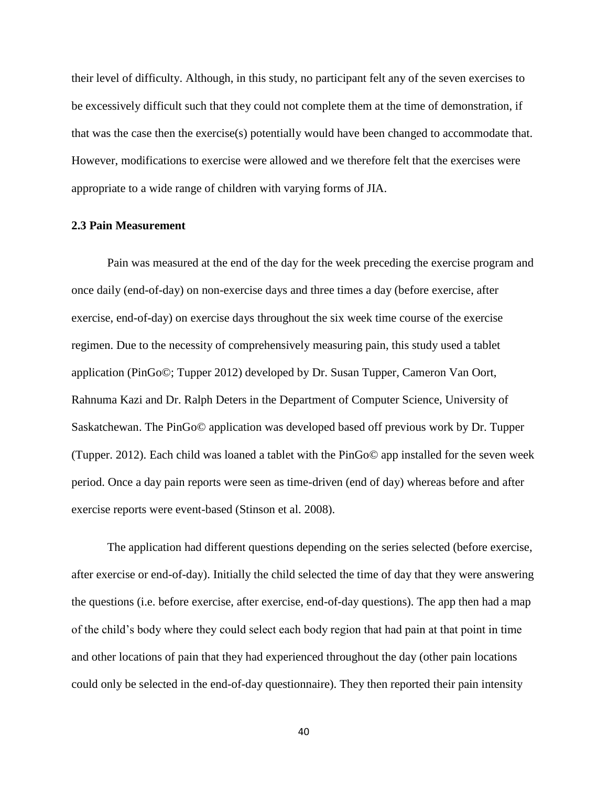their level of difficulty. Although, in this study, no participant felt any of the seven exercises to be excessively difficult such that they could not complete them at the time of demonstration, if that was the case then the exercise(s) potentially would have been changed to accommodate that. However, modifications to exercise were allowed and we therefore felt that the exercises were appropriate to a wide range of children with varying forms of JIA.

## **2.3 Pain Measurement**

Pain was measured at the end of the day for the week preceding the exercise program and once daily (end-of-day) on non-exercise days and three times a day (before exercise, after exercise, end-of-day) on exercise days throughout the six week time course of the exercise regimen. Due to the necessity of comprehensively measuring pain, this study used a tablet application (PinGo©; Tupper 2012) developed by Dr. Susan Tupper, Cameron Van Oort, Rahnuma Kazi and Dr. Ralph Deters in the Department of Computer Science, University of Saskatchewan. The PinGo© application was developed based off previous work by Dr. Tupper (Tupper. 2012). Each child was loaned a tablet with the PinGo© app installed for the seven week period. Once a day pain reports were seen as time-driven (end of day) whereas before and after exercise reports were event-based (Stinson et al. 2008).

The application had different questions depending on the series selected (before exercise, after exercise or end-of-day). Initially the child selected the time of day that they were answering the questions (i.e. before exercise, after exercise, end-of-day questions). The app then had a map of the child"s body where they could select each body region that had pain at that point in time and other locations of pain that they had experienced throughout the day (other pain locations could only be selected in the end-of-day questionnaire). They then reported their pain intensity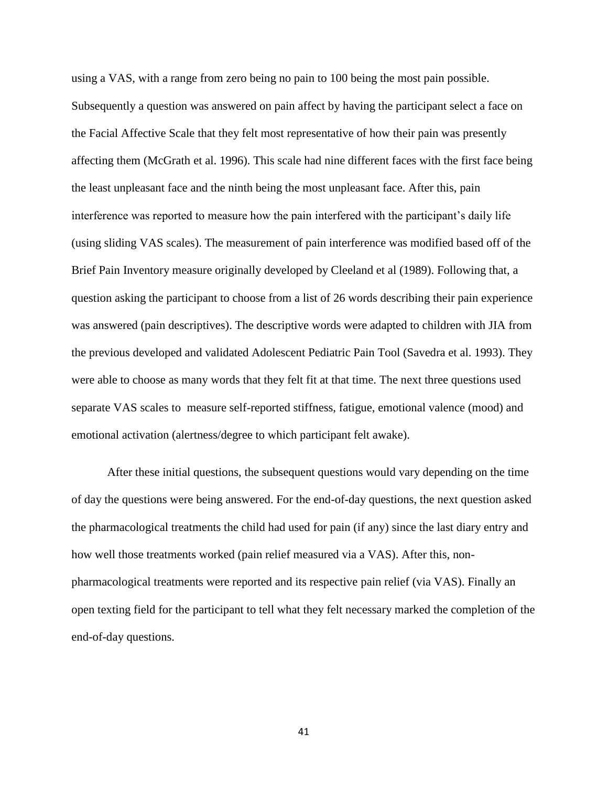using a VAS, with a range from zero being no pain to 100 being the most pain possible. Subsequently a question was answered on pain affect by having the participant select a face on the Facial Affective Scale that they felt most representative of how their pain was presently affecting them (McGrath et al. 1996). This scale had nine different faces with the first face being the least unpleasant face and the ninth being the most unpleasant face. After this, pain interference was reported to measure how the pain interfered with the participant's daily life (using sliding VAS scales). The measurement of pain interference was modified based off of the Brief Pain Inventory measure originally developed by Cleeland et al (1989). Following that, a question asking the participant to choose from a list of 26 words describing their pain experience was answered (pain descriptives). The descriptive words were adapted to children with JIA from the previous developed and validated Adolescent Pediatric Pain Tool (Savedra et al. 1993). They were able to choose as many words that they felt fit at that time. The next three questions used separate VAS scales to measure self-reported stiffness, fatigue, emotional valence (mood) and emotional activation (alertness/degree to which participant felt awake).

After these initial questions, the subsequent questions would vary depending on the time of day the questions were being answered. For the end-of-day questions, the next question asked the pharmacological treatments the child had used for pain (if any) since the last diary entry and how well those treatments worked (pain relief measured via a VAS). After this, nonpharmacological treatments were reported and its respective pain relief (via VAS). Finally an open texting field for the participant to tell what they felt necessary marked the completion of the end-of-day questions.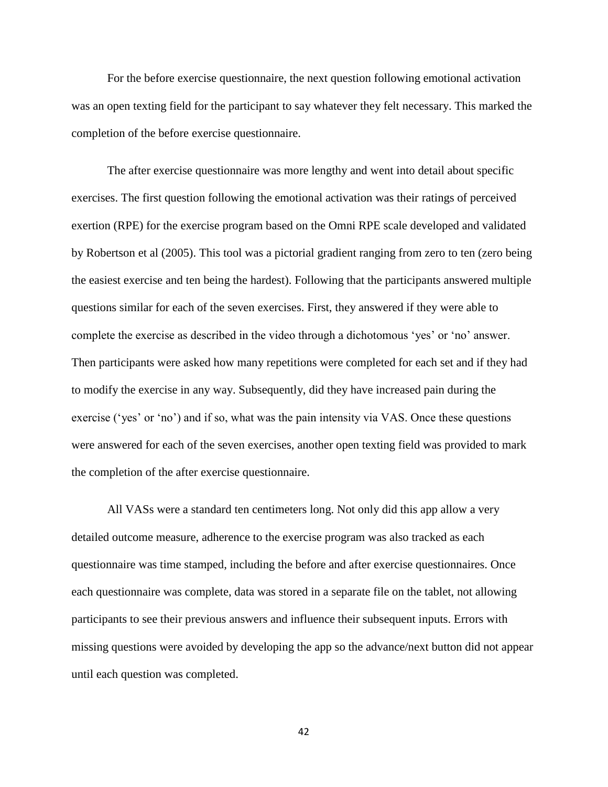For the before exercise questionnaire, the next question following emotional activation was an open texting field for the participant to say whatever they felt necessary. This marked the completion of the before exercise questionnaire.

The after exercise questionnaire was more lengthy and went into detail about specific exercises. The first question following the emotional activation was their ratings of perceived exertion (RPE) for the exercise program based on the Omni RPE scale developed and validated by Robertson et al (2005). This tool was a pictorial gradient ranging from zero to ten (zero being the easiest exercise and ten being the hardest). Following that the participants answered multiple questions similar for each of the seven exercises. First, they answered if they were able to complete the exercise as described in the video through a dichotomous "yes" or "no" answer. Then participants were asked how many repetitions were completed for each set and if they had to modify the exercise in any way. Subsequently, did they have increased pain during the exercise ('yes' or 'no') and if so, what was the pain intensity via VAS. Once these questions were answered for each of the seven exercises, another open texting field was provided to mark the completion of the after exercise questionnaire.

All VASs were a standard ten centimeters long. Not only did this app allow a very detailed outcome measure, adherence to the exercise program was also tracked as each questionnaire was time stamped, including the before and after exercise questionnaires. Once each questionnaire was complete, data was stored in a separate file on the tablet, not allowing participants to see their previous answers and influence their subsequent inputs. Errors with missing questions were avoided by developing the app so the advance/next button did not appear until each question was completed.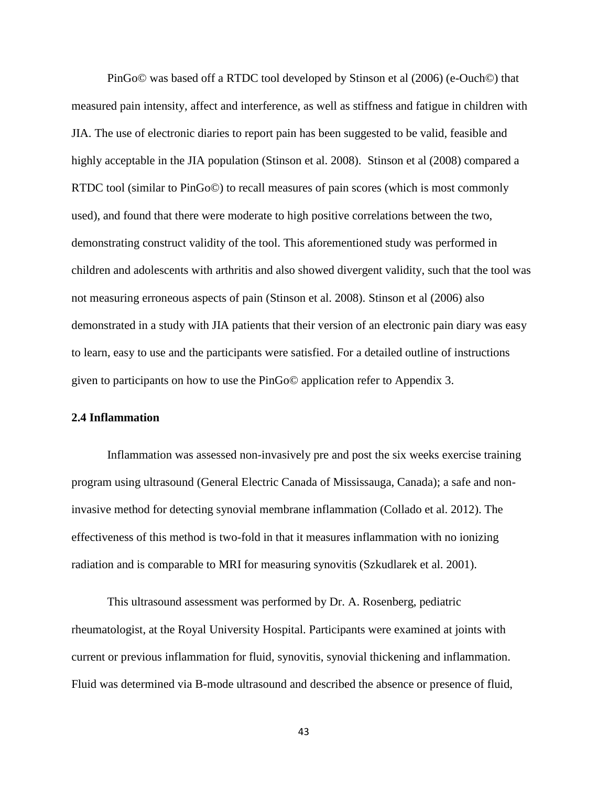PinGo© was based off a RTDC tool developed by Stinson et al (2006) (e-Ouch©) that measured pain intensity, affect and interference, as well as stiffness and fatigue in children with JIA. The use of electronic diaries to report pain has been suggested to be valid, feasible and highly acceptable in the JIA population (Stinson et al. 2008). Stinson et al (2008) compared a RTDC tool (similar to PinGo©) to recall measures of pain scores (which is most commonly used), and found that there were moderate to high positive correlations between the two, demonstrating construct validity of the tool. This aforementioned study was performed in children and adolescents with arthritis and also showed divergent validity, such that the tool was not measuring erroneous aspects of pain (Stinson et al. 2008). Stinson et al (2006) also demonstrated in a study with JIA patients that their version of an electronic pain diary was easy to learn, easy to use and the participants were satisfied. For a detailed outline of instructions given to participants on how to use the PinGo© application refer to Appendix 3.

## **2.4 Inflammation**

Inflammation was assessed non-invasively pre and post the six weeks exercise training program using ultrasound (General Electric Canada of Mississauga, Canada); a safe and noninvasive method for detecting synovial membrane inflammation (Collado et al. 2012). The effectiveness of this method is two-fold in that it measures inflammation with no ionizing radiation and is comparable to MRI for measuring synovitis (Szkudlarek et al. 2001).

This ultrasound assessment was performed by Dr. A. Rosenberg, pediatric rheumatologist, at the Royal University Hospital. Participants were examined at joints with current or previous inflammation for fluid, synovitis, synovial thickening and inflammation. Fluid was determined via B-mode ultrasound and described the absence or presence of fluid,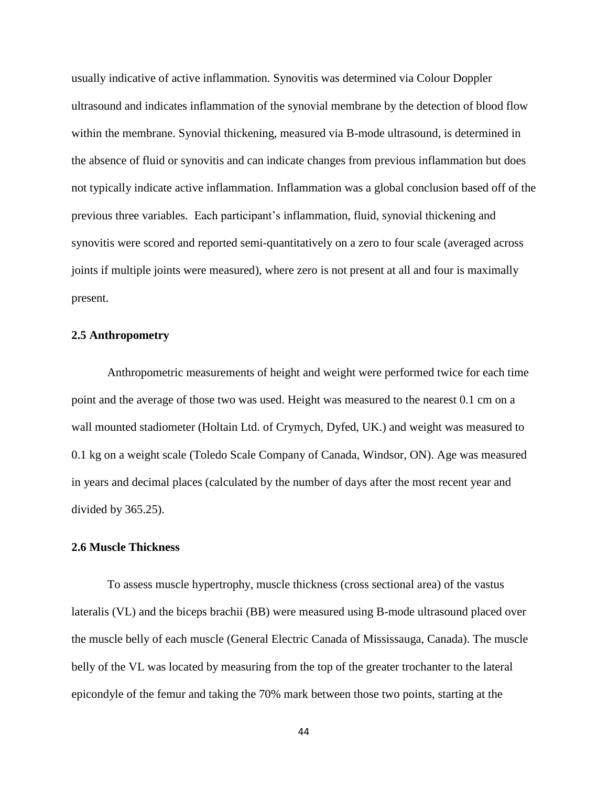usually indicative of active inflammation. Synovitis was determined via Colour Doppler ultrasound and indicates inflammation of the synovial membrane by the detection of blood flow within the membrane. Synovial thickening, measured via B-mode ultrasound, is determined in the absence of fluid or synovitis and can indicate changes from previous inflammation but does not typically indicate active inflammation. Inflammation was a global conclusion based off of the previous three variables. Each participant's inflammation, fluid, synovial thickening and synovitis were scored and reported semi-quantitatively on a zero to four scale (averaged across joints if multiple joints were measured), where zero is not present at all and four is maximally present.

## **2.5 Anthropometry**

Anthropometric measurements of height and weight were performed twice for each time point and the average of those two was used. Height was measured to the nearest 0.1 cm on a wall mounted stadiometer (Holtain Ltd. of Crymych, Dyfed, UK.) and weight was measured to 0.1 kg on a weight scale (Toledo Scale Company of Canada, Windsor, ON). Age was measured in years and decimal places (calculated by the number of days after the most recent year and divided by 365.25).

## **2.6 Muscle Thickness**

To assess muscle hypertrophy, muscle thickness (cross sectional area) of the vastus lateralis (VL) and the biceps brachii (BB) were measured using B-mode ultrasound placed over the muscle belly of each muscle (General Electric Canada of Mississauga, Canada). The muscle belly of the VL was located by measuring from the top of the greater trochanter to the lateral epicondyle of the femur and taking the 70% mark between those two points, starting at the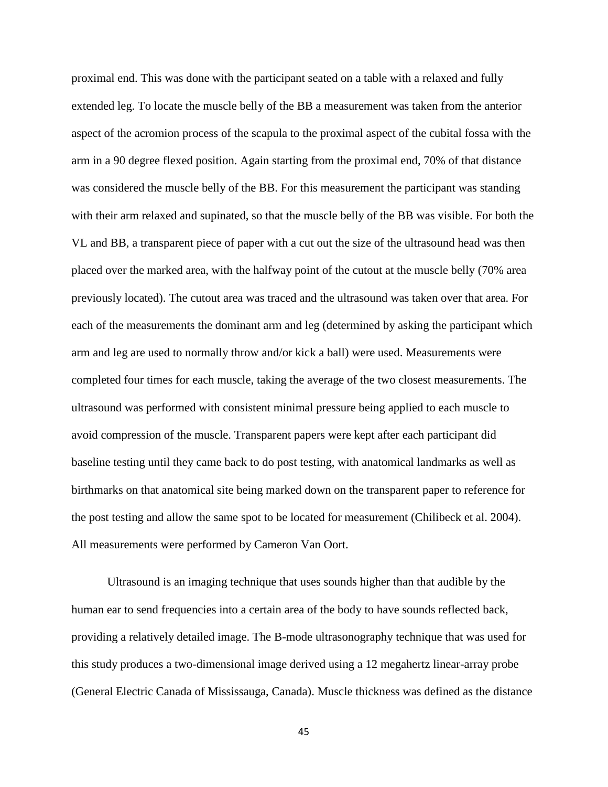proximal end. This was done with the participant seated on a table with a relaxed and fully extended leg. To locate the muscle belly of the BB a measurement was taken from the anterior aspect of the acromion process of the scapula to the proximal aspect of the cubital fossa with the arm in a 90 degree flexed position. Again starting from the proximal end, 70% of that distance was considered the muscle belly of the BB. For this measurement the participant was standing with their arm relaxed and supinated, so that the muscle belly of the BB was visible. For both the VL and BB, a transparent piece of paper with a cut out the size of the ultrasound head was then placed over the marked area, with the halfway point of the cutout at the muscle belly (70% area previously located). The cutout area was traced and the ultrasound was taken over that area. For each of the measurements the dominant arm and leg (determined by asking the participant which arm and leg are used to normally throw and/or kick a ball) were used. Measurements were completed four times for each muscle, taking the average of the two closest measurements. The ultrasound was performed with consistent minimal pressure being applied to each muscle to avoid compression of the muscle. Transparent papers were kept after each participant did baseline testing until they came back to do post testing, with anatomical landmarks as well as birthmarks on that anatomical site being marked down on the transparent paper to reference for the post testing and allow the same spot to be located for measurement (Chilibeck et al. 2004). All measurements were performed by Cameron Van Oort.

Ultrasound is an imaging technique that uses sounds higher than that audible by the human ear to send frequencies into a certain area of the body to have sounds reflected back, providing a relatively detailed image. The B-mode ultrasonography technique that was used for this study produces a two-dimensional image derived using a 12 megahertz linear-array probe (General Electric Canada of Mississauga, Canada). Muscle thickness was defined as the distance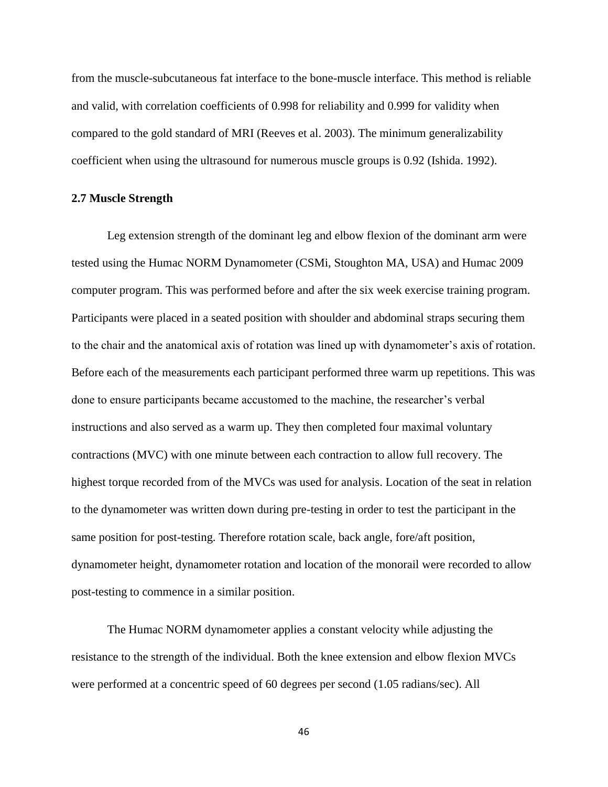from the muscle-subcutaneous fat interface to the bone-muscle interface. This method is reliable and valid, with correlation coefficients of 0.998 for reliability and 0.999 for validity when compared to the gold standard of MRI (Reeves et al. 2003). The minimum generalizability coefficient when using the ultrasound for numerous muscle groups is 0.92 (Ishida. 1992).

#### **2.7 Muscle Strength**

Leg extension strength of the dominant leg and elbow flexion of the dominant arm were tested using the Humac NORM Dynamometer (CSMi, Stoughton MA, USA) and Humac 2009 computer program. This was performed before and after the six week exercise training program. Participants were placed in a seated position with shoulder and abdominal straps securing them to the chair and the anatomical axis of rotation was lined up with dynamometer"s axis of rotation. Before each of the measurements each participant performed three warm up repetitions. This was done to ensure participants became accustomed to the machine, the researcher"s verbal instructions and also served as a warm up. They then completed four maximal voluntary contractions (MVC) with one minute between each contraction to allow full recovery. The highest torque recorded from of the MVCs was used for analysis. Location of the seat in relation to the dynamometer was written down during pre-testing in order to test the participant in the same position for post-testing. Therefore rotation scale, back angle, fore/aft position, dynamometer height, dynamometer rotation and location of the monorail were recorded to allow post-testing to commence in a similar position.

The Humac NORM dynamometer applies a constant velocity while adjusting the resistance to the strength of the individual. Both the knee extension and elbow flexion MVCs were performed at a concentric speed of 60 degrees per second (1.05 radians/sec). All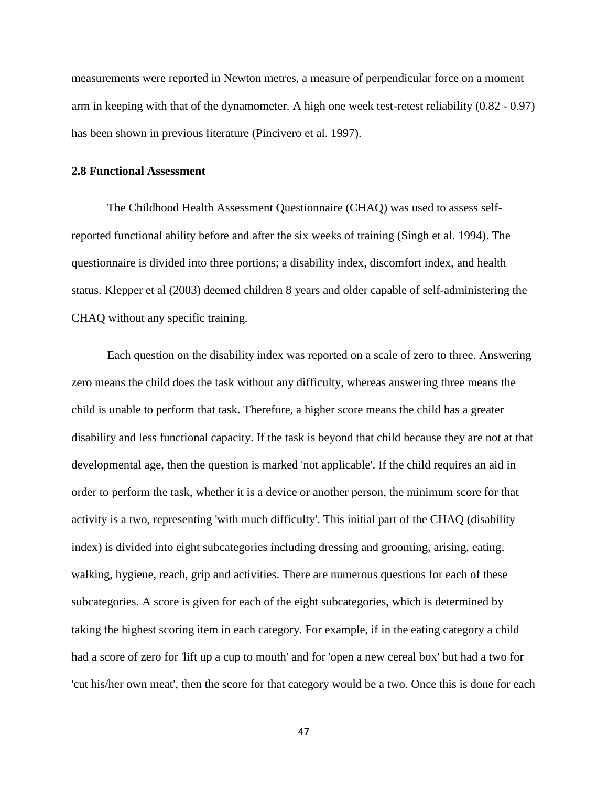measurements were reported in Newton metres, a measure of perpendicular force on a moment arm in keeping with that of the dynamometer. A high one week test-retest reliability (0.82 - 0.97) has been shown in previous literature (Pincivero et al. 1997).

### **2.8 Functional Assessment**

The Childhood Health Assessment Questionnaire (CHAQ) was used to assess selfreported functional ability before and after the six weeks of training (Singh et al. 1994). The questionnaire is divided into three portions; a disability index, discomfort index, and health status. Klepper et al (2003) deemed children 8 years and older capable of self-administering the CHAQ without any specific training.

Each question on the disability index was reported on a scale of zero to three. Answering zero means the child does the task without any difficulty, whereas answering three means the child is unable to perform that task. Therefore, a higher score means the child has a greater disability and less functional capacity. If the task is beyond that child because they are not at that developmental age, then the question is marked 'not applicable'. If the child requires an aid in order to perform the task, whether it is a device or another person, the minimum score for that activity is a two, representing 'with much difficulty'. This initial part of the CHAQ (disability index) is divided into eight subcategories including dressing and grooming, arising, eating, walking, hygiene, reach, grip and activities. There are numerous questions for each of these subcategories. A score is given for each of the eight subcategories, which is determined by taking the highest scoring item in each category. For example, if in the eating category a child had a score of zero for 'lift up a cup to mouth' and for 'open a new cereal box' but had a two for 'cut his/her own meat', then the score for that category would be a two. Once this is done for each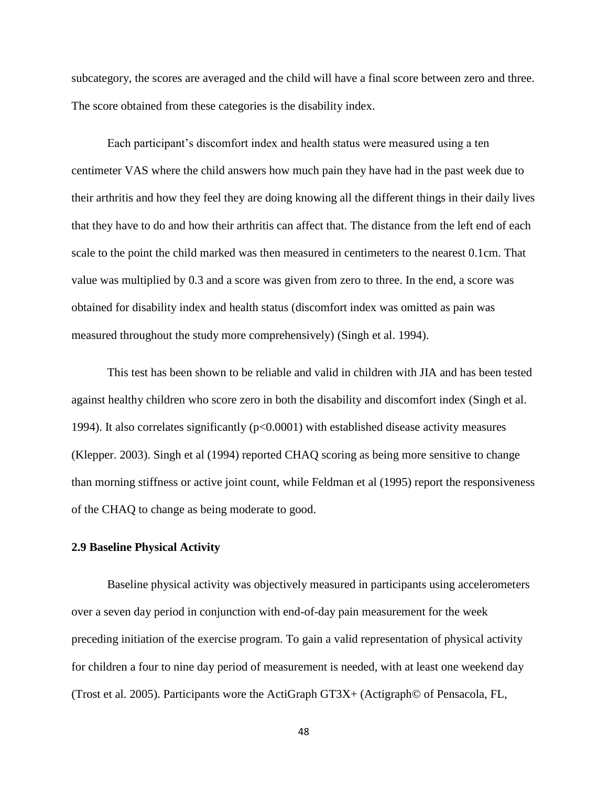subcategory, the scores are averaged and the child will have a final score between zero and three. The score obtained from these categories is the disability index.

Each participant"s discomfort index and health status were measured using a ten centimeter VAS where the child answers how much pain they have had in the past week due to their arthritis and how they feel they are doing knowing all the different things in their daily lives that they have to do and how their arthritis can affect that. The distance from the left end of each scale to the point the child marked was then measured in centimeters to the nearest 0.1cm. That value was multiplied by 0.3 and a score was given from zero to three. In the end, a score was obtained for disability index and health status (discomfort index was omitted as pain was measured throughout the study more comprehensively) (Singh et al. 1994).

This test has been shown to be reliable and valid in children with JIA and has been tested against healthy children who score zero in both the disability and discomfort index (Singh et al. 1994). It also correlates significantly  $(p<0.0001)$  with established disease activity measures (Klepper. 2003). Singh et al (1994) reported CHAQ scoring as being more sensitive to change than morning stiffness or active joint count, while Feldman et al (1995) report the responsiveness of the CHAQ to change as being moderate to good.

## **2.9 Baseline Physical Activity**

Baseline physical activity was objectively measured in participants using accelerometers over a seven day period in conjunction with end-of-day pain measurement for the week preceding initiation of the exercise program. To gain a valid representation of physical activity for children a four to nine day period of measurement is needed, with at least one weekend day (Trost et al. 2005). Participants wore the ActiGraph GT3X+ (Actigraph© of Pensacola, FL,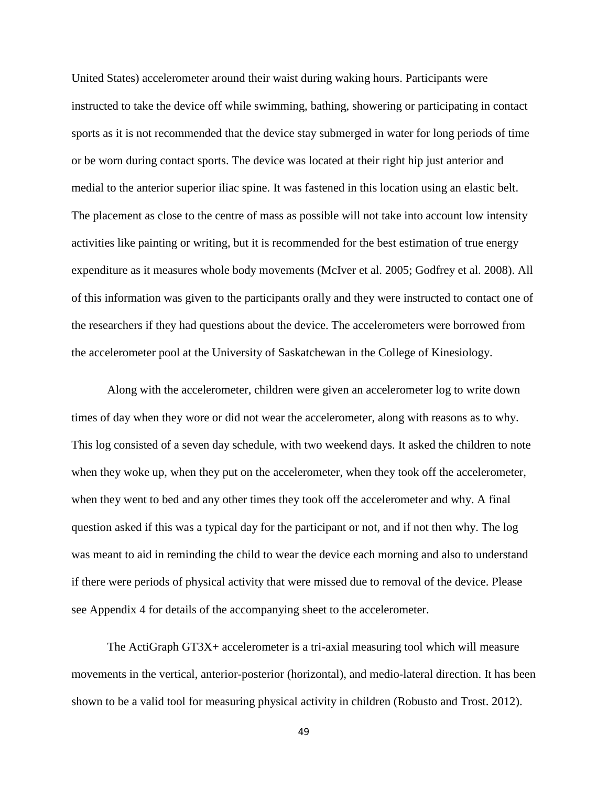United States) accelerometer around their waist during waking hours. Participants were instructed to take the device off while swimming, bathing, showering or participating in contact sports as it is not recommended that the device stay submerged in water for long periods of time or be worn during contact sports. The device was located at their right hip just anterior and medial to the anterior superior iliac spine. It was fastened in this location using an elastic belt. The placement as close to the centre of mass as possible will not take into account low intensity activities like painting or writing, but it is recommended for the best estimation of true energy expenditure as it measures whole body movements (McIver et al. 2005; Godfrey et al. 2008). All of this information was given to the participants orally and they were instructed to contact one of the researchers if they had questions about the device. The accelerometers were borrowed from the accelerometer pool at the University of Saskatchewan in the College of Kinesiology.

Along with the accelerometer, children were given an accelerometer log to write down times of day when they wore or did not wear the accelerometer, along with reasons as to why. This log consisted of a seven day schedule, with two weekend days. It asked the children to note when they woke up, when they put on the accelerometer, when they took off the accelerometer, when they went to bed and any other times they took off the accelerometer and why. A final question asked if this was a typical day for the participant or not, and if not then why. The log was meant to aid in reminding the child to wear the device each morning and also to understand if there were periods of physical activity that were missed due to removal of the device. Please see Appendix 4 for details of the accompanying sheet to the accelerometer.

The ActiGraph GT3X+ accelerometer is a tri-axial measuring tool which will measure movements in the vertical, anterior-posterior (horizontal), and medio-lateral direction. It has been shown to be a valid tool for measuring physical activity in children (Robusto and Trost. 2012).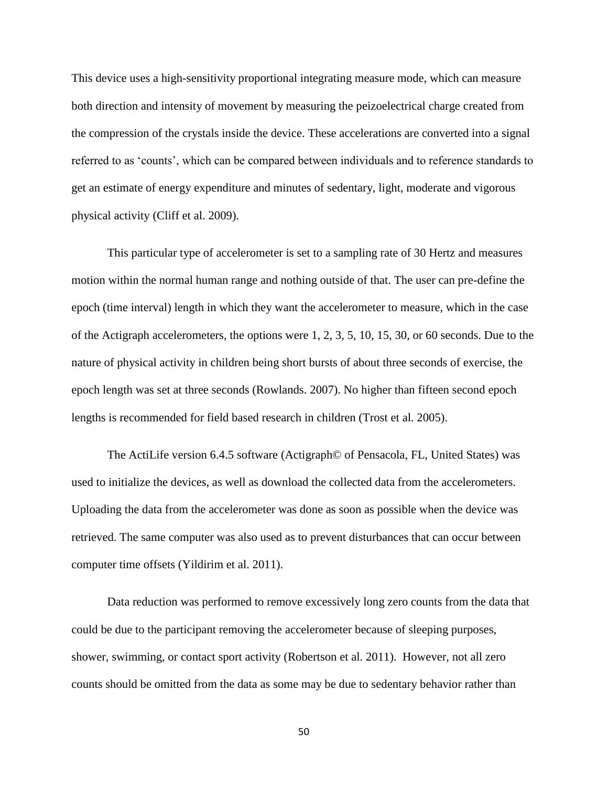This device uses a high-sensitivity proportional integrating measure mode, which can measure both direction and intensity of movement by measuring the peizoelectrical charge created from the compression of the crystals inside the device. These accelerations are converted into a signal referred to as "counts", which can be compared between individuals and to reference standards to get an estimate of energy expenditure and minutes of sedentary, light, moderate and vigorous physical activity (Cliff et al. 2009).

This particular type of accelerometer is set to a sampling rate of 30 Hertz and measures motion within the normal human range and nothing outside of that. The user can pre-define the epoch (time interval) length in which they want the accelerometer to measure, which in the case of the Actigraph accelerometers, the options were 1, 2, 3, 5, 10, 15, 30, or 60 seconds. Due to the nature of physical activity in children being short bursts of about three seconds of exercise, the epoch length was set at three seconds (Rowlands. 2007). No higher than fifteen second epoch lengths is recommended for field based research in children (Trost et al. 2005).

The ActiLife version 6.4.5 software (Actigraph© of Pensacola, FL, United States) was used to initialize the devices, as well as download the collected data from the accelerometers. Uploading the data from the accelerometer was done as soon as possible when the device was retrieved. The same computer was also used as to prevent disturbances that can occur between computer time offsets (Yildirim et al. 2011).

Data reduction was performed to remove excessively long zero counts from the data that could be due to the participant removing the accelerometer because of sleeping purposes, shower, swimming, or contact sport activity (Robertson et al. 2011). However, not all zero counts should be omitted from the data as some may be due to sedentary behavior rather than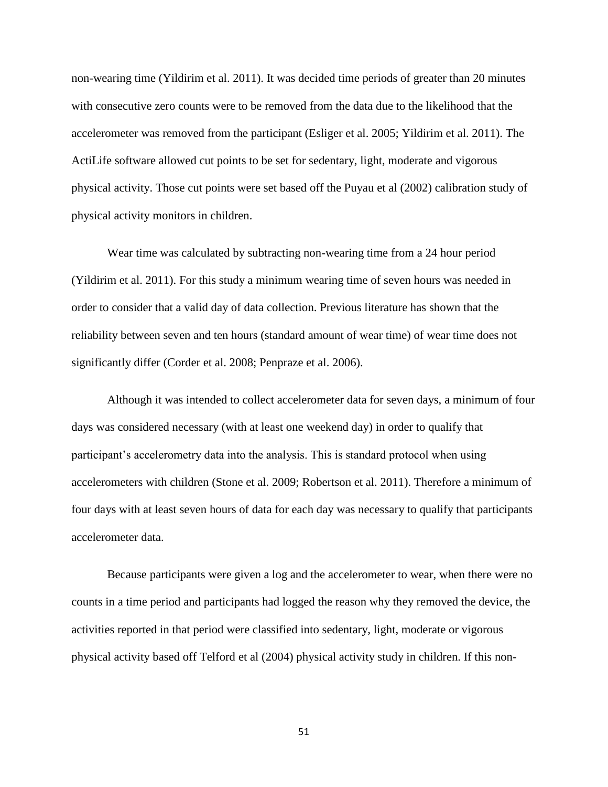non-wearing time (Yildirim et al. 2011). It was decided time periods of greater than 20 minutes with consecutive zero counts were to be removed from the data due to the likelihood that the accelerometer was removed from the participant (Esliger et al. 2005; Yildirim et al. 2011). The ActiLife software allowed cut points to be set for sedentary, light, moderate and vigorous physical activity. Those cut points were set based off the Puyau et al (2002) calibration study of physical activity monitors in children.

Wear time was calculated by subtracting non-wearing time from a 24 hour period (Yildirim et al. 2011). For this study a minimum wearing time of seven hours was needed in order to consider that a valid day of data collection. Previous literature has shown that the reliability between seven and ten hours (standard amount of wear time) of wear time does not significantly differ (Corder et al. 2008; Penpraze et al. 2006).

Although it was intended to collect accelerometer data for seven days, a minimum of four days was considered necessary (with at least one weekend day) in order to qualify that participant's accelerometry data into the analysis. This is standard protocol when using accelerometers with children (Stone et al. 2009; Robertson et al. 2011). Therefore a minimum of four days with at least seven hours of data for each day was necessary to qualify that participants accelerometer data.

Because participants were given a log and the accelerometer to wear, when there were no counts in a time period and participants had logged the reason why they removed the device, the activities reported in that period were classified into sedentary, light, moderate or vigorous physical activity based off Telford et al (2004) physical activity study in children. If this non-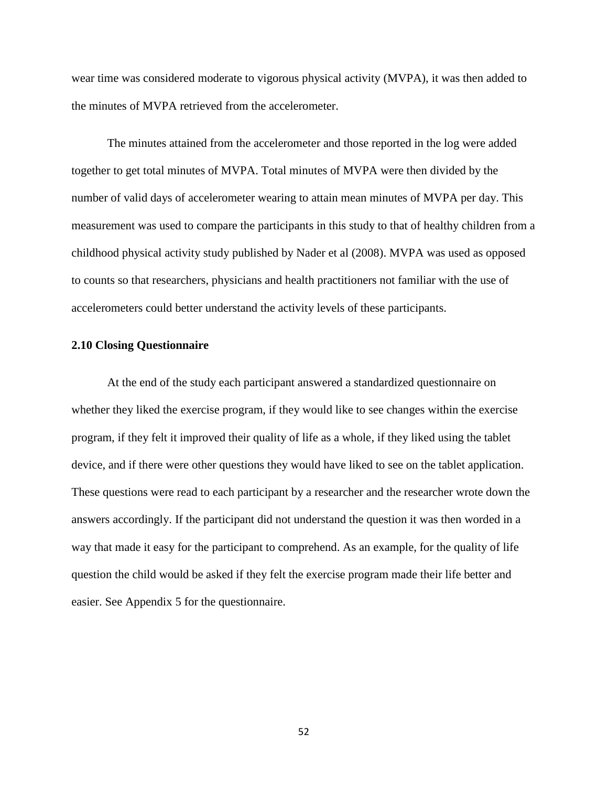wear time was considered moderate to vigorous physical activity (MVPA), it was then added to the minutes of MVPA retrieved from the accelerometer.

The minutes attained from the accelerometer and those reported in the log were added together to get total minutes of MVPA. Total minutes of MVPA were then divided by the number of valid days of accelerometer wearing to attain mean minutes of MVPA per day. This measurement was used to compare the participants in this study to that of healthy children from a childhood physical activity study published by Nader et al (2008). MVPA was used as opposed to counts so that researchers, physicians and health practitioners not familiar with the use of accelerometers could better understand the activity levels of these participants.

## **2.10 Closing Questionnaire**

At the end of the study each participant answered a standardized questionnaire on whether they liked the exercise program, if they would like to see changes within the exercise program, if they felt it improved their quality of life as a whole, if they liked using the tablet device, and if there were other questions they would have liked to see on the tablet application. These questions were read to each participant by a researcher and the researcher wrote down the answers accordingly. If the participant did not understand the question it was then worded in a way that made it easy for the participant to comprehend. As an example, for the quality of life question the child would be asked if they felt the exercise program made their life better and easier. See Appendix 5 for the questionnaire.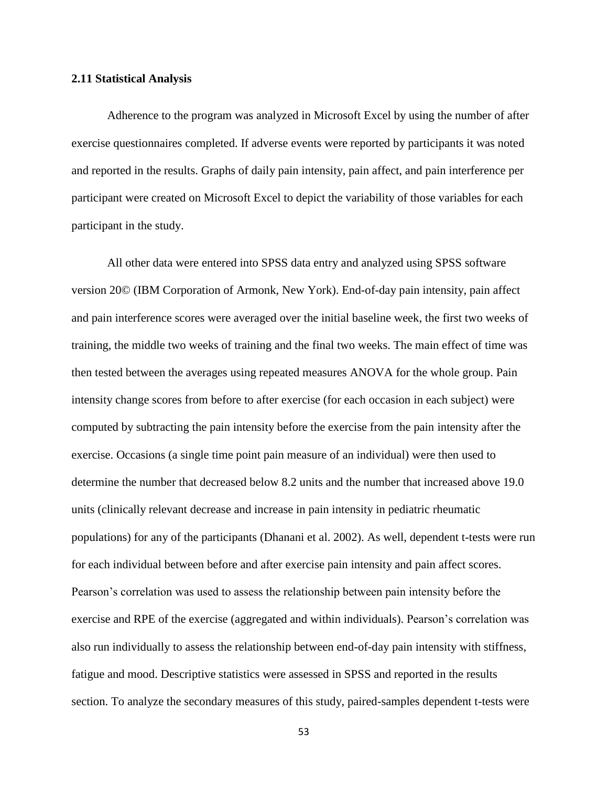## **2.11 Statistical Analysis**

Adherence to the program was analyzed in Microsoft Excel by using the number of after exercise questionnaires completed. If adverse events were reported by participants it was noted and reported in the results. Graphs of daily pain intensity, pain affect, and pain interference per participant were created on Microsoft Excel to depict the variability of those variables for each participant in the study.

All other data were entered into SPSS data entry and analyzed using SPSS software version 20© (IBM Corporation of Armonk, New York). End-of-day pain intensity, pain affect and pain interference scores were averaged over the initial baseline week, the first two weeks of training, the middle two weeks of training and the final two weeks. The main effect of time was then tested between the averages using repeated measures ANOVA for the whole group. Pain intensity change scores from before to after exercise (for each occasion in each subject) were computed by subtracting the pain intensity before the exercise from the pain intensity after the exercise. Occasions (a single time point pain measure of an individual) were then used to determine the number that decreased below 8.2 units and the number that increased above 19.0 units (clinically relevant decrease and increase in pain intensity in pediatric rheumatic populations) for any of the participants (Dhanani et al. 2002). As well, dependent t-tests were run for each individual between before and after exercise pain intensity and pain affect scores. Pearson"s correlation was used to assess the relationship between pain intensity before the exercise and RPE of the exercise (aggregated and within individuals). Pearson"s correlation was also run individually to assess the relationship between end-of-day pain intensity with stiffness, fatigue and mood. Descriptive statistics were assessed in SPSS and reported in the results section. To analyze the secondary measures of this study, paired-samples dependent t-tests were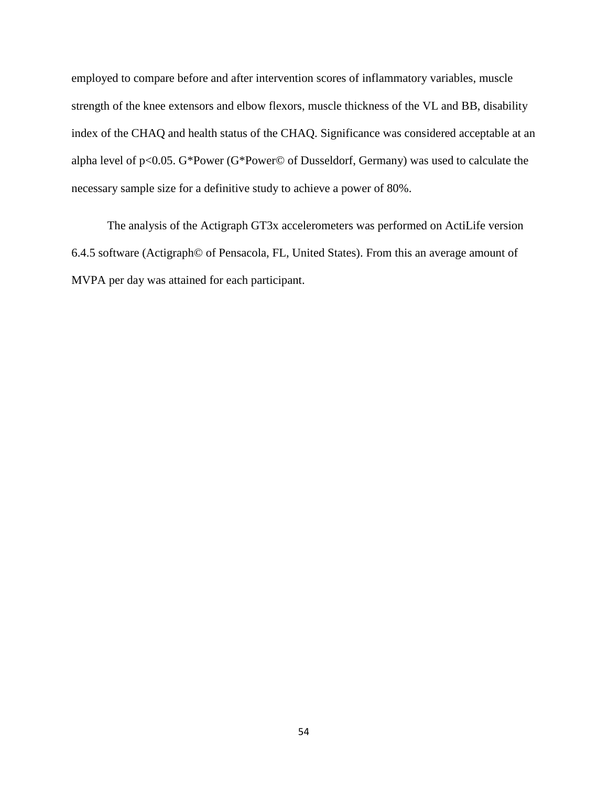employed to compare before and after intervention scores of inflammatory variables, muscle strength of the knee extensors and elbow flexors, muscle thickness of the VL and BB, disability index of the CHAQ and health status of the CHAQ. Significance was considered acceptable at an alpha level of p<0.05. G\*Power (G\*Power© of Dusseldorf, Germany) was used to calculate the necessary sample size for a definitive study to achieve a power of 80%.

The analysis of the Actigraph GT3x accelerometers was performed on ActiLife version 6.4.5 software (Actigraph© of Pensacola, FL, United States). From this an average amount of MVPA per day was attained for each participant.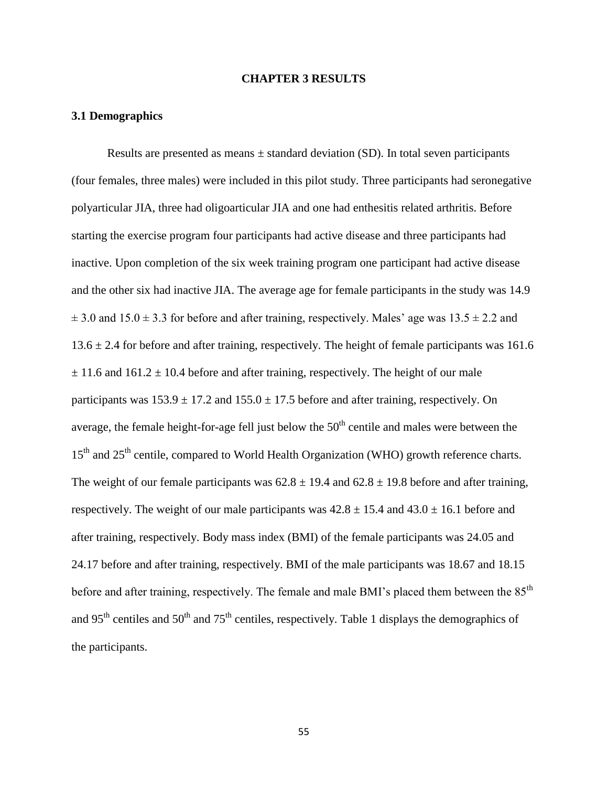#### **CHAPTER 3 RESULTS**

# **3.1 Demographics**

Results are presented as means  $\pm$  standard deviation (SD). In total seven participants (four females, three males) were included in this pilot study. Three participants had seronegative polyarticular JIA, three had oligoarticular JIA and one had enthesitis related arthritis. Before starting the exercise program four participants had active disease and three participants had inactive. Upon completion of the six week training program one participant had active disease and the other six had inactive JIA. The average age for female participants in the study was 14.9  $\pm$  3.0 and 15.0  $\pm$  3.3 for before and after training, respectively. Males' age was 13.5  $\pm$  2.2 and  $13.6 \pm 2.4$  for before and after training, respectively. The height of female participants was 161.6  $\pm$  11.6 and 161.2  $\pm$  10.4 before and after training, respectively. The height of our male participants was  $153.9 \pm 17.2$  and  $155.0 \pm 17.5$  before and after training, respectively. On average, the female height-for-age fell just below the  $50<sup>th</sup>$  centile and males were between the 15<sup>th</sup> and 25<sup>th</sup> centile, compared to World Health Organization (WHO) growth reference charts. The weight of our female participants was  $62.8 \pm 19.4$  and  $62.8 \pm 19.8$  before and after training, respectively. The weight of our male participants was  $42.8 \pm 15.4$  and  $43.0 \pm 16.1$  before and after training, respectively. Body mass index (BMI) of the female participants was 24.05 and 24.17 before and after training, respectively. BMI of the male participants was 18.67 and 18.15 before and after training, respectively. The female and male BMI's placed them between the 85<sup>th</sup> and 95<sup>th</sup> centiles and 50<sup>th</sup> and 75<sup>th</sup> centiles, respectively. Table 1 displays the demographics of the participants.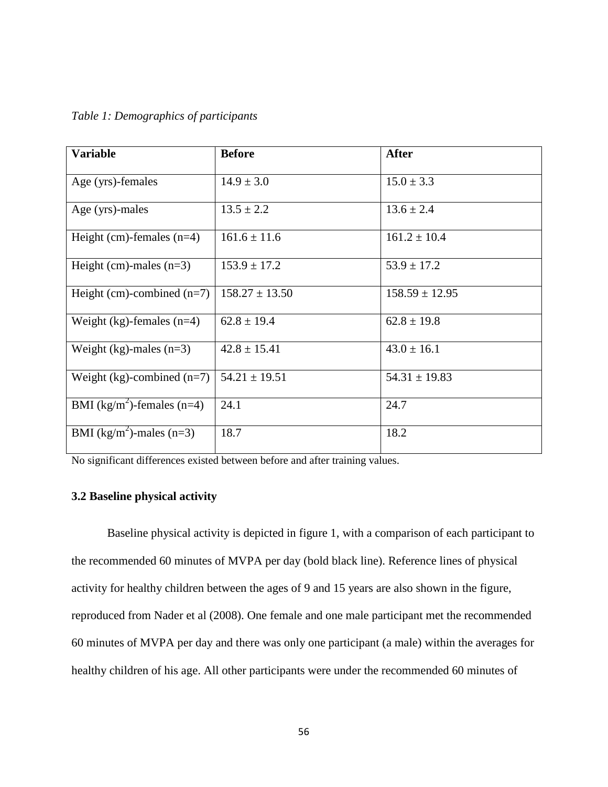|  |  |  | Table 1: Demographics of participants |
|--|--|--|---------------------------------------|
|--|--|--|---------------------------------------|

| <b>Variable</b>                        | <b>Before</b>      | <b>After</b>       |
|----------------------------------------|--------------------|--------------------|
| Age (yrs)-females                      | $14.9 \pm 3.0$     | $15.0 \pm 3.3$     |
| Age (yrs)-males                        | $13.5 \pm 2.2$     | $13.6 \pm 2.4$     |
| Height (cm)-females $(n=4)$            | $161.6 \pm 11.6$   | $161.2 \pm 10.4$   |
| Height (cm)-males $(n=3)$              | $153.9 \pm 17.2$   | $53.9 \pm 17.2$    |
| Height (cm)-combined $(n=7)$           | $158.27 \pm 13.50$ | $158.59 \pm 12.95$ |
| Weight (kg)-females $(n=4)$            | $62.8 \pm 19.4$    | $62.8 \pm 19.8$    |
| Weight (kg)-males $(n=3)$              | $42.8 \pm 15.41$   | $43.0 \pm 16.1$    |
| Weight $(kg)$ -combined $(n=7)$        | $54.21 \pm 19.51$  | $54.31 \pm 19.83$  |
| BMI (kg/m <sup>2</sup> )-females (n=4) | 24.1               | 24.7               |
| BMI (kg/m <sup>2</sup> )-males (n=3)   | 18.7               | 18.2               |

No significant differences existed between before and after training values.

# **3.2 Baseline physical activity**

Baseline physical activity is depicted in figure 1, with a comparison of each participant to the recommended 60 minutes of MVPA per day (bold black line). Reference lines of physical activity for healthy children between the ages of 9 and 15 years are also shown in the figure, reproduced from Nader et al (2008). One female and one male participant met the recommended 60 minutes of MVPA per day and there was only one participant (a male) within the averages for healthy children of his age. All other participants were under the recommended 60 minutes of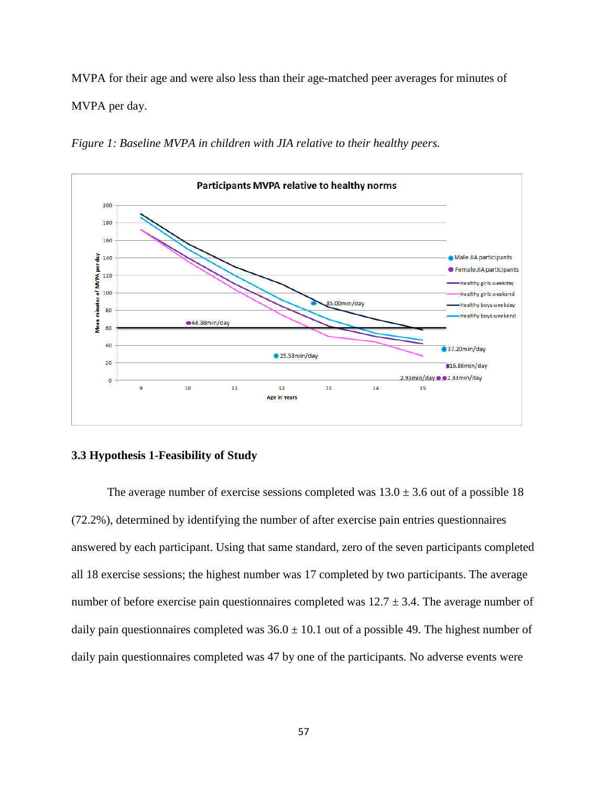MVPA for their age and were also less than their age-matched peer averages for minutes of MVPA per day.

*Figure 1: Baseline MVPA in children with JIA relative to their healthy peers.*



## **3.3 Hypothesis 1-Feasibility of Study**

The average number of exercise sessions completed was  $13.0 \pm 3.6$  out of a possible 18 (72.2%), determined by identifying the number of after exercise pain entries questionnaires answered by each participant. Using that same standard, zero of the seven participants completed all 18 exercise sessions; the highest number was 17 completed by two participants. The average number of before exercise pain questionnaires completed was  $12.7 \pm 3.4$ . The average number of daily pain questionnaires completed was  $36.0 \pm 10.1$  out of a possible 49. The highest number of daily pain questionnaires completed was 47 by one of the participants. No adverse events were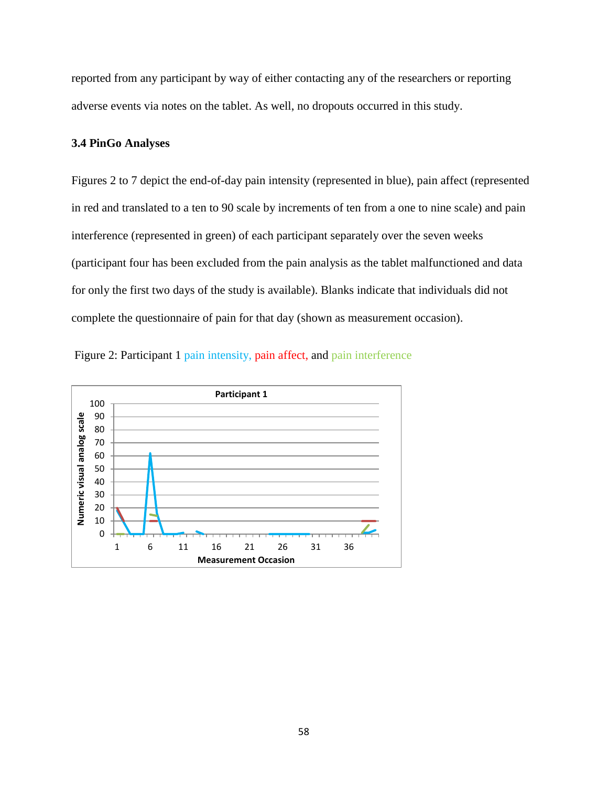reported from any participant by way of either contacting any of the researchers or reporting adverse events via notes on the tablet. As well, no dropouts occurred in this study.

# **3.4 PinGo Analyses**

Figures 2 to 7 depict the end-of-day pain intensity (represented in blue), pain affect (represented in red and translated to a ten to 90 scale by increments of ten from a one to nine scale) and pain interference (represented in green) of each participant separately over the seven weeks (participant four has been excluded from the pain analysis as the tablet malfunctioned and data for only the first two days of the study is available). Blanks indicate that individuals did not complete the questionnaire of pain for that day (shown as measurement occasion).



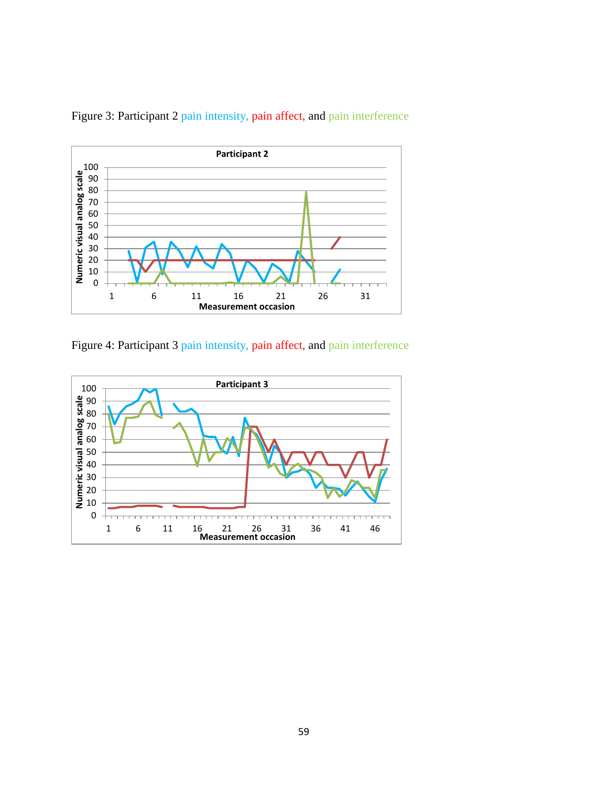

Figure 3: Participant 2 pain intensity, pain affect, and pain interference

Figure 4: Participant 3 pain intensity, pain affect, and pain interference

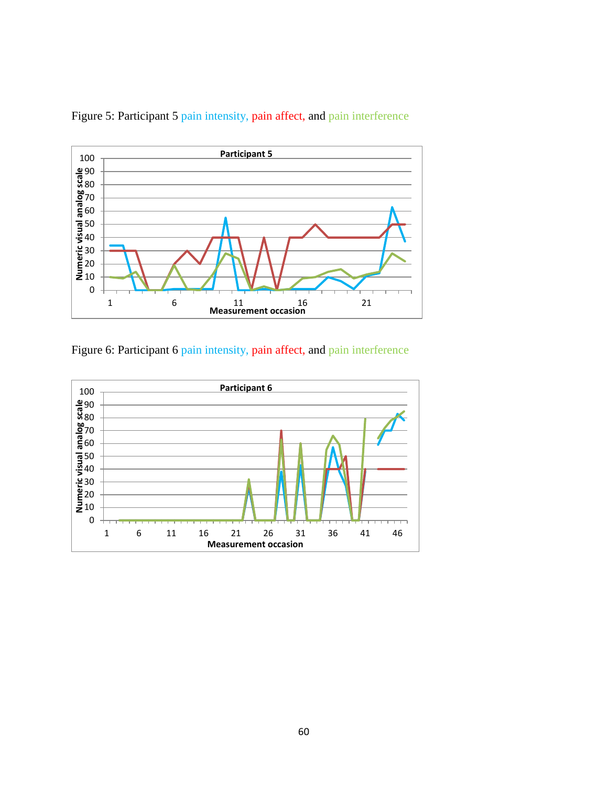

Figure 5: Participant 5 pain intensity, pain affect, and pain interference



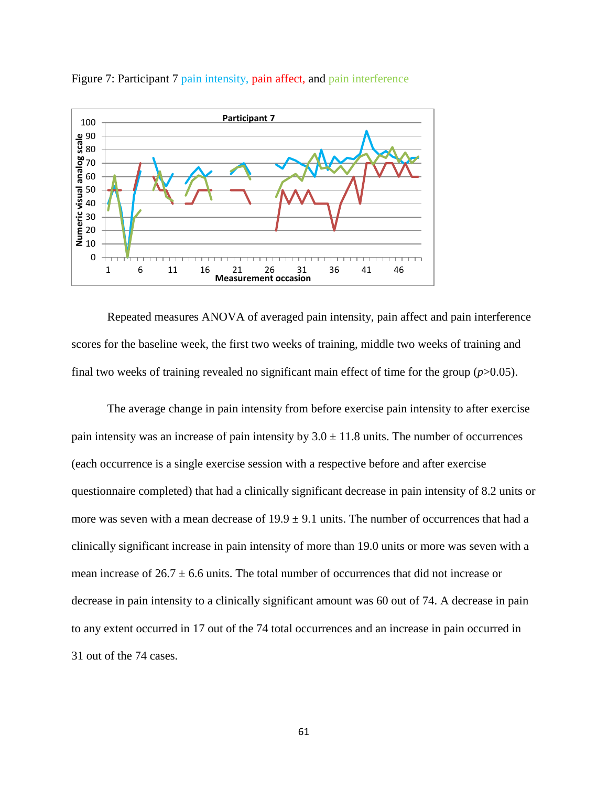

Figure 7: Participant 7 pain intensity, pain affect, and pain interference

Repeated measures ANOVA of averaged pain intensity, pain affect and pain interference scores for the baseline week, the first two weeks of training, middle two weeks of training and final two weeks of training revealed no significant main effect of time for the group  $(p>0.05)$ .

The average change in pain intensity from before exercise pain intensity to after exercise pain intensity was an increase of pain intensity by  $3.0 \pm 11.8$  units. The number of occurrences (each occurrence is a single exercise session with a respective before and after exercise questionnaire completed) that had a clinically significant decrease in pain intensity of 8.2 units or more was seven with a mean decrease of  $19.9 \pm 9.1$  units. The number of occurrences that had a clinically significant increase in pain intensity of more than 19.0 units or more was seven with a mean increase of  $26.7 \pm 6.6$  units. The total number of occurrences that did not increase or decrease in pain intensity to a clinically significant amount was 60 out of 74. A decrease in pain to any extent occurred in 17 out of the 74 total occurrences and an increase in pain occurred in 31 out of the 74 cases.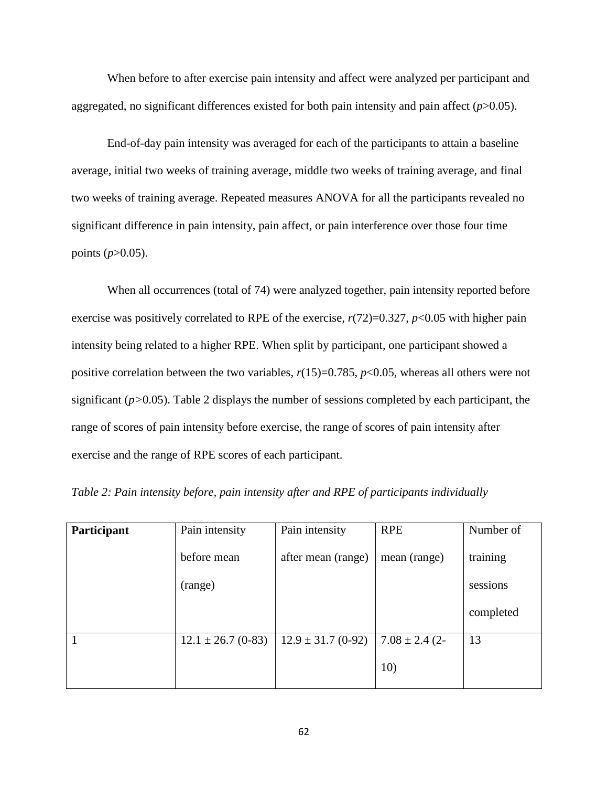When before to after exercise pain intensity and affect were analyzed per participant and aggregated, no significant differences existed for both pain intensity and pain affect (*p*>0.05).

End-of-day pain intensity was averaged for each of the participants to attain a baseline average, initial two weeks of training average, middle two weeks of training average, and final two weeks of training average. Repeated measures ANOVA for all the participants revealed no significant difference in pain intensity, pain affect, or pain interference over those four time points  $(p>0.05)$ .

When all occurrences (total of 74) were analyzed together, pain intensity reported before exercise was positively correlated to RPE of the exercise,  $r(72)=0.327$ ,  $p<0.05$  with higher pain intensity being related to a higher RPE. When split by participant, one participant showed a positive correlation between the two variables,  $r(15)=0.785$ ,  $p<0.05$ , whereas all others were not significant (*p>*0.05). Table 2 displays the number of sessions completed by each participant, the range of scores of pain intensity before exercise, the range of scores of pain intensity after exercise and the range of RPE scores of each participant.

| Participant | Pain intensity         | Pain intensity         | <b>RPE</b>         | Number of |
|-------------|------------------------|------------------------|--------------------|-----------|
|             | before mean            | after mean (range)     | mean (range)       | training  |
|             | (range)                |                        |                    | sessions  |
|             |                        |                        |                    | completed |
|             | $12.1 \pm 26.7$ (0-83) | $12.9 \pm 31.7$ (0-92) | $7.08 \pm 2.4$ (2- | 13        |
|             |                        |                        | 10)                |           |

*Table 2: Pain intensity before, pain intensity after and RPE of participants individually*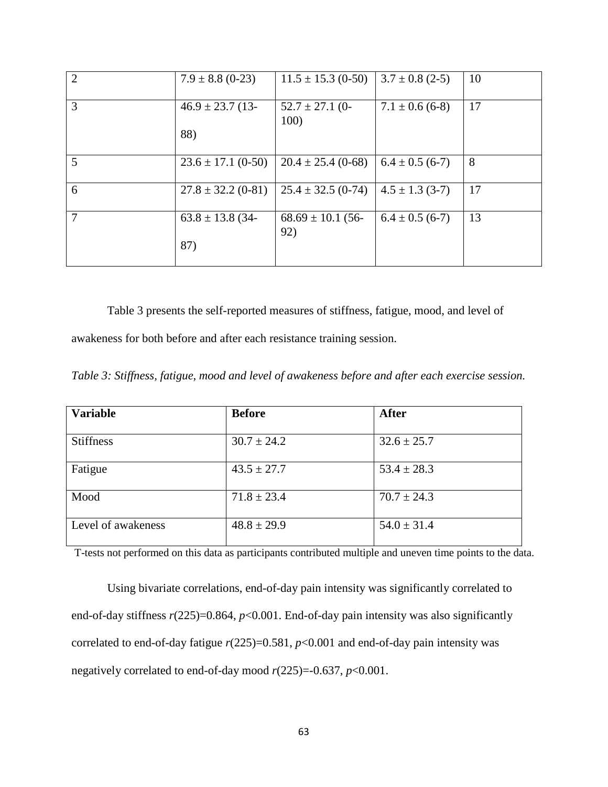| $\overline{2}$ | $7.9 \pm 8.8$ (0-23)   | $11.5 \pm 15.3$ (0-50)       | $3.7 \pm 0.8$ (2-5) | 10 |
|----------------|------------------------|------------------------------|---------------------|----|
| 3              | $46.9 \pm 23.7$ (13-   | $52.7 \pm 27.1$ (0-<br>100)  | $7.1 \pm 0.6$ (6-8) | 17 |
|                | 88)                    |                              |                     |    |
| 5              | $23.6 \pm 17.1$ (0-50) | $20.4 \pm 25.4$ (0-68)       | $6.4 \pm 0.5$ (6-7) | 8  |
| 6              | $27.8 \pm 32.2$ (0-81) | $25.4 \pm 32.5$ (0-74)       | $4.5 \pm 1.3$ (3-7) | 17 |
| 7              | $63.8 \pm 13.8$ (34-   | $68.69 \pm 10.1$ (56-<br>92) | $6.4 \pm 0.5$ (6-7) | 13 |
|                | 87)                    |                              |                     |    |

Table 3 presents the self-reported measures of stiffness, fatigue, mood, and level of awakeness for both before and after each resistance training session.

*Table 3: Stiffness, fatigue, mood and level of awakeness before and after each exercise session.*

| <b>Variable</b>    | <b>Before</b>   | <b>After</b>    |
|--------------------|-----------------|-----------------|
|                    |                 |                 |
| <b>Stiffness</b>   | $30.7 \pm 24.2$ | $32.6 \pm 25.7$ |
|                    |                 |                 |
| Fatigue            | $43.5 \pm 27.7$ | $53.4 \pm 28.3$ |
|                    |                 |                 |
| Mood               | $71.8 \pm 23.4$ | $70.7 \pm 24.3$ |
|                    |                 |                 |
| Level of awakeness | $48.8 \pm 29.9$ | $54.0 \pm 31.4$ |
|                    |                 |                 |

T-tests not performed on this data as participants contributed multiple and uneven time points to the data.

Using bivariate correlations, end-of-day pain intensity was significantly correlated to end-of-day stiffness *r*(225)=0.864, *p*<0.001. End-of-day pain intensity was also significantly correlated to end-of-day fatigue *r*(225)=0.581, *p*<0.001 and end-of-day pain intensity was negatively correlated to end-of-day mood *r*(225)=-0.637, *p*<0.001.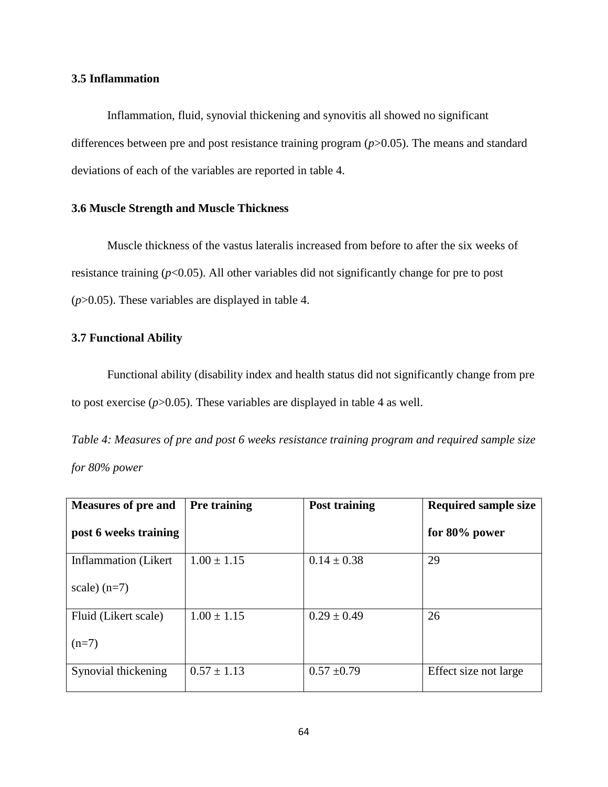### **3.5 Inflammation**

Inflammation, fluid, synovial thickening and synovitis all showed no significant differences between pre and post resistance training program (*p*>0.05). The means and standard deviations of each of the variables are reported in table 4.

#### **3.6 Muscle Strength and Muscle Thickness**

Muscle thickness of the vastus lateralis increased from before to after the six weeks of resistance training (*p*<0.05). All other variables did not significantly change for pre to post (*p*>0.05). These variables are displayed in table 4.

#### **3.7 Functional Ability**

Functional ability (disability index and health status did not significantly change from pre to post exercise  $(p>0.05)$ . These variables are displayed in table 4 as well.

*Table 4: Measures of pre and post 6 weeks resistance training program and required sample size for 80% power*

| <b>Measures of pre and</b> | Pre training    | <b>Post training</b> | <b>Required sample size</b> |
|----------------------------|-----------------|----------------------|-----------------------------|
| post 6 weeks training      |                 |                      | for $80\%$ power            |
| Inflammation (Likert)      | $1.00 \pm 1.15$ | $0.14 \pm 0.38$      | 29                          |
| scale) $(n=7)$             |                 |                      |                             |
| Fluid (Likert scale)       | $1.00 \pm 1.15$ | $0.29 \pm 0.49$      | 26                          |
| $(n=7)$                    |                 |                      |                             |
| Synovial thickening        | $0.57 \pm 1.13$ | $0.57 \pm 0.79$      | Effect size not large       |
|                            |                 |                      |                             |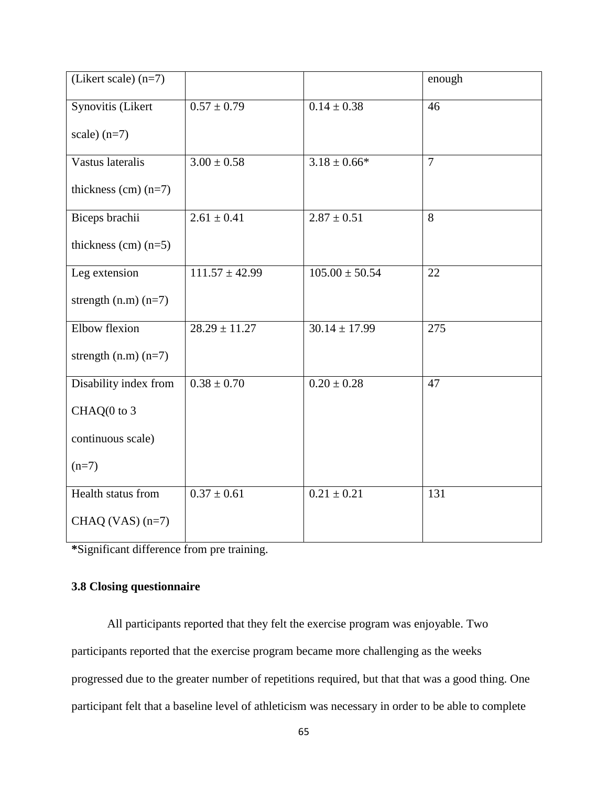| (Likert scale) $(n=7)$   |                    |                    | enough         |
|--------------------------|--------------------|--------------------|----------------|
| Synovitis (Likert        | $0.57 \pm 0.79$    | $0.14 \pm 0.38$    | 46             |
| scale) $(n=7)$           |                    |                    |                |
| Vastus lateralis         | $3.00 \pm 0.58$    | $3.18 \pm 0.66*$   | $\overline{7}$ |
| thickness $(cm)$ $(n=7)$ |                    |                    |                |
| Biceps brachii           | $2.61 \pm 0.41$    | $2.87 \pm 0.51$    | 8              |
| thickness $(cm)$ $(n=5)$ |                    |                    |                |
| Leg extension            | $111.57 \pm 42.99$ | $105.00 \pm 50.54$ | 22             |
| strength $(n.m)$ $(n=7)$ |                    |                    |                |
| Elbow flexion            | $28.29 \pm 11.27$  | $30.14 \pm 17.99$  | 275            |
| strength $(n.m)(n=7)$    |                    |                    |                |
| Disability index from    | $0.38 \pm 0.70$    | $0.20 \pm 0.28$    | 47             |
| CHAQ(0 to 3              |                    |                    |                |
| continuous scale)        |                    |                    |                |
| $(n=7)$                  |                    |                    |                |
| Health status from       | $0.37 \pm 0.61$    | $0.21 \pm 0.21$    | 131            |
| CHAQ (VAS) $(n=7)$       |                    |                    |                |

**\***Significant difference from pre training.

# **3.8 Closing questionnaire**

All participants reported that they felt the exercise program was enjoyable. Two participants reported that the exercise program became more challenging as the weeks progressed due to the greater number of repetitions required, but that that was a good thing. One participant felt that a baseline level of athleticism was necessary in order to be able to complete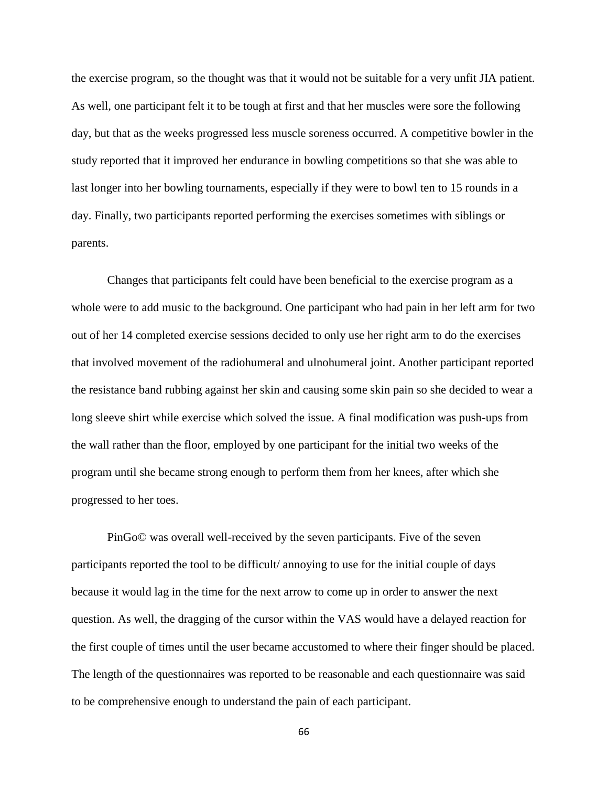the exercise program, so the thought was that it would not be suitable for a very unfit JIA patient. As well, one participant felt it to be tough at first and that her muscles were sore the following day, but that as the weeks progressed less muscle soreness occurred. A competitive bowler in the study reported that it improved her endurance in bowling competitions so that she was able to last longer into her bowling tournaments, especially if they were to bowl ten to 15 rounds in a day. Finally, two participants reported performing the exercises sometimes with siblings or parents.

Changes that participants felt could have been beneficial to the exercise program as a whole were to add music to the background. One participant who had pain in her left arm for two out of her 14 completed exercise sessions decided to only use her right arm to do the exercises that involved movement of the radiohumeral and ulnohumeral joint. Another participant reported the resistance band rubbing against her skin and causing some skin pain so she decided to wear a long sleeve shirt while exercise which solved the issue. A final modification was push-ups from the wall rather than the floor, employed by one participant for the initial two weeks of the program until she became strong enough to perform them from her knees, after which she progressed to her toes.

PinGo© was overall well-received by the seven participants. Five of the seven participants reported the tool to be difficult/ annoying to use for the initial couple of days because it would lag in the time for the next arrow to come up in order to answer the next question. As well, the dragging of the cursor within the VAS would have a delayed reaction for the first couple of times until the user became accustomed to where their finger should be placed. The length of the questionnaires was reported to be reasonable and each questionnaire was said to be comprehensive enough to understand the pain of each participant.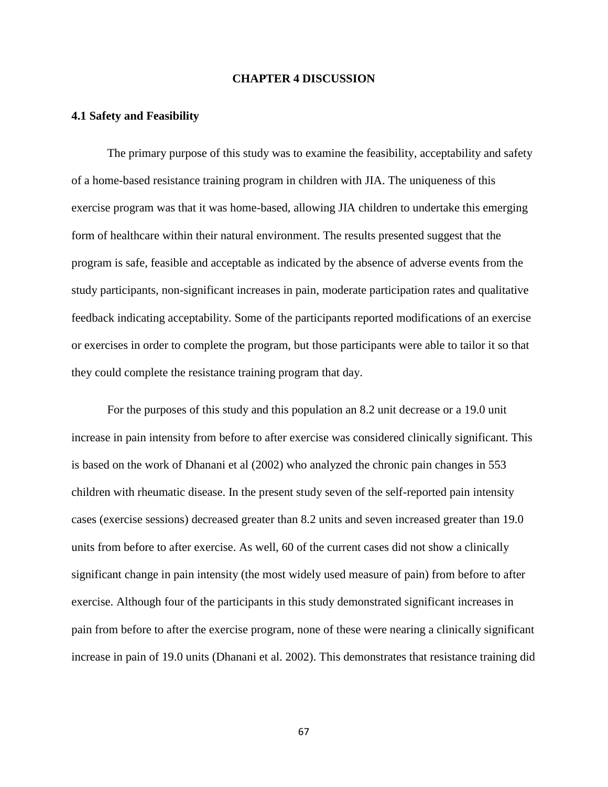#### **CHAPTER 4 DISCUSSION**

#### **4.1 Safety and Feasibility**

The primary purpose of this study was to examine the feasibility, acceptability and safety of a home-based resistance training program in children with JIA. The uniqueness of this exercise program was that it was home-based, allowing JIA children to undertake this emerging form of healthcare within their natural environment. The results presented suggest that the program is safe, feasible and acceptable as indicated by the absence of adverse events from the study participants, non-significant increases in pain, moderate participation rates and qualitative feedback indicating acceptability. Some of the participants reported modifications of an exercise or exercises in order to complete the program, but those participants were able to tailor it so that they could complete the resistance training program that day.

For the purposes of this study and this population an 8.2 unit decrease or a 19.0 unit increase in pain intensity from before to after exercise was considered clinically significant. This is based on the work of Dhanani et al (2002) who analyzed the chronic pain changes in 553 children with rheumatic disease. In the present study seven of the self-reported pain intensity cases (exercise sessions) decreased greater than 8.2 units and seven increased greater than 19.0 units from before to after exercise. As well, 60 of the current cases did not show a clinically significant change in pain intensity (the most widely used measure of pain) from before to after exercise. Although four of the participants in this study demonstrated significant increases in pain from before to after the exercise program, none of these were nearing a clinically significant increase in pain of 19.0 units (Dhanani et al. 2002). This demonstrates that resistance training did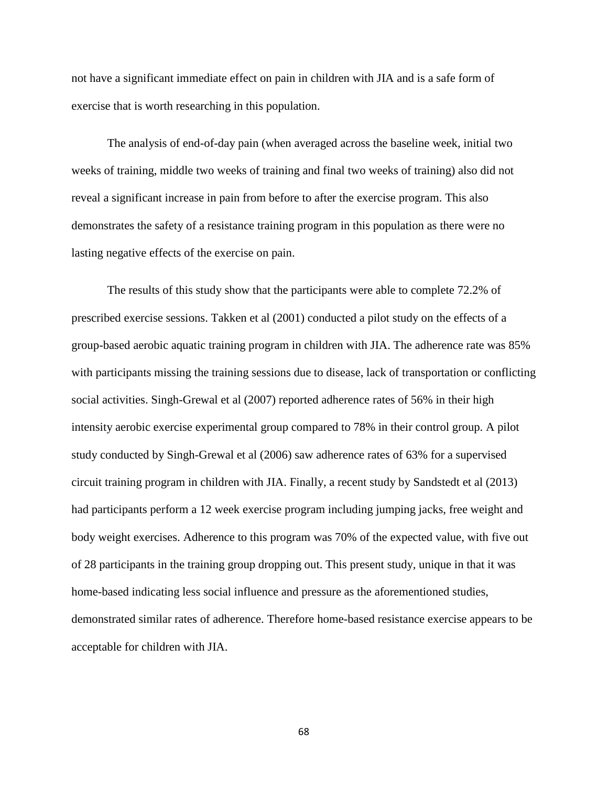not have a significant immediate effect on pain in children with JIA and is a safe form of exercise that is worth researching in this population.

The analysis of end-of-day pain (when averaged across the baseline week, initial two weeks of training, middle two weeks of training and final two weeks of training) also did not reveal a significant increase in pain from before to after the exercise program. This also demonstrates the safety of a resistance training program in this population as there were no lasting negative effects of the exercise on pain.

The results of this study show that the participants were able to complete 72.2% of prescribed exercise sessions. Takken et al (2001) conducted a pilot study on the effects of a group-based aerobic aquatic training program in children with JIA. The adherence rate was 85% with participants missing the training sessions due to disease, lack of transportation or conflicting social activities. Singh-Grewal et al (2007) reported adherence rates of 56% in their high intensity aerobic exercise experimental group compared to 78% in their control group. A pilot study conducted by Singh-Grewal et al (2006) saw adherence rates of 63% for a supervised circuit training program in children with JIA. Finally, a recent study by Sandstedt et al (2013) had participants perform a 12 week exercise program including jumping jacks, free weight and body weight exercises. Adherence to this program was 70% of the expected value, with five out of 28 participants in the training group dropping out. This present study, unique in that it was home-based indicating less social influence and pressure as the aforementioned studies, demonstrated similar rates of adherence. Therefore home-based resistance exercise appears to be acceptable for children with JIA.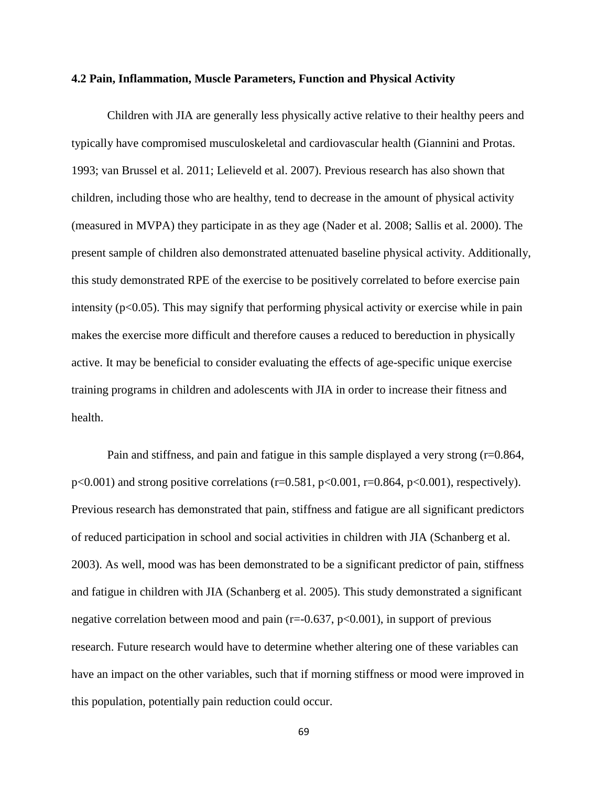#### **4.2 Pain, Inflammation, Muscle Parameters, Function and Physical Activity**

Children with JIA are generally less physically active relative to their healthy peers and typically have compromised musculoskeletal and cardiovascular health (Giannini and Protas. 1993; van Brussel et al. 2011; Lelieveld et al. 2007). Previous research has also shown that children, including those who are healthy, tend to decrease in the amount of physical activity (measured in MVPA) they participate in as they age (Nader et al. 2008; Sallis et al. 2000). The present sample of children also demonstrated attenuated baseline physical activity. Additionally, this study demonstrated RPE of the exercise to be positively correlated to before exercise pain intensity ( $p<0.05$ ). This may signify that performing physical activity or exercise while in pain makes the exercise more difficult and therefore causes a reduced to bereduction in physically active. It may be beneficial to consider evaluating the effects of age-specific unique exercise training programs in children and adolescents with JIA in order to increase their fitness and health.

Pain and stiffness, and pain and fatigue in this sample displayed a very strong  $(r=0.864, r=0.864)$  $p<0.001$ ) and strong positive correlations (r=0.581,  $p<0.001$ , r=0.864,  $p<0.001$ ), respectively). Previous research has demonstrated that pain, stiffness and fatigue are all significant predictors of reduced participation in school and social activities in children with JIA (Schanberg et al. 2003). As well, mood was has been demonstrated to be a significant predictor of pain, stiffness and fatigue in children with JIA (Schanberg et al. 2005). This study demonstrated a significant negative correlation between mood and pain ( $r = -0.637$ ,  $p < 0.001$ ), in support of previous research. Future research would have to determine whether altering one of these variables can have an impact on the other variables, such that if morning stiffness or mood were improved in this population, potentially pain reduction could occur.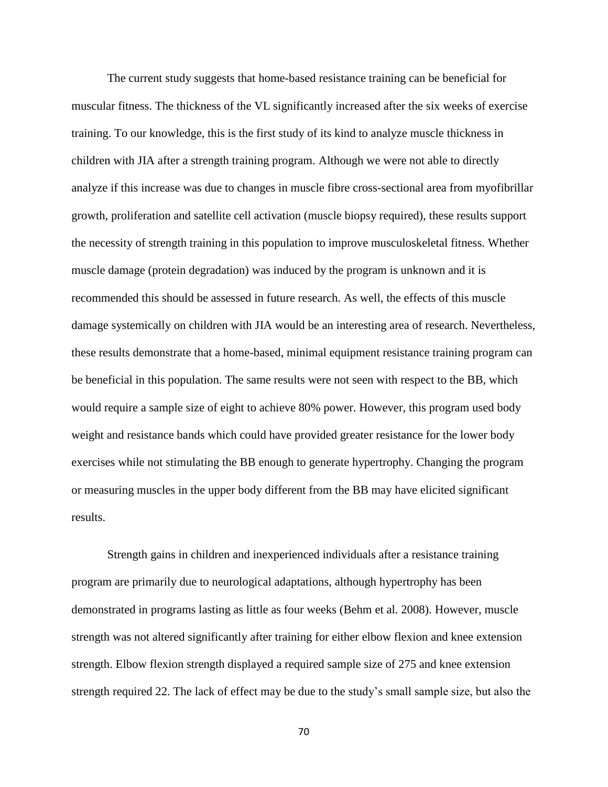The current study suggests that home-based resistance training can be beneficial for muscular fitness. The thickness of the VL significantly increased after the six weeks of exercise training. To our knowledge, this is the first study of its kind to analyze muscle thickness in children with JIA after a strength training program. Although we were not able to directly analyze if this increase was due to changes in muscle fibre cross-sectional area from myofibrillar growth, proliferation and satellite cell activation (muscle biopsy required), these results support the necessity of strength training in this population to improve musculoskeletal fitness. Whether muscle damage (protein degradation) was induced by the program is unknown and it is recommended this should be assessed in future research. As well, the effects of this muscle damage systemically on children with JIA would be an interesting area of research. Nevertheless, these results demonstrate that a home-based, minimal equipment resistance training program can be beneficial in this population. The same results were not seen with respect to the BB, which would require a sample size of eight to achieve 80% power. However, this program used body weight and resistance bands which could have provided greater resistance for the lower body exercises while not stimulating the BB enough to generate hypertrophy. Changing the program or measuring muscles in the upper body different from the BB may have elicited significant results.

Strength gains in children and inexperienced individuals after a resistance training program are primarily due to neurological adaptations, although hypertrophy has been demonstrated in programs lasting as little as four weeks (Behm et al. 2008). However, muscle strength was not altered significantly after training for either elbow flexion and knee extension strength. Elbow flexion strength displayed a required sample size of 275 and knee extension strength required 22. The lack of effect may be due to the study"s small sample size, but also the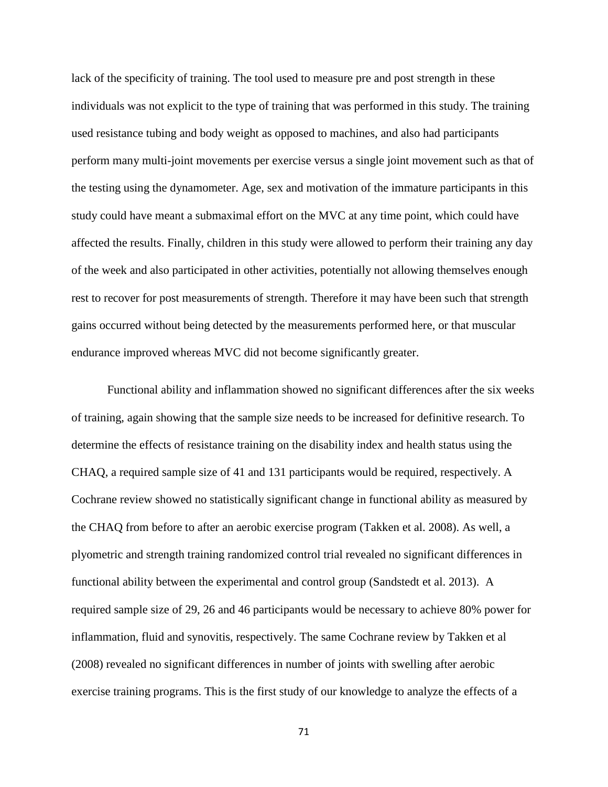lack of the specificity of training. The tool used to measure pre and post strength in these individuals was not explicit to the type of training that was performed in this study. The training used resistance tubing and body weight as opposed to machines, and also had participants perform many multi-joint movements per exercise versus a single joint movement such as that of the testing using the dynamometer. Age, sex and motivation of the immature participants in this study could have meant a submaximal effort on the MVC at any time point, which could have affected the results. Finally, children in this study were allowed to perform their training any day of the week and also participated in other activities, potentially not allowing themselves enough rest to recover for post measurements of strength. Therefore it may have been such that strength gains occurred without being detected by the measurements performed here, or that muscular endurance improved whereas MVC did not become significantly greater.

Functional ability and inflammation showed no significant differences after the six weeks of training, again showing that the sample size needs to be increased for definitive research. To determine the effects of resistance training on the disability index and health status using the CHAQ, a required sample size of 41 and 131 participants would be required, respectively. A Cochrane review showed no statistically significant change in functional ability as measured by the CHAQ from before to after an aerobic exercise program (Takken et al. 2008). As well, a plyometric and strength training randomized control trial revealed no significant differences in functional ability between the experimental and control group (Sandstedt et al. 2013). A required sample size of 29, 26 and 46 participants would be necessary to achieve 80% power for inflammation, fluid and synovitis, respectively. The same Cochrane review by Takken et al (2008) revealed no significant differences in number of joints with swelling after aerobic exercise training programs. This is the first study of our knowledge to analyze the effects of a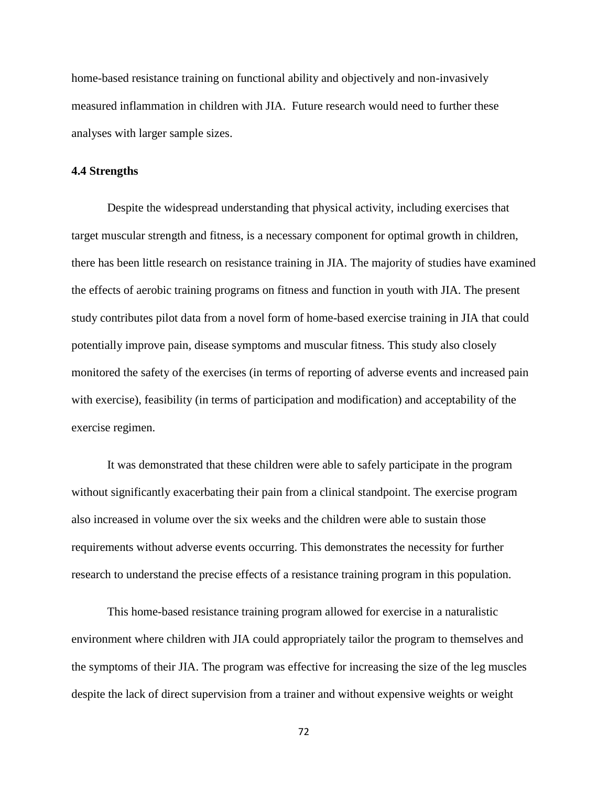home-based resistance training on functional ability and objectively and non-invasively measured inflammation in children with JIA. Future research would need to further these analyses with larger sample sizes.

#### **4.4 Strengths**

Despite the widespread understanding that physical activity, including exercises that target muscular strength and fitness, is a necessary component for optimal growth in children, there has been little research on resistance training in JIA. The majority of studies have examined the effects of aerobic training programs on fitness and function in youth with JIA. The present study contributes pilot data from a novel form of home-based exercise training in JIA that could potentially improve pain, disease symptoms and muscular fitness. This study also closely monitored the safety of the exercises (in terms of reporting of adverse events and increased pain with exercise), feasibility (in terms of participation and modification) and acceptability of the exercise regimen.

It was demonstrated that these children were able to safely participate in the program without significantly exacerbating their pain from a clinical standpoint. The exercise program also increased in volume over the six weeks and the children were able to sustain those requirements without adverse events occurring. This demonstrates the necessity for further research to understand the precise effects of a resistance training program in this population.

This home-based resistance training program allowed for exercise in a naturalistic environment where children with JIA could appropriately tailor the program to themselves and the symptoms of their JIA. The program was effective for increasing the size of the leg muscles despite the lack of direct supervision from a trainer and without expensive weights or weight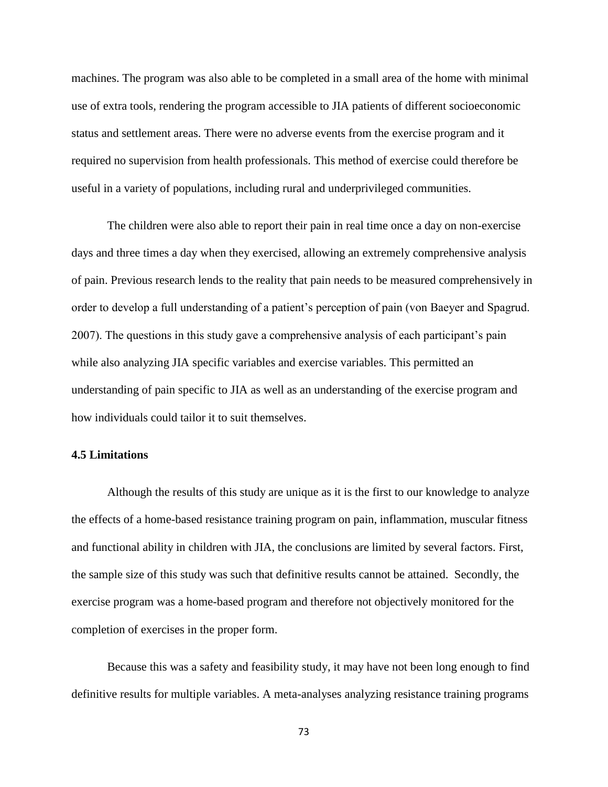machines. The program was also able to be completed in a small area of the home with minimal use of extra tools, rendering the program accessible to JIA patients of different socioeconomic status and settlement areas. There were no adverse events from the exercise program and it required no supervision from health professionals. This method of exercise could therefore be useful in a variety of populations, including rural and underprivileged communities.

The children were also able to report their pain in real time once a day on non-exercise days and three times a day when they exercised, allowing an extremely comprehensive analysis of pain. Previous research lends to the reality that pain needs to be measured comprehensively in order to develop a full understanding of a patient"s perception of pain (von Baeyer and Spagrud. 2007). The questions in this study gave a comprehensive analysis of each participant"s pain while also analyzing JIA specific variables and exercise variables. This permitted an understanding of pain specific to JIA as well as an understanding of the exercise program and how individuals could tailor it to suit themselves.

#### **4.5 Limitations**

Although the results of this study are unique as it is the first to our knowledge to analyze the effects of a home-based resistance training program on pain, inflammation, muscular fitness and functional ability in children with JIA, the conclusions are limited by several factors. First, the sample size of this study was such that definitive results cannot be attained. Secondly, the exercise program was a home-based program and therefore not objectively monitored for the completion of exercises in the proper form.

Because this was a safety and feasibility study, it may have not been long enough to find definitive results for multiple variables. A meta-analyses analyzing resistance training programs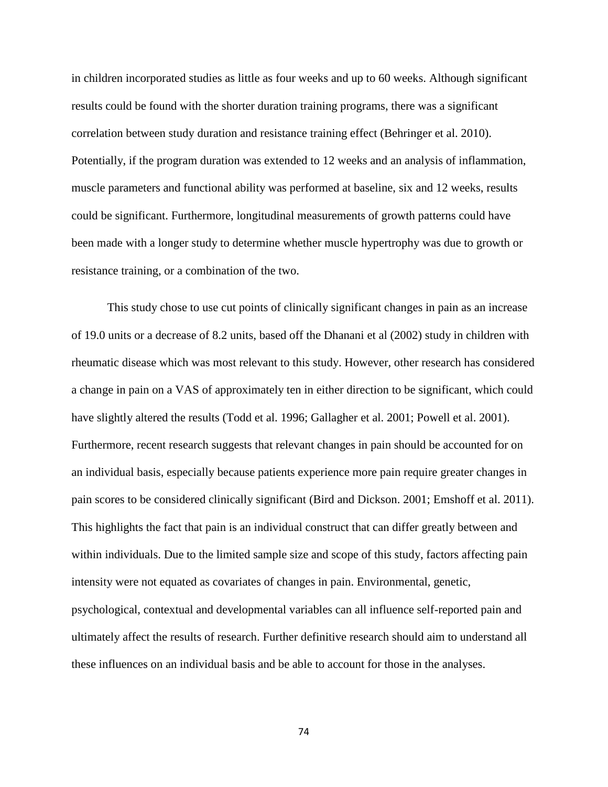in children incorporated studies as little as four weeks and up to 60 weeks. Although significant results could be found with the shorter duration training programs, there was a significant correlation between study duration and resistance training effect (Behringer et al. 2010). Potentially, if the program duration was extended to 12 weeks and an analysis of inflammation, muscle parameters and functional ability was performed at baseline, six and 12 weeks, results could be significant. Furthermore, longitudinal measurements of growth patterns could have been made with a longer study to determine whether muscle hypertrophy was due to growth or resistance training, or a combination of the two.

This study chose to use cut points of clinically significant changes in pain as an increase of 19.0 units or a decrease of 8.2 units, based off the Dhanani et al (2002) study in children with rheumatic disease which was most relevant to this study. However, other research has considered a change in pain on a VAS of approximately ten in either direction to be significant, which could have slightly altered the results (Todd et al. 1996; Gallagher et al. 2001; Powell et al. 2001). Furthermore, recent research suggests that relevant changes in pain should be accounted for on an individual basis, especially because patients experience more pain require greater changes in pain scores to be considered clinically significant (Bird and Dickson. 2001; Emshoff et al. 2011). This highlights the fact that pain is an individual construct that can differ greatly between and within individuals. Due to the limited sample size and scope of this study, factors affecting pain intensity were not equated as covariates of changes in pain. Environmental, genetic, psychological, contextual and developmental variables can all influence self-reported pain and ultimately affect the results of research. Further definitive research should aim to understand all these influences on an individual basis and be able to account for those in the analyses.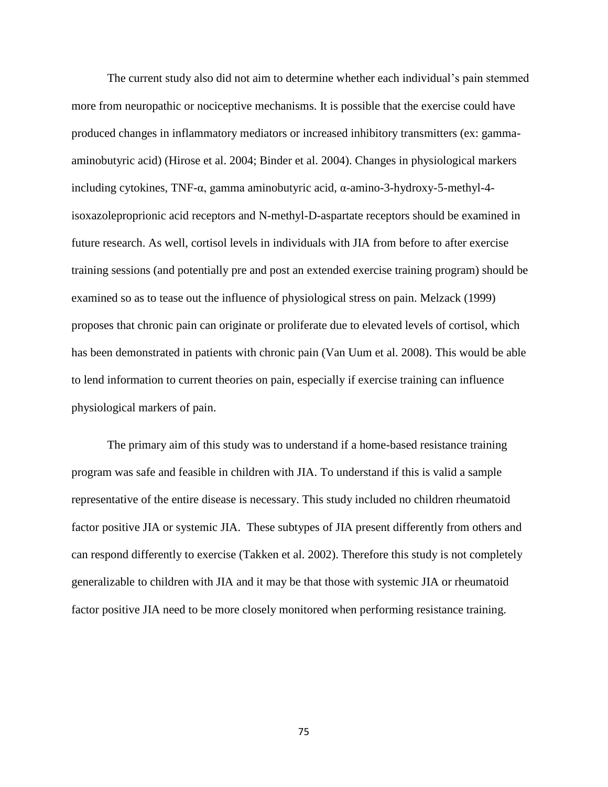The current study also did not aim to determine whether each individual's pain stemmed more from neuropathic or nociceptive mechanisms. It is possible that the exercise could have produced changes in inflammatory mediators or increased inhibitory transmitters (ex: gammaaminobutyric acid) (Hirose et al. 2004; Binder et al. 2004). Changes in physiological markers including cytokines, TNF-α, gamma aminobutyric acid, α-amino-3-hydroxy-5-methyl-4 isoxazoleproprionic acid receptors and N-methyl-D-aspartate receptors should be examined in future research. As well, cortisol levels in individuals with JIA from before to after exercise training sessions (and potentially pre and post an extended exercise training program) should be examined so as to tease out the influence of physiological stress on pain. Melzack (1999) proposes that chronic pain can originate or proliferate due to elevated levels of cortisol, which has been demonstrated in patients with chronic pain (Van Uum et al. 2008). This would be able to lend information to current theories on pain, especially if exercise training can influence physiological markers of pain.

The primary aim of this study was to understand if a home-based resistance training program was safe and feasible in children with JIA. To understand if this is valid a sample representative of the entire disease is necessary. This study included no children rheumatoid factor positive JIA or systemic JIA. These subtypes of JIA present differently from others and can respond differently to exercise (Takken et al. 2002). Therefore this study is not completely generalizable to children with JIA and it may be that those with systemic JIA or rheumatoid factor positive JIA need to be more closely monitored when performing resistance training.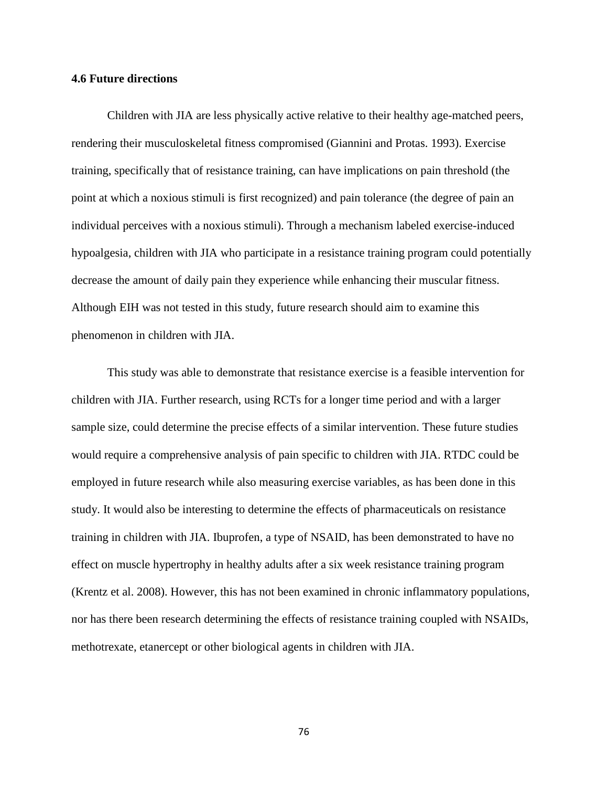#### **4.6 Future directions**

Children with JIA are less physically active relative to their healthy age-matched peers, rendering their musculoskeletal fitness compromised (Giannini and Protas. 1993). Exercise training, specifically that of resistance training, can have implications on pain threshold (the point at which a noxious stimuli is first recognized) and pain tolerance (the degree of pain an individual perceives with a noxious stimuli). Through a mechanism labeled exercise-induced hypoalgesia, children with JIA who participate in a resistance training program could potentially decrease the amount of daily pain they experience while enhancing their muscular fitness. Although EIH was not tested in this study, future research should aim to examine this phenomenon in children with JIA.

This study was able to demonstrate that resistance exercise is a feasible intervention for children with JIA. Further research, using RCTs for a longer time period and with a larger sample size, could determine the precise effects of a similar intervention. These future studies would require a comprehensive analysis of pain specific to children with JIA. RTDC could be employed in future research while also measuring exercise variables, as has been done in this study. It would also be interesting to determine the effects of pharmaceuticals on resistance training in children with JIA. Ibuprofen, a type of NSAID, has been demonstrated to have no effect on muscle hypertrophy in healthy adults after a six week resistance training program (Krentz et al. 2008). However, this has not been examined in chronic inflammatory populations, nor has there been research determining the effects of resistance training coupled with NSAIDs, methotrexate, etanercept or other biological agents in children with JIA.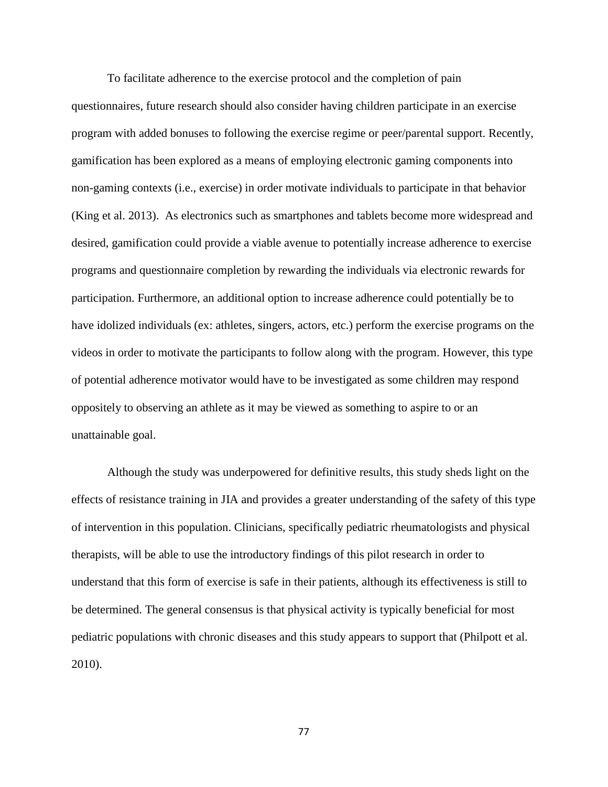To facilitate adherence to the exercise protocol and the completion of pain questionnaires, future research should also consider having children participate in an exercise program with added bonuses to following the exercise regime or peer/parental support. Recently, gamification has been explored as a means of employing electronic gaming components into non-gaming contexts (i.e., exercise) in order motivate individuals to participate in that behavior (King et al. 2013). As electronics such as smartphones and tablets become more widespread and desired, gamification could provide a viable avenue to potentially increase adherence to exercise programs and questionnaire completion by rewarding the individuals via electronic rewards for participation. Furthermore, an additional option to increase adherence could potentially be to have idolized individuals (ex: athletes, singers, actors, etc.) perform the exercise programs on the videos in order to motivate the participants to follow along with the program. However, this type of potential adherence motivator would have to be investigated as some children may respond oppositely to observing an athlete as it may be viewed as something to aspire to or an unattainable goal.

Although the study was underpowered for definitive results, this study sheds light on the effects of resistance training in JIA and provides a greater understanding of the safety of this type of intervention in this population. Clinicians, specifically pediatric rheumatologists and physical therapists, will be able to use the introductory findings of this pilot research in order to understand that this form of exercise is safe in their patients, although its effectiveness is still to be determined. The general consensus is that physical activity is typically beneficial for most pediatric populations with chronic diseases and this study appears to support that (Philpott et al. 2010).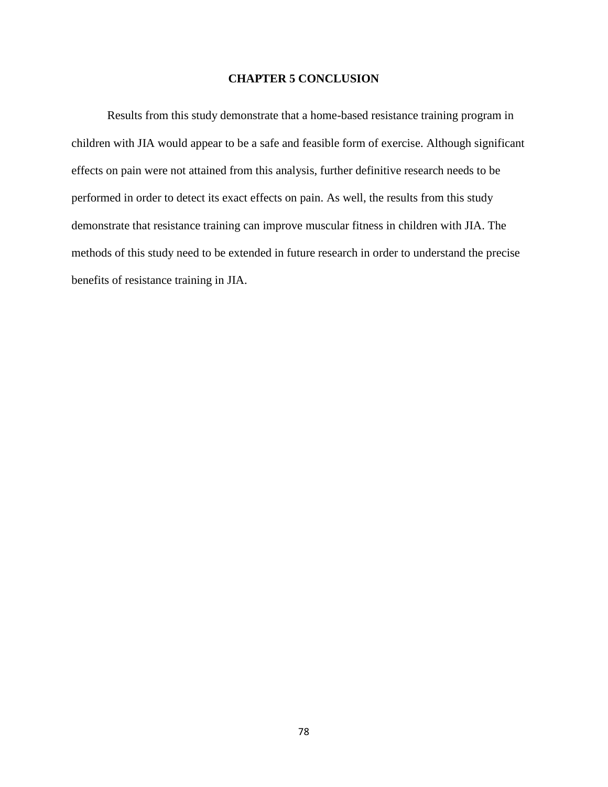## **CHAPTER 5 CONCLUSION**

Results from this study demonstrate that a home-based resistance training program in children with JIA would appear to be a safe and feasible form of exercise. Although significant effects on pain were not attained from this analysis, further definitive research needs to be performed in order to detect its exact effects on pain. As well, the results from this study demonstrate that resistance training can improve muscular fitness in children with JIA. The methods of this study need to be extended in future research in order to understand the precise benefits of resistance training in JIA.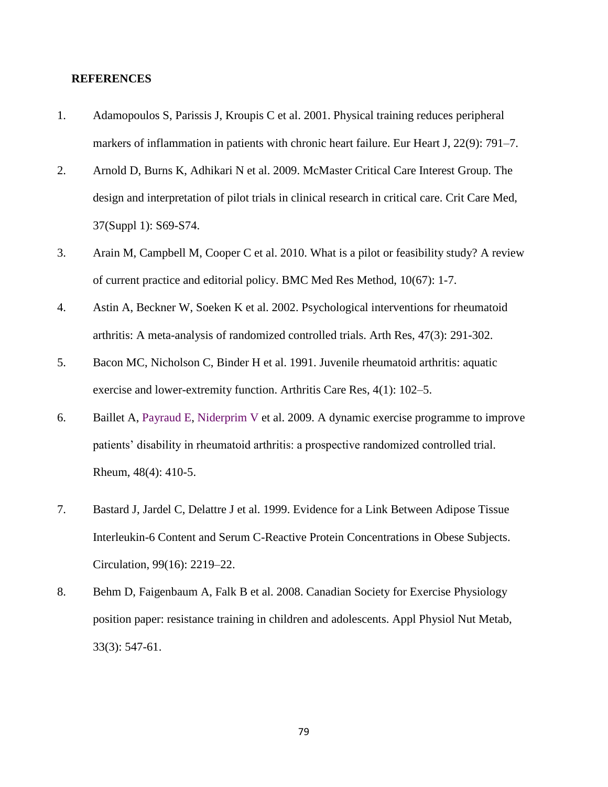#### **REFERENCES**

- 1. Adamopoulos S, Parissis J, Kroupis C et al. 2001. Physical training reduces peripheral markers of inflammation in patients with chronic heart failure. Eur Heart J, 22(9): 791–7.
- 2. Arnold D, Burns K, Adhikari N et al. 2009. McMaster Critical Care Interest Group. The design and interpretation of pilot trials in clinical research in critical care. Crit Care Med, 37(Suppl 1): S69-S74.
- 3. Arain M, Campbell M, Cooper C et al. 2010. What is a pilot or feasibility study? A review of current practice and editorial policy. BMC Med Res Method, 10(67): 1-7.
- 4. Astin A, Beckner W, Soeken K et al. 2002. Psychological interventions for rheumatoid arthritis: A meta-analysis of randomized controlled trials. Arth Res, 47(3): 291-302.
- 5. Bacon MC, Nicholson C, Binder H et al. 1991. Juvenile rheumatoid arthritis: aquatic exercise and lower-extremity function. Arthritis Care Res, 4(1): 102–5.
- 6. Baillet A, [Payraud E,](http://www.ncbi.nlm.nih.gov/pubmed?term=Payraud%20E%5BAuthor%5D&cauthor=true&cauthor_uid=19211654) [Niderprim V](http://www.ncbi.nlm.nih.gov/pubmed?term=Niderprim%20VA%5BAuthor%5D&cauthor=true&cauthor_uid=19211654) et al. 2009. A dynamic exercise programme to improve patients" disability in rheumatoid arthritis: a prospective randomized controlled trial. Rheum, 48(4): 410-5.
- 7. Bastard J, Jardel C, Delattre J et al. 1999. Evidence for a Link Between Adipose Tissue Interleukin-6 Content and Serum C-Reactive Protein Concentrations in Obese Subjects. Circulation, 99(16): 2219–22.
- 8. Behm D, Faigenbaum A, Falk B et al. 2008. Canadian Society for Exercise Physiology position paper: resistance training in children and adolescents. Appl Physiol Nut Metab, 33(3): 547-61.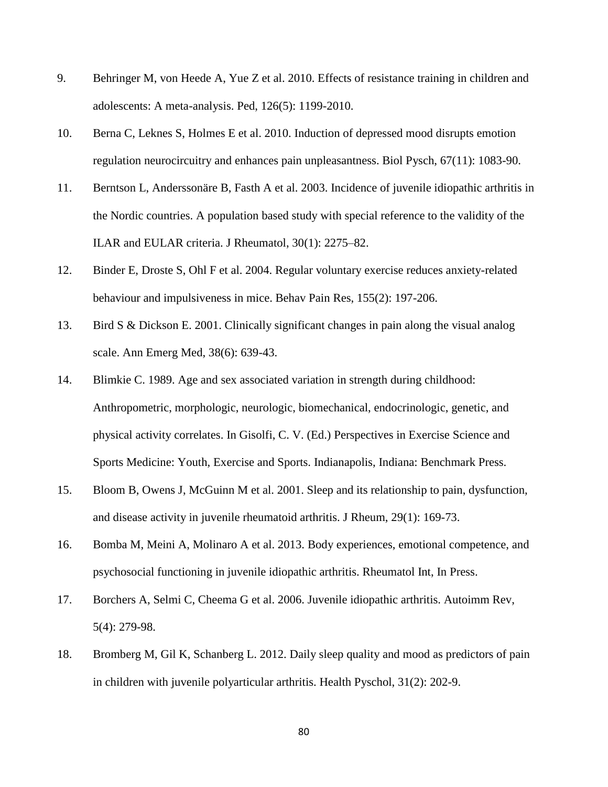- 9. Behringer M, von Heede A, Yue Z et al. 2010. Effects of resistance training in children and adolescents: A meta-analysis. Ped, 126(5): 1199-2010.
- 10. Berna C, Leknes S, Holmes E et al. 2010. Induction of depressed mood disrupts emotion regulation neurocircuitry and enhances pain unpleasantness. Biol Pysch, 67(11): 1083-90.
- 11. Berntson L, Anderssonäre B, Fasth A et al. 2003. Incidence of juvenile idiopathic arthritis in the Nordic countries. A population based study with special reference to the validity of the ILAR and EULAR criteria. J Rheumatol, 30(1): 2275–82.
- 12. Binder E, Droste S, Ohl F et al. 2004. Regular voluntary exercise reduces anxiety-related behaviour and impulsiveness in mice. Behav Pain Res, 155(2): 197-206.
- 13. Bird S & Dickson E. 2001. Clinically significant changes in pain along the visual analog scale. Ann Emerg Med, 38(6): 639-43.
- 14. Blimkie C. 1989. Age and sex associated variation in strength during childhood: Anthropometric, morphologic, neurologic, biomechanical, endocrinologic, genetic, and physical activity correlates. In Gisolfi, C. V. (Ed.) Perspectives in Exercise Science and Sports Medicine: Youth, Exercise and Sports. Indianapolis, Indiana: Benchmark Press.
- 15. Bloom B, Owens J, McGuinn M et al. 2001. Sleep and its relationship to pain, dysfunction, and disease activity in juvenile rheumatoid arthritis. J Rheum, 29(1): 169-73.
- 16. Bomba M, Meini A, Molinaro A et al. 2013. Body experiences, emotional competence, and psychosocial functioning in juvenile idiopathic arthritis. Rheumatol Int, In Press.
- 17. Borchers A, Selmi C, Cheema G et al. 2006. Juvenile idiopathic arthritis. Autoimm Rev, 5(4): 279-98.
- 18. Bromberg M, Gil K, Schanberg L. 2012. Daily sleep quality and mood as predictors of pain in children with juvenile polyarticular arthritis. Health Pyschol, 31(2): 202-9.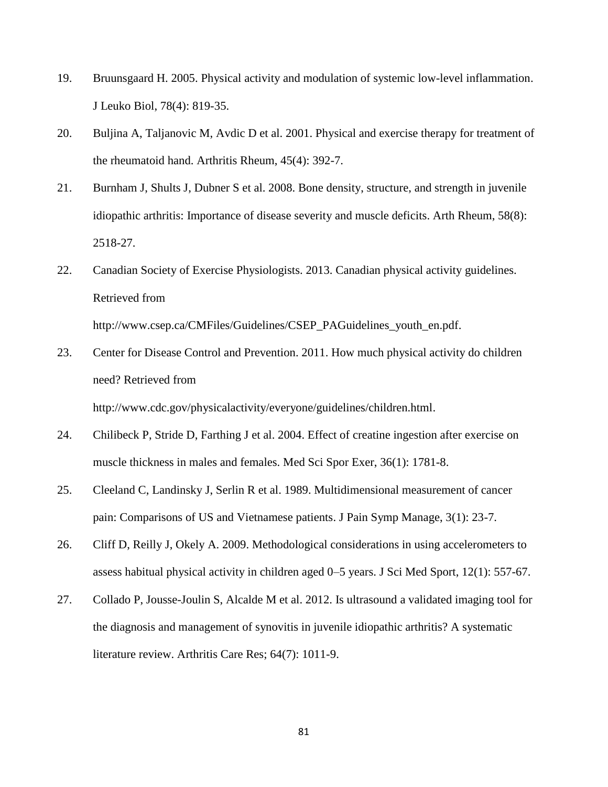- 19. Bruunsgaard H. 2005. Physical activity and modulation of systemic low-level inflammation. J Leuko Biol, 78(4): 819-35.
- 20. Buljina A, Taljanovic M, Avdic D et al. 2001. Physical and exercise therapy for treatment of the rheumatoid hand. Arthritis Rheum, 45(4): 392-7.
- 21. Burnham J, Shults J, Dubner S et al. 2008. Bone density, structure, and strength in juvenile idiopathic arthritis: Importance of disease severity and muscle deficits. Arth Rheum, 58(8): 2518-27.
- 22. Canadian Society of Exercise Physiologists. 2013. Canadian physical activity guidelines. Retrieved from

http://www.csep.ca/CMFiles/Guidelines/CSEP\_PAGuidelines\_youth\_en.pdf.

23. Center for Disease Control and Prevention. 2011. How much physical activity do children need? Retrieved from

http://www.cdc.gov/physicalactivity/everyone/guidelines/children.html.

- 24. Chilibeck P, Stride D, Farthing J et al. 2004. Effect of creatine ingestion after exercise on muscle thickness in males and females. Med Sci Spor Exer, 36(1): 1781-8.
- 25. Cleeland C, Landinsky J, Serlin R et al. 1989. Multidimensional measurement of cancer pain: Comparisons of US and Vietnamese patients. J Pain Symp Manage, 3(1): 23-7.
- 26. Cliff D, Reilly J, Okely A. 2009. Methodological considerations in using accelerometers to assess habitual physical activity in children aged 0–5 years. J Sci Med Sport, 12(1): 557-67.
- 27. Collado P, Jousse-Joulin S, Alcalde M et al. 2012. Is ultrasound a validated imaging tool for the diagnosis and management of synovitis in juvenile idiopathic arthritis? A systematic literature review. Arthritis Care Res; 64(7): 1011-9.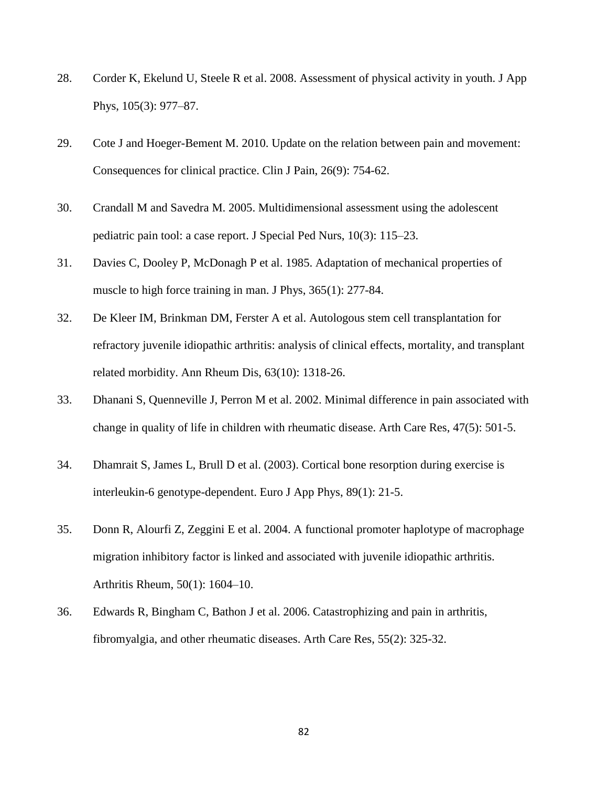- 28. Corder K, Ekelund U, Steele R et al. 2008. Assessment of physical activity in youth. J App Phys, 105(3): 977–87.
- 29. Cote J and Hoeger-Bement M. 2010. Update on the relation between pain and movement: Consequences for clinical practice. Clin J Pain, 26(9): 754-62.
- 30. Crandall M and Savedra M. 2005. Multidimensional assessment using the adolescent pediatric pain tool: a case report. J Special Ped Nurs, 10(3): 115–23.
- 31. Davies C, Dooley P, McDonagh P et al. 1985. Adaptation of mechanical properties of muscle to high force training in man. J Phys, 365(1): 277-84.
- 32. De Kleer IM, Brinkman DM, Ferster A et al. Autologous stem cell transplantation for refractory juvenile idiopathic arthritis: analysis of clinical effects, mortality, and transplant related morbidity. Ann Rheum Dis, 63(10): 1318-26.
- 33. Dhanani S, Quenneville J, Perron M et al. 2002. Minimal difference in pain associated with change in quality of life in children with rheumatic disease. Arth Care Res, 47(5): 501-5.
- 34. Dhamrait S, James L, Brull D et al. (2003). Cortical bone resorption during exercise is interleukin-6 genotype-dependent. Euro J App Phys, 89(1): 21-5.
- 35. Donn R, Alourfi Z, Zeggini E et al. 2004. A functional promoter haplotype of macrophage migration inhibitory factor is linked and associated with juvenile idiopathic arthritis. Arthritis Rheum, 50(1): 1604–10.
- 36. Edwards R, Bingham C, Bathon J et al. 2006. Catastrophizing and pain in arthritis, fibromyalgia, and other rheumatic diseases. Arth Care Res, 55(2): 325-32.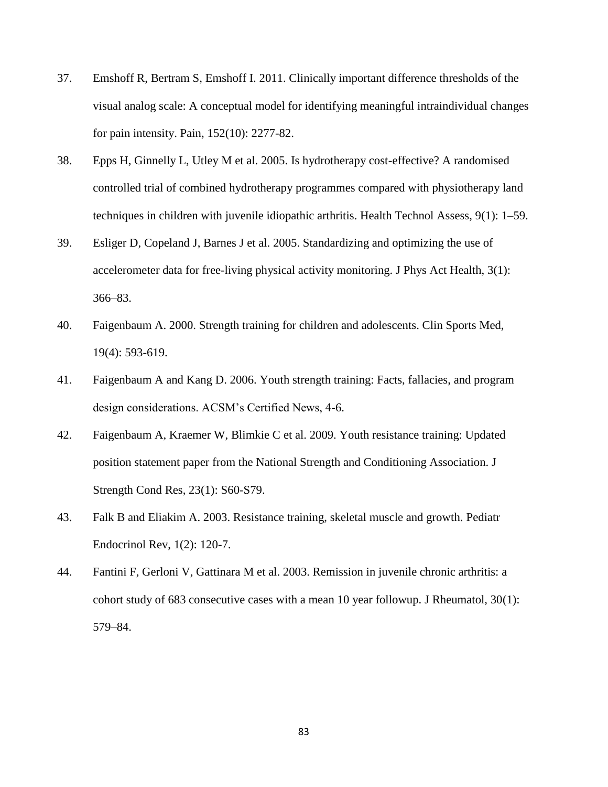- 37. Emshoff R, Bertram S, Emshoff I. 2011. Clinically important difference thresholds of the visual analog scale: A conceptual model for identifying meaningful intraindividual changes for pain intensity. Pain, 152(10): 2277-82.
- 38. Epps H, Ginnelly L, Utley M et al. 2005. Is hydrotherapy cost-effective? A randomised controlled trial of combined hydrotherapy programmes compared with physiotherapy land techniques in children with juvenile idiopathic arthritis. Health Technol Assess, 9(1): 1–59.
- 39. Esliger D, Copeland J, Barnes J et al. 2005. Standardizing and optimizing the use of accelerometer data for free-living physical activity monitoring. J Phys Act Health, 3(1): 366–83.
- 40. Faigenbaum A. 2000. Strength training for children and adolescents. Clin Sports Med, 19(4): 593-619.
- 41. Faigenbaum A and Kang D. 2006. Youth strength training: Facts, fallacies, and program design considerations. ACSM"s Certified News, 4-6.
- 42. Faigenbaum A, Kraemer W, Blimkie C et al. 2009. Youth resistance training: Updated position statement paper from the National Strength and Conditioning Association. J Strength Cond Res, 23(1): S60-S79.
- 43. Falk B and Eliakim A. 2003. Resistance training, skeletal muscle and growth. [Pediatr](http://www.ncbi.nlm.nih.gov/pubmed/16437017)  [Endocrinol Rev,](http://www.ncbi.nlm.nih.gov/pubmed/16437017) 1(2): 120-7.
- 44. Fantini F, Gerloni V, Gattinara M et al. 2003. Remission in juvenile chronic arthritis: a cohort study of 683 consecutive cases with a mean 10 year followup. J Rheumatol, 30(1): 579–84.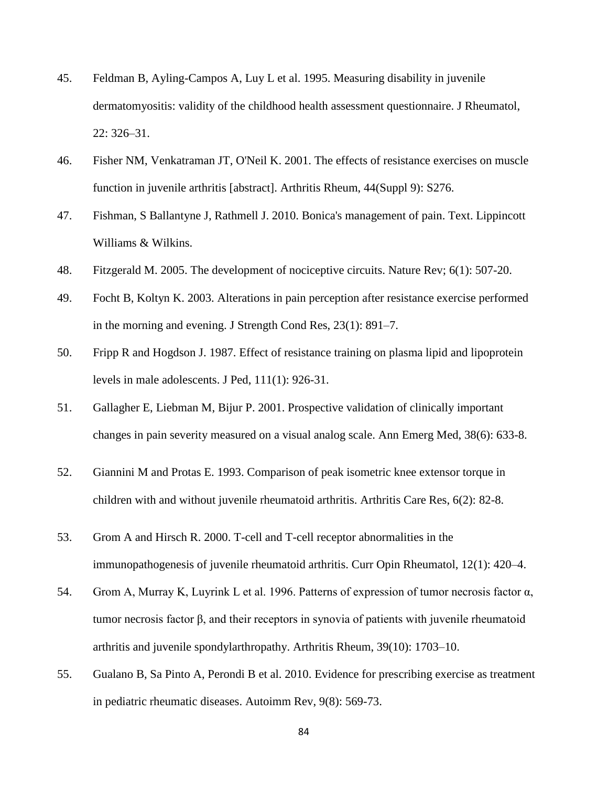- 45. Feldman B, Ayling-Campos A, Luy L et al. 1995. Measuring disability in juvenile dermatomyositis: validity of the childhood health assessment questionnaire. J Rheumatol, 22: 326–31.
- 46. Fisher NM, Venkatraman JT, O'Neil K. 2001. The effects of resistance exercises on muscle function in juvenile arthritis [abstract]. Arthritis Rheum, 44(Suppl 9): S276.
- 47. Fishman, S Ballantyne J, Rathmell J. 2010. Bonica's management of pain. Text. Lippincott Williams & Wilkins.
- 48. Fitzgerald M. 2005. The development of nociceptive circuits. Nature Rev; 6(1): 507-20.
- 49. Focht B, Koltyn K. 2003. Alterations in pain perception after resistance exercise performed in the morning and evening. J Strength Cond Res, 23(1): 891–7.
- 50. Fripp R and Hogdson J. 1987. Effect of resistance training on plasma lipid and lipoprotein levels in male adolescents. J Ped, 111(1): 926-31.
- 51. [Gallagher E,](http://www.ncbi.nlm.nih.gov/pubmed?term=Gallagher%20EJ%5BAuthor%5D&cauthor=true&cauthor_uid=11719741) [Liebman M,](http://www.ncbi.nlm.nih.gov/pubmed?term=Liebman%20M%5BAuthor%5D&cauthor=true&cauthor_uid=11719741) [Bijur P.](http://www.ncbi.nlm.nih.gov/pubmed?term=Bijur%20PE%5BAuthor%5D&cauthor=true&cauthor_uid=11719741) 2001. Prospective validation of clinically important changes in pain severity measured on a visual analog scale. [Ann Emerg Med,](http://www.ncbi.nlm.nih.gov/pubmed/11719741) 38(6): 633-8.
- 52. Giannini M and Protas E. 1993. Comparison of peak isometric knee extensor torque in children with and without juvenile rheumatoid arthritis. Arthritis Care Res, 6(2): 82-8.
- 53. Grom A and Hirsch R. 2000. T-cell and T-cell receptor abnormalities in the immunopathogenesis of juvenile rheumatoid arthritis. Curr Opin Rheumatol, 12(1): 420–4.
- 54. Grom A, Murray K, Luyrink L et al. 1996. Patterns of expression of tumor necrosis factor α, tumor necrosis factor β, and their receptors in synovia of patients with juvenile rheumatoid arthritis and juvenile spondylarthropathy. Arthritis Rheum, 39(10): 1703–10.
- 55. Gualano B, Sa Pinto A, Perondi B et al. 2010. Evidence for prescribing exercise as treatment in pediatric rheumatic diseases. Autoimm Rev, 9(8): 569-73.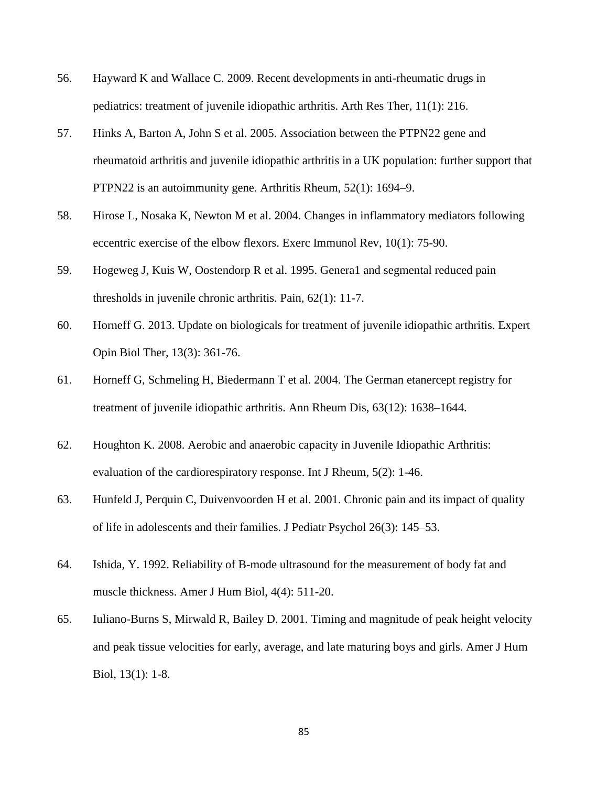- 56. Hayward K and Wallace C. 2009. Recent developments in anti-rheumatic drugs in pediatrics: treatment of juvenile idiopathic arthritis. Arth Res Ther, 11(1): 216.
- 57. Hinks A, Barton A, John S et al. 2005. Association between the PTPN22 gene and rheumatoid arthritis and juvenile idiopathic arthritis in a UK population: further support that PTPN22 is an autoimmunity gene. Arthritis Rheum, 52(1): 1694–9.
- 58. Hirose L, Nosaka K, Newton M et al. 2004. Changes in inflammatory mediators following eccentric exercise of the elbow flexors. Exerc Immunol Rev, 10(1): 75-90.
- 59. Hogeweg J, Kuis W, Oostendorp R et al. 1995. Genera1 and segmental reduced pain thresholds in juvenile chronic arthritis. Pain, 62(1): 11-7.
- 60. Horneff G. 2013. Update on biologicals for treatment of juvenile idiopathic arthritis. Expert Opin Biol Ther, 13(3): 361-76.
- 61. Horneff G, Schmeling H, Biedermann T et al. 2004. The German etanercept registry for treatment of juvenile idiopathic arthritis. Ann Rheum Dis, 63(12): 1638–1644.
- 62. Houghton K. 2008. Aerobic and anaerobic capacity in Juvenile Idiopathic Arthritis: evaluation of the cardiorespiratory response. Int J Rheum, 5(2): 1-46.
- 63. Hunfeld J, Perquin C, Duivenvoorden H et al. 2001. Chronic pain and its impact of quality of life in adolescents and their families. J Pediatr Psychol 26(3): 145–53.
- 64. Ishida, Y. 1992. Reliability of B-mode ultrasound for the measurement of body fat and muscle thickness. Amer J Hum Biol, 4(4): 511-20.
- 65. Iuliano-Burns S, Mirwald R, Bailey D. 2001. Timing and magnitude of peak height velocity and peak tissue velocities for early, average, and late maturing boys and girls. Amer J Hum Biol, 13(1): 1-8.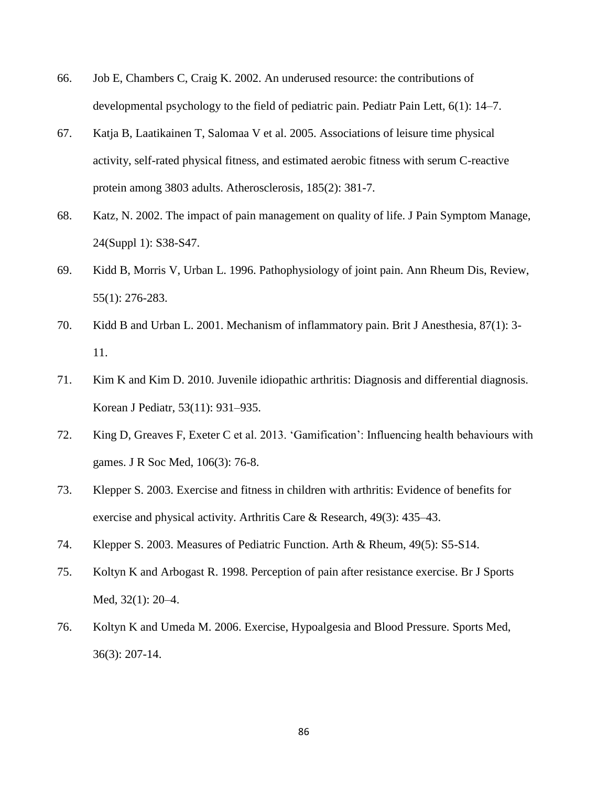- 66. Job E, Chambers C, Craig K. 2002. An underused resource: the contributions of developmental psychology to the field of pediatric pain. Pediatr Pain Lett, 6(1): 14–7.
- 67. Katja B, Laatikainen T, Salomaa V et al. 2005. Associations of leisure time physical activity, self-rated physical fitness, and estimated aerobic fitness with serum C-reactive protein among 3803 adults. Atherosclerosis, 185(2): 381-7.
- 68. Katz, N. 2002. The impact of pain management on quality of life. J Pain Symptom Manage, 24(Suppl 1): S38-S47.
- 69. Kidd B, Morris V, Urban L. 1996. Pathophysiology of joint pain. Ann Rheum Dis, Review, 55(1): 276-283.
- 70. Kidd B and Urban L. 2001. Mechanism of inflammatory pain. Brit J Anesthesia, 87(1): 3- 11.
- 71. Kim K and Kim D. 2010. Juvenile idiopathic arthritis: Diagnosis and differential diagnosis. Korean J Pediatr, 53(11): 931–935.
- 72. King D, Greaves F, Exeter C et al. 2013. "Gamification": Influencing health behaviours with games. J R Soc Med, 106(3): 76-8.
- 73. Klepper S. 2003. Exercise and fitness in children with arthritis: Evidence of benefits for exercise and physical activity. Arthritis Care & Research, 49(3): 435–43.
- 74. Klepper S. 2003. Measures of Pediatric Function. Arth & Rheum, 49(5): S5-S14.
- 75. Koltyn K and Arbogast R. 1998. Perception of pain after resistance exercise. Br J Sports Med, 32(1): 20–4.
- 76. Koltyn K and Umeda M. 2006. Exercise, Hypoalgesia and Blood Pressure. Sports Med, 36(3): 207-14.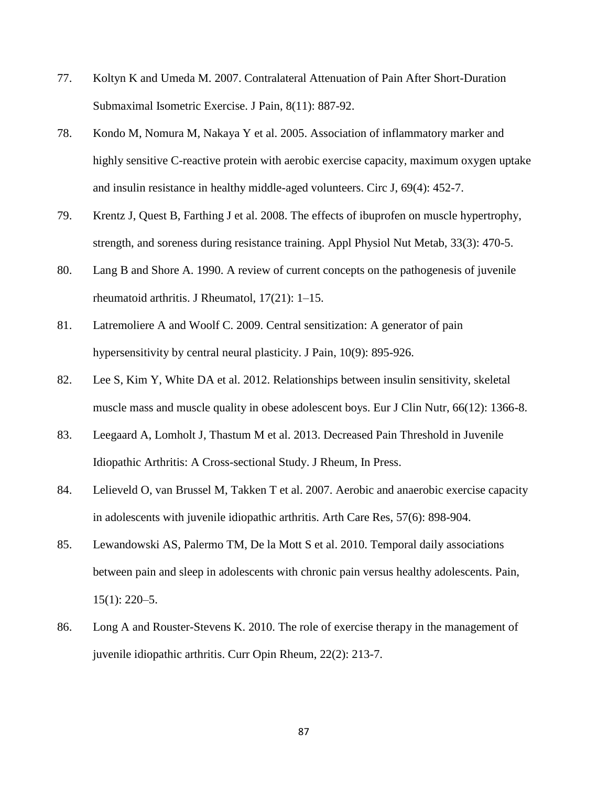- 77. Koltyn K and Umeda M. 2007. Contralateral Attenuation of Pain After Short-Duration Submaximal Isometric Exercise. J Pain, 8(11): 887-92.
- 78. Kondo M, Nomura M, Nakaya Y et al. 2005. Association of inflammatory marker and highly sensitive C-reactive protein with aerobic exercise capacity, maximum oxygen uptake and insulin resistance in healthy middle-aged volunteers. Circ J, 69(4): 452-7.
- 79. Krentz J, Quest B, Farthing J et al. 2008. The effects of ibuprofen on muscle hypertrophy, strength, and soreness during resistance training. Appl Physiol Nut Metab, 33(3): 470-5.
- 80. Lang B and Shore A. 1990. A review of current concepts on the pathogenesis of juvenile rheumatoid arthritis. J Rheumatol, 17(21): 1–15.
- 81. Latremoliere A and Woolf C. 2009. Central sensitization: A generator of pain hypersensitivity by central neural plasticity. J Pain, 10(9): 895-926.
- 82. Lee S, Kim Y, White DA et al. 2012. Relationships between insulin sensitivity, skeletal muscle mass and muscle quality in obese adolescent boys. Eur J Clin Nutr, 66(12): 1366-8.
- 83. Leegaard A, Lomholt J, Thastum M et al. 2013. Decreased Pain Threshold in Juvenile Idiopathic Arthritis: A Cross-sectional Study. J Rheum, In Press.
- 84. Lelieveld O, van Brussel M, Takken T et al. 2007. Aerobic and anaerobic exercise capacity in adolescents with juvenile idiopathic arthritis. Arth Care Res, 57(6): 898-904.
- 85. Lewandowski AS, Palermo TM, De la Mott S et al. 2010. Temporal daily associations between pain and sleep in adolescents with chronic pain versus healthy adolescents. Pain,  $15(1)$ : 220–5.
- 86. Long A and Rouster-Stevens K. 2010. The role of exercise therapy in the management of juvenile idiopathic arthritis. Curr Opin Rheum, 22(2): 213-7.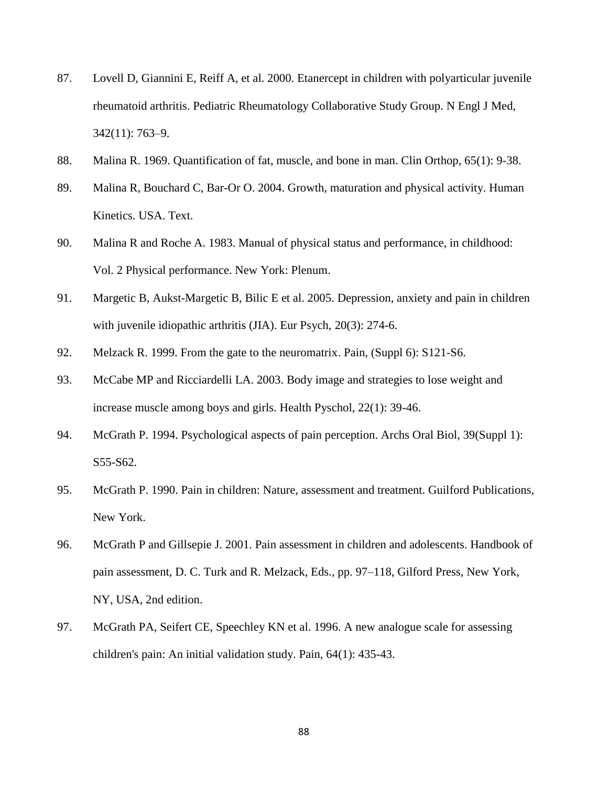- 87. Lovell D, Giannini E, Reiff A, et al. 2000. Etanercept in children with polyarticular juvenile rheumatoid arthritis. Pediatric Rheumatology Collaborative Study Group. N Engl J Med, 342(11): 763–9.
- 88. Malina R. 1969. Quantification of fat, muscle, and bone in man. Clin Orthop, 65(1): 9-38.
- 89. Malina R, Bouchard C, Bar-Or O. 2004. Growth, maturation and physical activity. Human Kinetics. USA. Text.
- 90. Malina R and Roche A. 1983. Manual of physical status and performance, in childhood: Vol. 2 Physical performance. New York: Plenum.
- 91. Margetic B, Aukst-Margetic B, Bilic E et al. 2005. Depression, anxiety and pain in children with juvenile idiopathic arthritis (JIA). Eur Psych, 20(3): 274-6.
- 92. Melzack R. 1999. From the gate to the neuromatrix. Pain, (Suppl 6): S121-S6.
- 93. McCabe MP and Ricciardelli LA. 2003. Body image and strategies to lose weight and increase muscle among boys and girls. Health Pyschol, 22(1): 39-46.
- 94. McGrath P. 1994. Psychological aspects of pain perception. Archs Oral Biol, 39(Suppl 1): S55-S62.
- 95. McGrath P. 1990. Pain in children: Nature, assessment and treatment. Guilford Publications, New York.
- 96. McGrath P and Gillsepie J. 2001. Pain assessment in children and adolescents. Handbook of pain assessment, D. C. Turk and R. Melzack, Eds., pp. 97–118, Gilford Press, New York, NY, USA, 2nd edition.
- 97. McGrath PA, Seifert CE, Speechley KN et al. 1996. A new analogue scale for assessing children's pain: An initial validation study. Pain, 64(1): 435-43.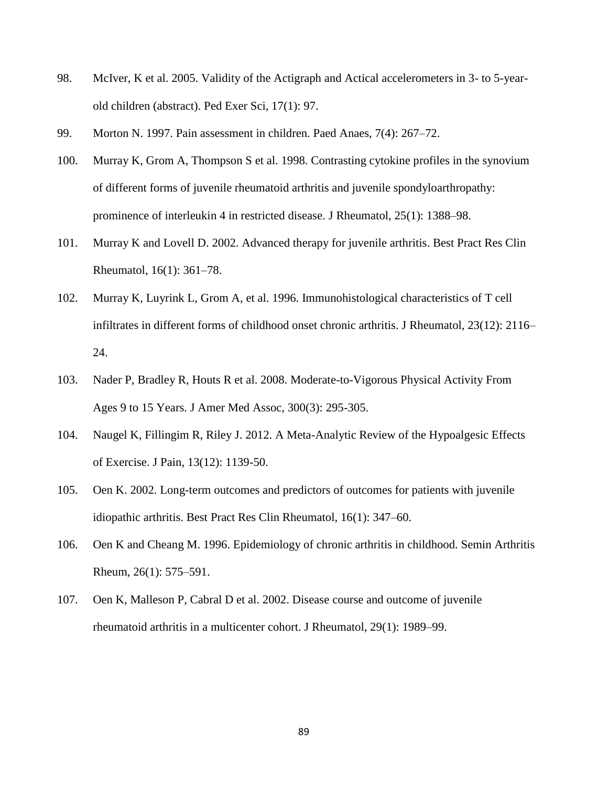- 98. McIver, K et al. 2005. Validity of the Actigraph and Actical accelerometers in 3- to 5-yearold children (abstract). Ped Exer Sci, 17(1): 97.
- 99. Morton N. 1997. Pain assessment in children. Paed Anaes, 7(4): 267–72.
- 100. Murray K, Grom A, Thompson S et al. 1998. Contrasting cytokine profiles in the synovium of different forms of juvenile rheumatoid arthritis and juvenile spondyloarthropathy: prominence of interleukin 4 in restricted disease. J Rheumatol, 25(1): 1388–98.
- 101. Murray K and Lovell D. 2002. Advanced therapy for juvenile arthritis. Best Pract Res Clin Rheumatol, 16(1): 361–78.
- 102. Murray K, Luyrink L, Grom A, et al. 1996. Immunohistological characteristics of T cell infiltrates in different forms of childhood onset chronic arthritis. J Rheumatol, 23(12): 2116– 24.
- 103. Nader P, Bradley R, Houts R et al. 2008. Moderate-to-Vigorous Physical Activity From Ages 9 to 15 Years. J Amer Med Assoc, 300(3): 295-305.
- 104. Naugel K, Fillingim R, Riley J. 2012. A Meta-Analytic Review of the Hypoalgesic Effects of Exercise. J Pain, 13(12): 1139-50.
- 105. Oen K. 2002. Long-term outcomes and predictors of outcomes for patients with juvenile idiopathic arthritis. Best Pract Res Clin Rheumatol, 16(1): 347–60.
- 106. Oen K and Cheang M. 1996. Epidemiology of chronic arthritis in childhood. Semin Arthritis Rheum, 26(1): 575–591.
- 107. Oen K, Malleson P, Cabral D et al. 2002. Disease course and outcome of juvenile rheumatoid arthritis in a multicenter cohort. J Rheumatol, 29(1): 1989–99.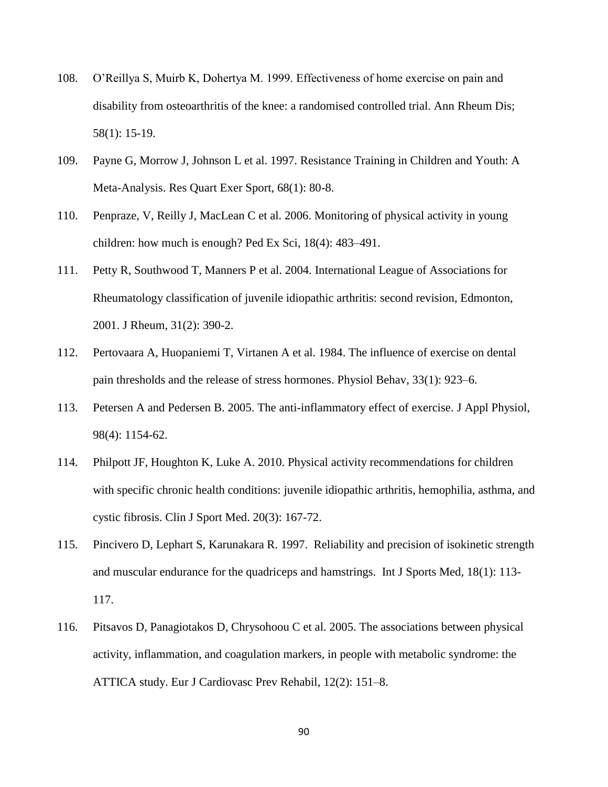- 108. O"Reillya S, Muirb K, Dohertya M. 1999. Effectiveness of home exercise on pain and disability from osteoarthritis of the knee: a randomised controlled trial. Ann Rheum Dis; 58(1): 15-19.
- 109. Payne G, Morrow J, Johnson L et al. 1997. Resistance Training in Children and Youth: A Meta-Analysis. Res Quart Exer Sport, 68(1): 80-8.
- 110. Penpraze, V, Reilly J, MacLean C et al. 2006. Monitoring of physical activity in young children: how much is enough? Ped Ex Sci, 18(4): 483–491.
- 111. Petty R, Southwood T, Manners P et al. 2004. International League of Associations for Rheumatology classification of juvenile idiopathic arthritis: second revision, Edmonton, 2001. J Rheum, 31(2): 390-2.
- 112. Pertovaara A, Huopaniemi T, Virtanen A et al. 1984. The influence of exercise on dental pain thresholds and the release of stress hormones. Physiol Behav, 33(1): 923–6.
- 113. Petersen A and Pedersen B. 2005. The anti-inflammatory effect of exercise. J Appl Physiol, 98(4): 1154-62.
- 114. Philpott JF, Houghton K, Luke A. 2010. Physical activity recommendations for children with specific chronic health conditions: juvenile idiopathic arthritis, hemophilia, asthma, and cystic fibrosis. Clin J Sport Med. 20(3): 167-72.
- 115. Pincivero D, Lephart S, Karunakara R. 1997. Reliability and precision of isokinetic strength and muscular endurance for the quadriceps and hamstrings. Int J Sports Med, 18(1): 113- 117.
- 116. Pitsavos D, Panagiotakos D, Chrysohoou C et al. 2005. The associations between physical activity, inflammation, and coagulation markers, in people with metabolic syndrome: the ATTICA study. Eur J Cardiovasc Prev Rehabil, 12(2): 151–8.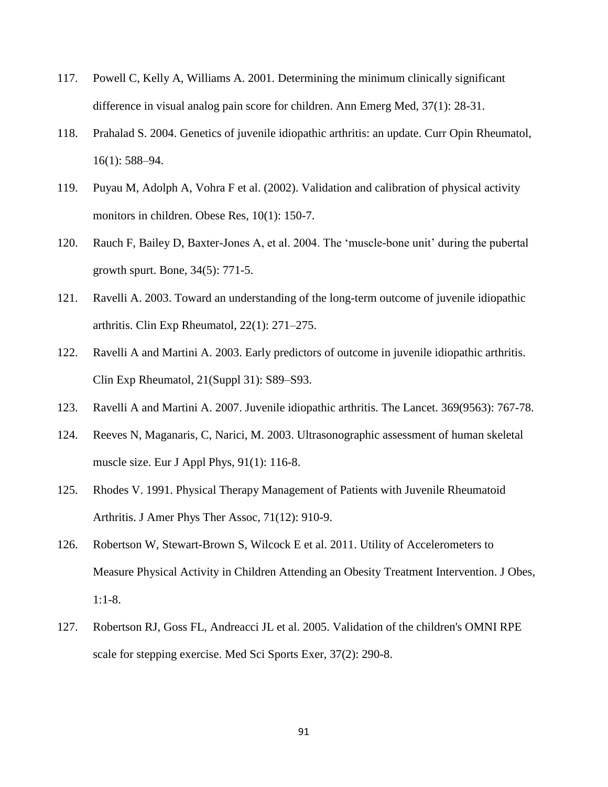- 117. Powell C, Kelly A, Williams A. 2001. Determining the minimum clinically significant difference in visual analog pain score for children. Ann Emerg Med, 37(1): 28-31.
- 118. Prahalad S. 2004. Genetics of juvenile idiopathic arthritis: an update. Curr Opin Rheumatol, 16(1): 588–94.
- 119. Puyau M, Adolph A, Vohra F et al. (2002). Validation and calibration of physical activity monitors in children. Obese Res, 10(1): 150-7.
- 120. Rauch F, Bailey D, Baxter-Jones A, et al. 2004. The "muscle-bone unit" during the pubertal growth spurt. Bone, 34(5): 771-5.
- 121. Ravelli A. 2003. Toward an understanding of the long-term outcome of juvenile idiopathic arthritis. Clin Exp Rheumatol, 22(1): 271–275.
- 122. Ravelli A and Martini A. 2003. Early predictors of outcome in juvenile idiopathic arthritis. Clin Exp Rheumatol, 21(Suppl 31): S89–S93.
- 123. Ravelli A and Martini A. 2007. Juvenile idiopathic arthritis. The Lancet. 369(9563): 767-78.
- 124. Reeves N, Maganaris, C, Narici, M. 2003. Ultrasonographic assessment of human skeletal muscle size. Eur J Appl Phys, 91(1): 116-8.
- 125. Rhodes V. 1991. Physical Therapy Management of Patients with Juvenile Rheumatoid Arthritis. J Amer Phys Ther Assoc, 71(12): 910-9.
- 126. Robertson W, Stewart-Brown S, Wilcock E et al. 2011. Utility of Accelerometers to Measure Physical Activity in Children Attending an Obesity Treatment Intervention. J Obes, 1:1-8.
- 127. Robertson RJ, Goss FL, Andreacci JL et al. 2005. Validation of the children's OMNI RPE scale for stepping exercise. Med Sci Sports Exer, 37(2): 290-8.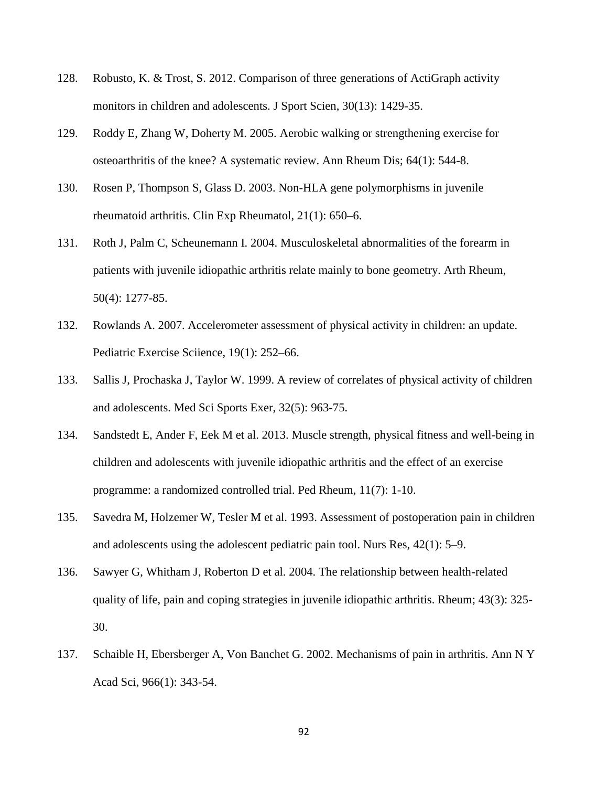- 128. Robusto, K. & Trost, S. 2012. Comparison of three generations of ActiGraph activity monitors in children and adolescents. J Sport Scien, 30(13): 1429-35.
- 129. Roddy E, Zhang W, Doherty M. 2005. Aerobic walking or strengthening exercise for osteoarthritis of the knee? A systematic review. Ann Rheum Dis; 64(1): 544-8.
- 130. Rosen P, Thompson S, Glass D. 2003. Non-HLA gene polymorphisms in juvenile rheumatoid arthritis. Clin Exp Rheumatol, 21(1): 650–6.
- 131. Roth J, Palm C, Scheunemann I. 2004. Musculoskeletal abnormalities of the forearm in patients with juvenile idiopathic arthritis relate mainly to bone geometry. Arth Rheum, 50(4): 1277-85.
- 132. Rowlands A. 2007. Accelerometer assessment of physical activity in children: an update. Pediatric Exercise Sciience, 19(1): 252–66.
- 133. Sallis J, Prochaska J, Taylor W. 1999. A review of correlates of physical activity of children and adolescents. Med Sci Sports Exer, 32(5): 963-75.
- 134. Sandstedt E, Ander F, Eek M et al. 2013. Muscle strength, physical fitness and well-being in children and adolescents with juvenile idiopathic arthritis and the effect of an exercise programme: a randomized controlled trial. Ped Rheum, 11(7): 1-10.
- 135. Savedra M, Holzemer W, Tesler M et al. 1993. Assessment of postoperation pain in children and adolescents using the adolescent pediatric pain tool. Nurs Res, 42(1): 5–9.
- 136. Sawyer G, Whitham J, Roberton D et al. 2004. The relationship between health-related quality of life, pain and coping strategies in juvenile idiopathic arthritis. Rheum; 43(3): 325- 30.
- 137. Schaible H, Ebersberger A, Von Banchet G. 2002. Mechanisms of pain in arthritis. Ann N Y Acad Sci, 966(1): 343-54.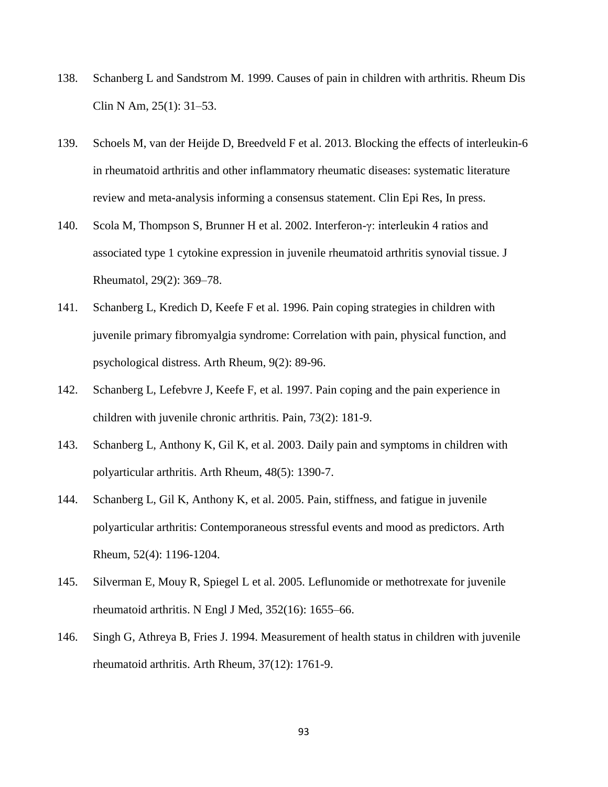- 138. Schanberg L and Sandstrom M. 1999. Causes of pain in children with arthritis. Rheum Dis Clin N Am, 25(1): 31–53.
- 139. Schoels M, van der Heijde D, Breedveld F et al. 2013. Blocking the effects of interleukin-6 in rheumatoid arthritis and other inflammatory rheumatic diseases: systematic literature review and meta-analysis informing a consensus statement. Clin Epi Res, In press.
- 140. Scola M, Thompson S, Brunner H et al. 2002. Interferon-γ: interleukin 4 ratios and associated type 1 cytokine expression in juvenile rheumatoid arthritis synovial tissue. J Rheumatol, 29(2): 369–78.
- 141. Schanberg L, Kredich D, Keefe F et al. 1996. Pain coping strategies in children with juvenile primary fibromyalgia syndrome: Correlation with pain, physical function, and psychological distress. Arth Rheum, 9(2): 89-96.
- 142. Schanberg L, Lefebvre J, Keefe F, et al. 1997. Pain coping and the pain experience in children with juvenile chronic arthritis. Pain, 73(2): 181-9.
- 143. Schanberg L, Anthony K, Gil K, et al. 2003. Daily pain and symptoms in children with polyarticular arthritis. Arth Rheum, 48(5): 1390-7.
- 144. Schanberg L, Gil K, Anthony K, et al. 2005. Pain, stiffness, and fatigue in juvenile polyarticular arthritis: Contemporaneous stressful events and mood as predictors. Arth Rheum, 52(4): 1196-1204.
- 145. Silverman E, Mouy R, Spiegel L et al. 2005. Leflunomide or methotrexate for juvenile rheumatoid arthritis. N Engl J Med, 352(16): 1655–66.
- 146. Singh G, Athreya B, Fries J. 1994. Measurement of health status in children with juvenile rheumatoid arthritis. Arth Rheum, 37(12): 1761-9.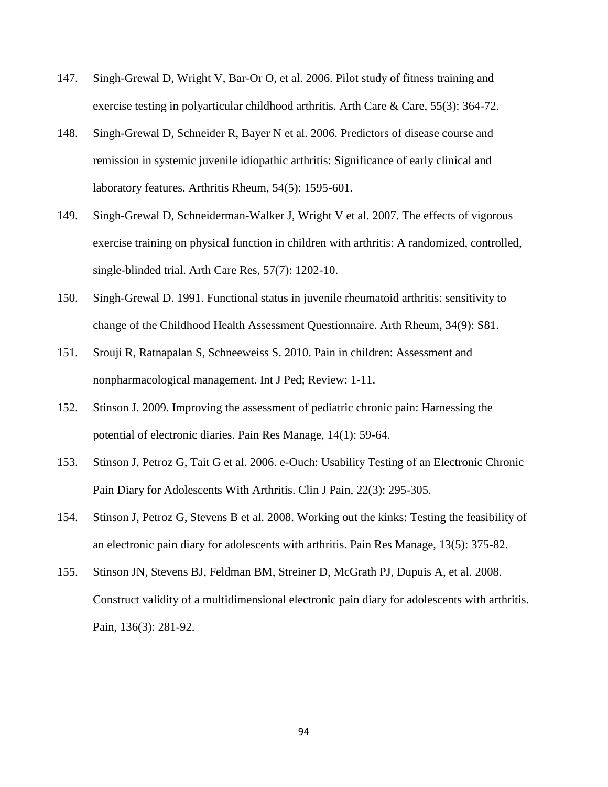- 147. Singh-Grewal D, Wright V, Bar-Or O, et al. 2006. Pilot study of fitness training and exercise testing in polyarticular childhood arthritis. Arth Care & Care, 55(3): 364-72.
- 148. Singh-Grewal D, Schneider R, Bayer N et al. 2006. Predictors of disease course and remission in systemic juvenile idiopathic arthritis: Significance of early clinical and laboratory features. Arthritis Rheum, 54(5): 1595-601.
- 149. Singh-Grewal D, Schneiderman-Walker J, Wright V et al. 2007. The effects of vigorous exercise training on physical function in children with arthritis: A randomized, controlled, single-blinded trial. Arth Care Res, 57(7): 1202-10.
- 150. Singh-Grewal D. 1991. Functional status in juvenile rheumatoid arthritis: sensitivity to change of the Childhood Health Assessment Questionnaire. Arth Rheum, 34(9): S81.
- 151. Srouji R, Ratnapalan S, Schneeweiss S. 2010. Pain in children: Assessment and nonpharmacological management. Int J Ped; Review: 1-11.
- 152. Stinson J. 2009. Improving the assessment of pediatric chronic pain: Harnessing the potential of electronic diaries. Pain Res Manage, 14(1): 59-64.
- 153. Stinson J, Petroz G, Tait G et al. 2006. e-Ouch: Usability Testing of an Electronic Chronic Pain Diary for Adolescents With Arthritis. Clin J Pain, 22(3): 295-305.
- 154. Stinson J, Petroz G, Stevens B et al. 2008. Working out the kinks: Testing the feasibility of an electronic pain diary for adolescents with arthritis. Pain Res Manage, 13(5): 375-82.
- 155. Stinson JN, Stevens BJ, Feldman BM, Streiner D, McGrath PJ, Dupuis A, et al. 2008. Construct validity of a multidimensional electronic pain diary for adolescents with arthritis. Pain, 136(3): 281-92.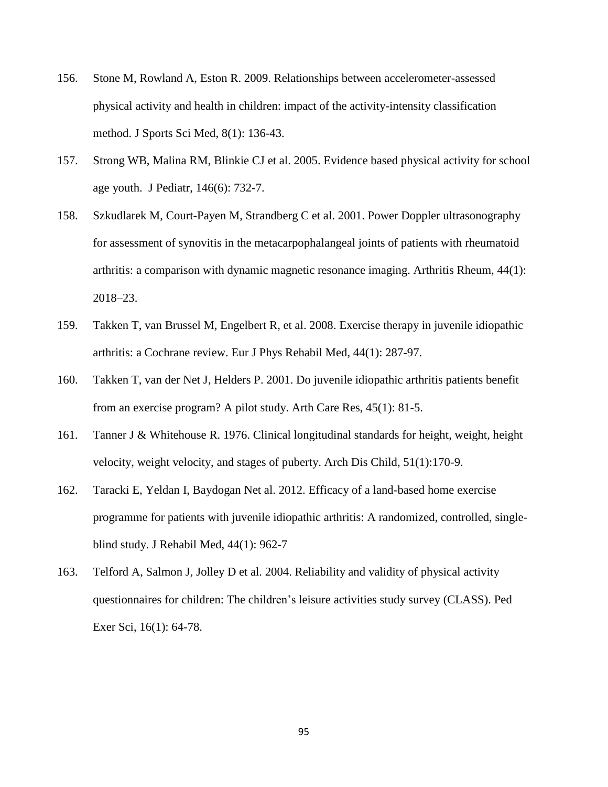- 156. Stone M, Rowland A, Eston R. 2009. Relationships between accelerometer-assessed physical activity and health in children: impact of the activity-intensity classification method. J Sports Sci Med, 8(1): 136-43.
- 157. Strong WB, Malina RM, Blinkie CJ et al. 2005. Evidence based physical activity for school age youth. J Pediatr, 146(6): 732-7.
- 158. Szkudlarek M, Court-Payen M, Strandberg C et al. 2001. Power Doppler ultrasonography for assessment of synovitis in the metacarpophalangeal joints of patients with rheumatoid arthritis: a comparison with dynamic magnetic resonance imaging. Arthritis Rheum, 44(1): 2018–23.
- 159. Takken T, van Brussel M, Engelbert R, et al. 2008. Exercise therapy in juvenile idiopathic arthritis: a Cochrane review. Eur J Phys Rehabil Med, 44(1): 287-97.
- 160. Takken T, van der Net J, Helders P. 2001. Do juvenile idiopathic arthritis patients benefit from an exercise program? A pilot study. Arth Care Res, 45(1): 81-5.
- 161. Tanner J & Whitehouse R. 1976. Clinical longitudinal standards for height, weight, height velocity, weight velocity, and stages of puberty. Arch Dis Child, 51(1):170-9.
- 162. Taracki E, Yeldan I, Baydogan Net al. 2012. Efficacy of a land-based home exercise programme for patients with juvenile idiopathic arthritis: A randomized, controlled, singleblind study. J Rehabil Med, 44(1): 962-7
- 163. Telford A, Salmon J, Jolley D et al. 2004. Reliability and validity of physical activity questionnaires for children: The children"s leisure activities study survey (CLASS). Ped Exer Sci, 16(1): 64-78.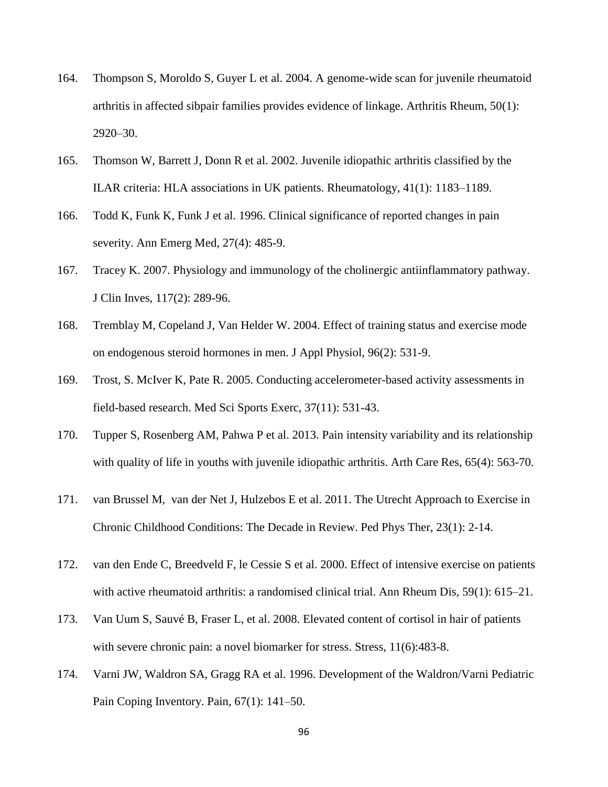- 164. Thompson S, Moroldo S, Guyer L et al. 2004. A genome-wide scan for juvenile rheumatoid arthritis in affected sibpair families provides evidence of linkage. Arthritis Rheum, 50(1): 2920–30.
- 165. Thomson W, Barrett J, Donn R et al. 2002. Juvenile idiopathic arthritis classified by the ILAR criteria: HLA associations in UK patients. Rheumatology, 41(1): 1183–1189.
- 166. Todd K, [Funk K,](http://www.ncbi.nlm.nih.gov/pubmed?term=Funk%20KG%5BAuthor%5D&cauthor=true&cauthor_uid=8604867) [Funk J](http://www.ncbi.nlm.nih.gov/pubmed?term=Funk%20JP%5BAuthor%5D&cauthor=true&cauthor_uid=8604867) et al. 1996. Clinical significance of reported changes in pain severity. Ann Emerg Med, 27(4): 485-9.
- 167. Tracey K. 2007. Physiology and immunology of the cholinergic antiinflammatory pathway. J Clin Inves, 117(2): 289-96.
- 168. Tremblay M, Copeland J, Van Helder W. 2004. Effect of training status and exercise mode on endogenous steroid hormones in men. J Appl Physiol, 96(2): 531-9.
- 169. Trost, S. McIver K, Pate R. 2005. Conducting accelerometer-based activity assessments in field-based research. Med Sci Sports Exerc, 37(11): 531-43.
- 170. Tupper S, Rosenberg AM, Pahwa P et al. 2013. Pain intensity variability and its relationship with quality of life in youths with juvenile idiopathic arthritis. Arth Care Res, 65(4): 563-70.
- 171. van Brussel M, van der Net J, Hulzebos E et al. 2011. The Utrecht Approach to Exercise in Chronic Childhood Conditions: The Decade in Review. Ped Phys Ther, 23(1): 2-14.
- 172. van den Ende C, Breedveld F, le Cessie S et al. 2000. Effect of intensive exercise on patients with active rheumatoid arthritis: a randomised clinical trial. Ann Rheum Dis, 59(1): 615–21.
- 173. [Van Uum S,](http://www.ncbi.nlm.nih.gov/pubmed?term=Van%20Uum%20SH%5BAuthor%5D&cauthor=true&cauthor_uid=18609301) [Sauvé B,](http://www.ncbi.nlm.nih.gov/pubmed?term=Sauv%C3%A9%20B%5BAuthor%5D&cauthor=true&cauthor_uid=18609301) [Fraser L,](http://www.ncbi.nlm.nih.gov/pubmed?term=Fraser%20LA%5BAuthor%5D&cauthor=true&cauthor_uid=18609301) et al. 2008. Elevated content of cortisol in hair of patients with severe chronic pain: a novel biomarker for stress. Stress, 11(6):483-8.
- 174. Varni JW, Waldron SA, Gragg RA et al. 1996. Development of the Waldron/Varni Pediatric Pain Coping Inventory. Pain, 67(1): 141–50.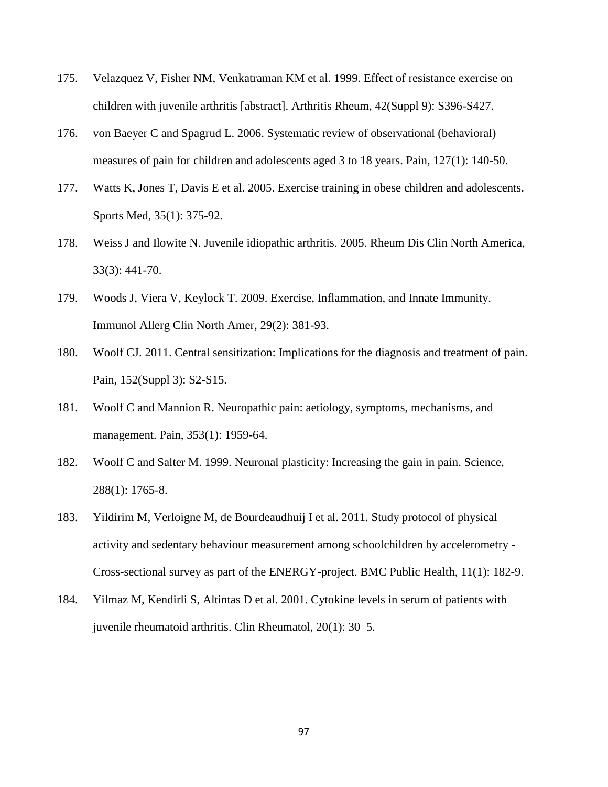- 175. Velazquez V, Fisher NM, Venkatraman KM et al. 1999. Effect of resistance exercise on children with juvenile arthritis [abstract]. Arthritis Rheum, 42(Suppl 9): S396-S427.
- 176. von Baeyer C and Spagrud L. 2006. Systematic review of observational (behavioral) measures of pain for children and adolescents aged 3 to 18 years. Pain, 127(1): 140-50.
- 177. Watts K, Jones T, Davis E et al. 2005. Exercise training in obese children and adolescents. Sports Med, 35(1): 375-92.
- 178. Weiss J and Ilowite N. Juvenile idiopathic arthritis. 2005. Rheum Dis Clin North America, 33(3): 441-70.
- 179. Woods J, Viera V, Keylock T. 2009. Exercise, Inflammation, and Innate Immunity. Immunol Allerg Clin North Amer, 29(2): 381-93.
- 180. Woolf CJ. 2011. Central sensitization: Implications for the diagnosis and treatment of pain. Pain, 152(Suppl 3): S2-S15.
- 181. Woolf C and Mannion R. Neuropathic pain: aetiology, symptoms, mechanisms, and management. Pain, 353(1): 1959-64.
- 182. Woolf C and Salter M. 1999. Neuronal plasticity: Increasing the gain in pain. Science, 288(1): 1765-8.
- 183. Yildirim M, Verloigne M, de Bourdeaudhuij I et al. 2011. Study protocol of physical activity and sedentary behaviour measurement among schoolchildren by accelerometry - Cross-sectional survey as part of the ENERGY-project. BMC Public Health, 11(1): 182-9.
- 184. Yilmaz M, Kendirli S, Altintas D et al. 2001. Cytokine levels in serum of patients with juvenile rheumatoid arthritis. Clin Rheumatol, 20(1): 30–5.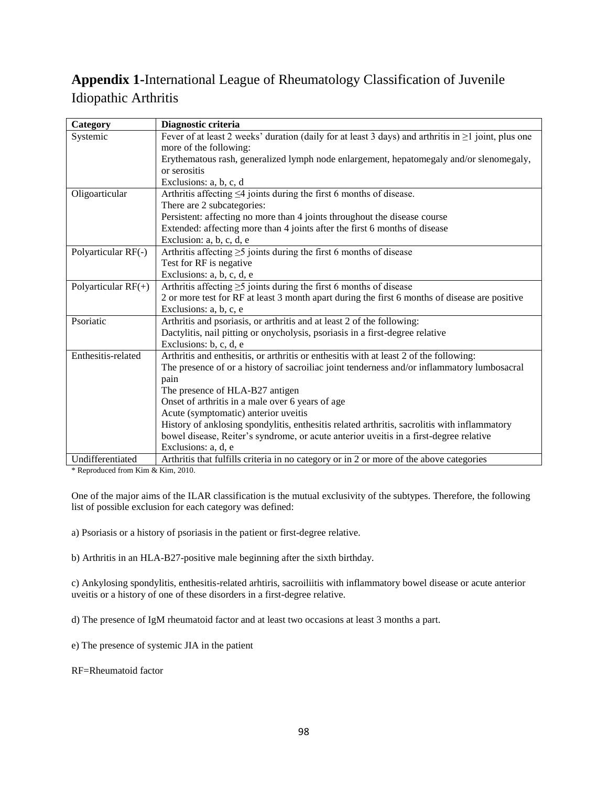# **Appendix 1-**International League of Rheumatology Classification of Juvenile Idiopathic Arthritis

| Category              | Diagnostic criteria                                                                                       |
|-----------------------|-----------------------------------------------------------------------------------------------------------|
| Systemic              | Fever of at least 2 weeks' duration (daily for at least 3 days) and arthritis in $\geq 1$ joint, plus one |
|                       | more of the following:                                                                                    |
|                       | Erythematous rash, generalized lymph node enlargement, hepatomegaly and/or slenomegaly,                   |
|                       | or serositis                                                                                              |
|                       | Exclusions: a, b, c, d                                                                                    |
| Oligoarticular        | Arthritis affecting $\leq 4$ joints during the first 6 months of disease.                                 |
|                       | There are 2 subcategories:                                                                                |
|                       | Persistent: affecting no more than 4 joints throughout the disease course                                 |
|                       | Extended: affecting more than 4 joints after the first 6 months of disease                                |
|                       | Exclusion: a, b, c, d, e                                                                                  |
| Polyarticular RF(-)   | Arthritis affecting $\geq$ 5 joints during the first 6 months of disease                                  |
|                       | Test for RF is negative                                                                                   |
|                       | Exclusions: a, b, c, d, e                                                                                 |
| Polyarticular $RF(+)$ | Arthritis affecting $\geq$ 5 joints during the first 6 months of disease                                  |
|                       | 2 or more test for RF at least 3 month apart during the first 6 months of disease are positive            |
|                       | Exclusions: a, b, c, e                                                                                    |
| Psoriatic             | Arthritis and psoriasis, or arthritis and at least 2 of the following:                                    |
|                       | Dactylitis, nail pitting or onycholysis, psoriasis in a first-degree relative                             |
|                       | Exclusions: b, c, d, e                                                                                    |
| Enthesitis-related    | Arthritis and enthesitis, or arthritis or enthesitis with at least 2 of the following:                    |
|                       | The presence of or a history of sacroiliac joint tenderness and/or inflammatory lumbosacral               |
|                       | pain                                                                                                      |
|                       | The presence of HLA-B27 antigen                                                                           |
|                       | Onset of arthritis in a male over 6 years of age                                                          |
|                       | Acute (symptomatic) anterior uveitis                                                                      |
|                       | History of anklosing spondylitis, enthesitis related arthritis, sacrolitis with inflammatory              |
|                       | bowel disease, Reiter's syndrome, or acute anterior uveitis in a first-degree relative                    |
|                       | Exclusions: a, d, e                                                                                       |
| Undifferentiated      | Arthritis that fulfills criteria in no category or in 2 or more of the above categories                   |

\* Reproduced from Kim & Kim, 2010.

One of the major aims of the ILAR classification is the mutual exclusivity of the subtypes. Therefore, the following list of possible exclusion for each category was defined:

a) Psoriasis or a history of psoriasis in the patient or first-degree relative.

b) Arthritis in an HLA-B27-positive male beginning after the sixth birthday.

c) Ankylosing spondylitis, enthesitis-related arhtiris, sacroiliitis with inflammatory bowel disease or acute anterior uveitis or a history of one of these disorders in a first-degree relative.

d) The presence of IgM rheumatoid factor and at least two occasions at least 3 months a part.

e) The presence of systemic JIA in the patient

RF=Rheumatoid factor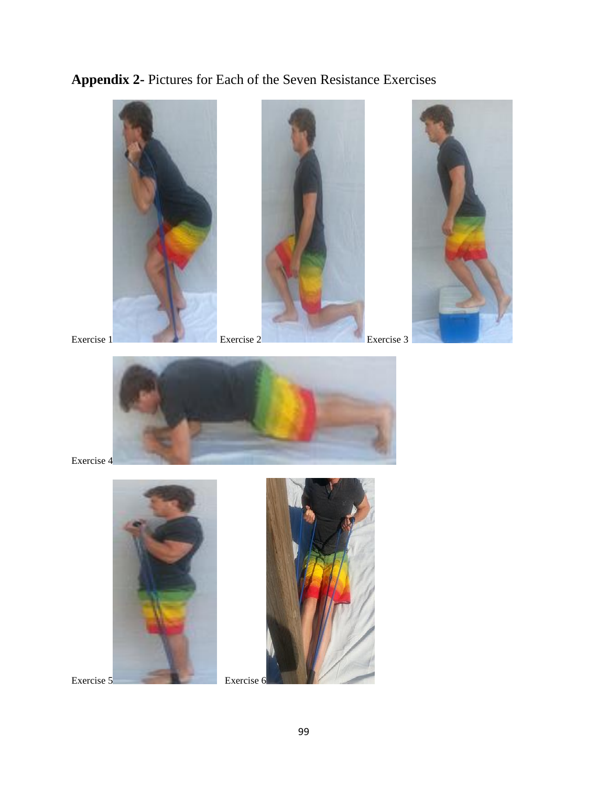**Appendix 2-** Pictures for Each of the Seven Resistance Exercises





Exercise 4



Exercise 5 Exercise 6

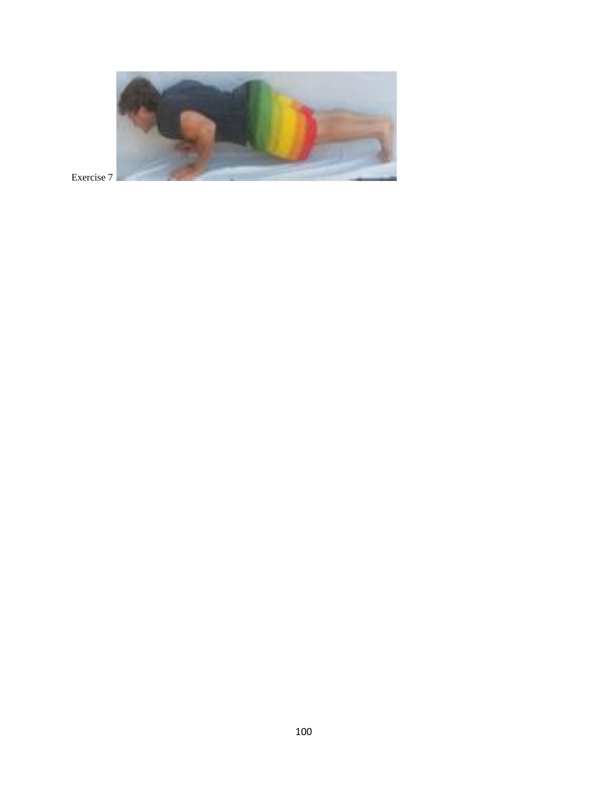

Exercise 7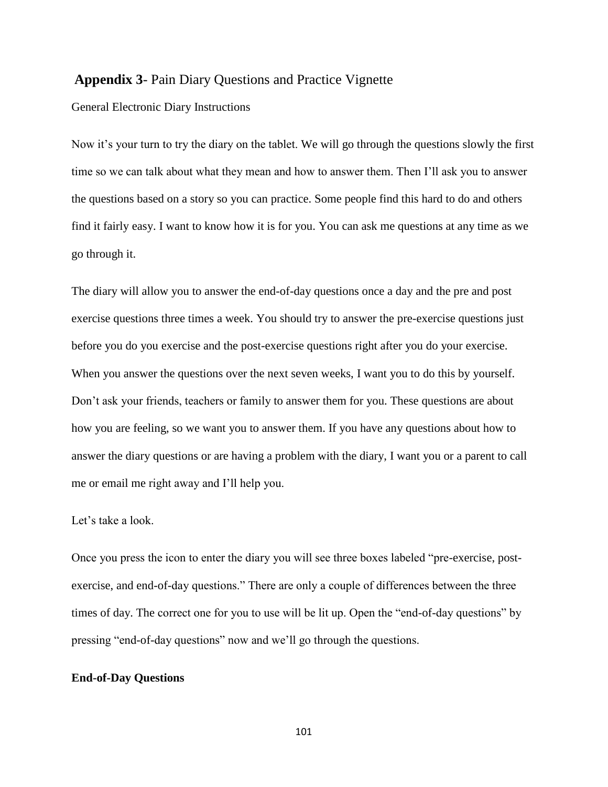#### **Appendix 3**- Pain Diary Questions and Practice Vignette

#### General Electronic Diary Instructions

Now it's your turn to try the diary on the tablet. We will go through the questions slowly the first time so we can talk about what they mean and how to answer them. Then I"ll ask you to answer the questions based on a story so you can practice. Some people find this hard to do and others find it fairly easy. I want to know how it is for you. You can ask me questions at any time as we go through it.

The diary will allow you to answer the end-of-day questions once a day and the pre and post exercise questions three times a week. You should try to answer the pre-exercise questions just before you do you exercise and the post-exercise questions right after you do your exercise. When you answer the questions over the next seven weeks, I want you to do this by yourself. Don"t ask your friends, teachers or family to answer them for you. These questions are about how you are feeling, so we want you to answer them. If you have any questions about how to answer the diary questions or are having a problem with the diary, I want you or a parent to call me or email me right away and I"ll help you.

#### Let's take a look.

Once you press the icon to enter the diary you will see three boxes labeled "pre-exercise, postexercise, and end-of-day questions." There are only a couple of differences between the three times of day. The correct one for you to use will be lit up. Open the "end-of-day questions" by pressing "end-of-day questions" now and we"ll go through the questions.

#### **End-of-Day Questions**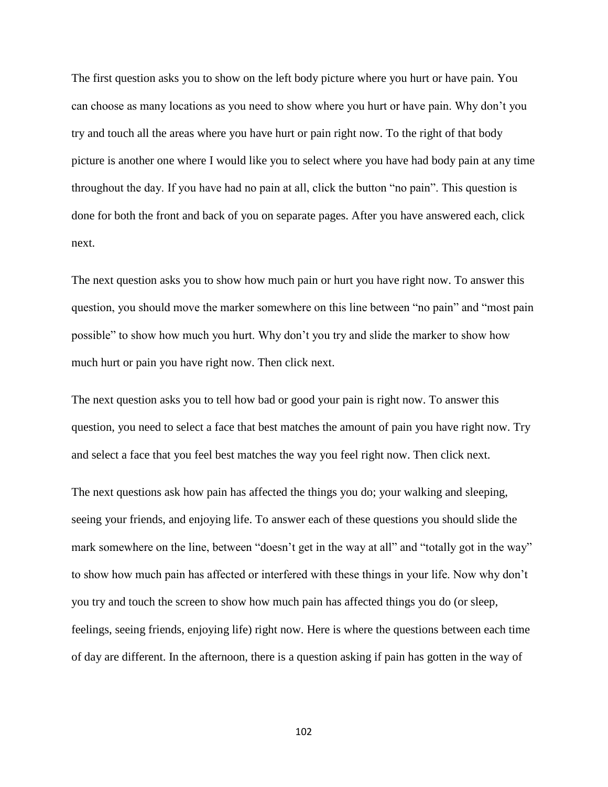The first question asks you to show on the left body picture where you hurt or have pain. You can choose as many locations as you need to show where you hurt or have pain. Why don"t you try and touch all the areas where you have hurt or pain right now. To the right of that body picture is another one where I would like you to select where you have had body pain at any time throughout the day. If you have had no pain at all, click the button "no pain". This question is done for both the front and back of you on separate pages. After you have answered each, click next.

The next question asks you to show how much pain or hurt you have right now. To answer this question, you should move the marker somewhere on this line between "no pain" and "most pain possible" to show how much you hurt. Why don"t you try and slide the marker to show how much hurt or pain you have right now. Then click next.

The next question asks you to tell how bad or good your pain is right now. To answer this question, you need to select a face that best matches the amount of pain you have right now. Try and select a face that you feel best matches the way you feel right now. Then click next.

The next questions ask how pain has affected the things you do; your walking and sleeping, seeing your friends, and enjoying life. To answer each of these questions you should slide the mark somewhere on the line, between "doesn't get in the way at all" and "totally got in the way" to show how much pain has affected or interfered with these things in your life. Now why don"t you try and touch the screen to show how much pain has affected things you do (or sleep, feelings, seeing friends, enjoying life) right now. Here is where the questions between each time of day are different. In the afternoon, there is a question asking if pain has gotten in the way of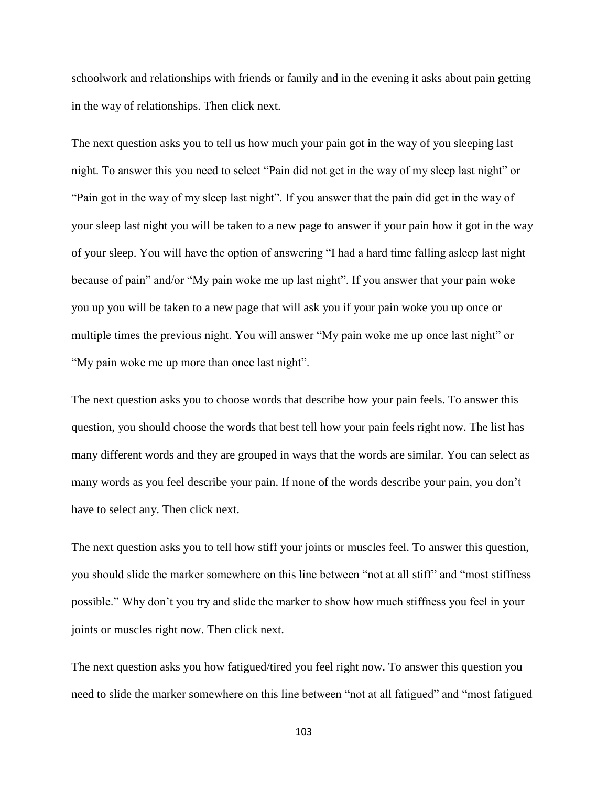schoolwork and relationships with friends or family and in the evening it asks about pain getting in the way of relationships. Then click next.

The next question asks you to tell us how much your pain got in the way of you sleeping last night. To answer this you need to select "Pain did not get in the way of my sleep last night" or "Pain got in the way of my sleep last night". If you answer that the pain did get in the way of your sleep last night you will be taken to a new page to answer if your pain how it got in the way of your sleep. You will have the option of answering "I had a hard time falling asleep last night because of pain" and/or "My pain woke me up last night". If you answer that your pain woke you up you will be taken to a new page that will ask you if your pain woke you up once or multiple times the previous night. You will answer "My pain woke me up once last night" or "My pain woke me up more than once last night".

The next question asks you to choose words that describe how your pain feels. To answer this question, you should choose the words that best tell how your pain feels right now. The list has many different words and they are grouped in ways that the words are similar. You can select as many words as you feel describe your pain. If none of the words describe your pain, you don"t have to select any. Then click next.

The next question asks you to tell how stiff your joints or muscles feel. To answer this question, you should slide the marker somewhere on this line between "not at all stiff" and "most stiffness possible." Why don"t you try and slide the marker to show how much stiffness you feel in your joints or muscles right now. Then click next.

The next question asks you how fatigued/tired you feel right now. To answer this question you need to slide the marker somewhere on this line between "not at all fatigued" and "most fatigued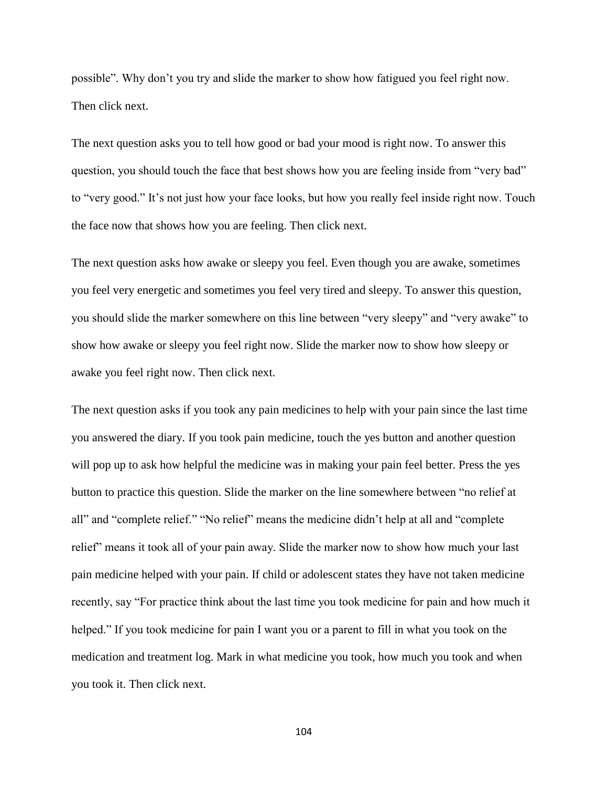possible". Why don"t you try and slide the marker to show how fatigued you feel right now. Then click next.

The next question asks you to tell how good or bad your mood is right now. To answer this question, you should touch the face that best shows how you are feeling inside from "very bad" to "very good." It's not just how your face looks, but how you really feel inside right now. Touch the face now that shows how you are feeling. Then click next.

The next question asks how awake or sleepy you feel. Even though you are awake, sometimes you feel very energetic and sometimes you feel very tired and sleepy. To answer this question, you should slide the marker somewhere on this line between "very sleepy" and "very awake" to show how awake or sleepy you feel right now. Slide the marker now to show how sleepy or awake you feel right now. Then click next.

The next question asks if you took any pain medicines to help with your pain since the last time you answered the diary. If you took pain medicine, touch the yes button and another question will pop up to ask how helpful the medicine was in making your pain feel better. Press the yes button to practice this question. Slide the marker on the line somewhere between "no relief at all" and "complete relief." "No relief" means the medicine didn"t help at all and "complete relief" means it took all of your pain away. Slide the marker now to show how much your last pain medicine helped with your pain. If child or adolescent states they have not taken medicine recently, say "For practice think about the last time you took medicine for pain and how much it helped." If you took medicine for pain I want you or a parent to fill in what you took on the medication and treatment log. Mark in what medicine you took, how much you took and when you took it. Then click next.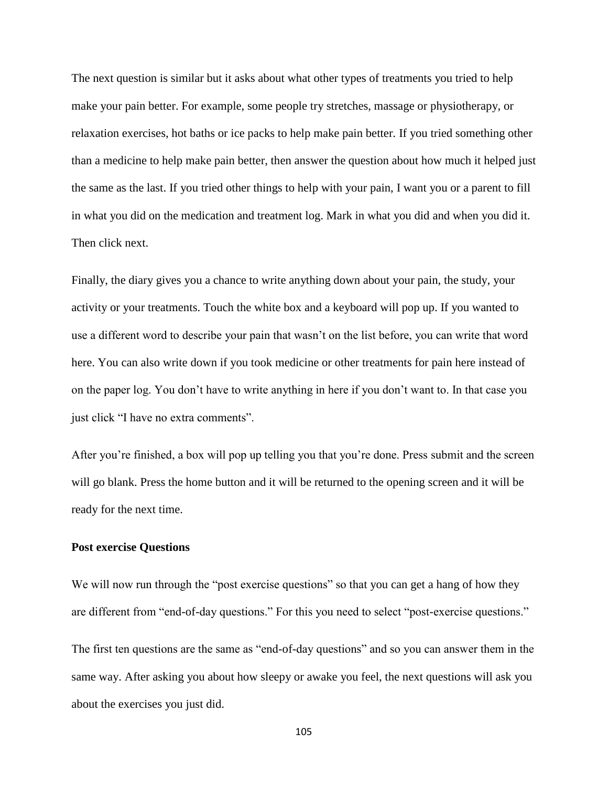The next question is similar but it asks about what other types of treatments you tried to help make your pain better. For example, some people try stretches, massage or physiotherapy, or relaxation exercises, hot baths or ice packs to help make pain better. If you tried something other than a medicine to help make pain better, then answer the question about how much it helped just the same as the last. If you tried other things to help with your pain, I want you or a parent to fill in what you did on the medication and treatment log. Mark in what you did and when you did it. Then click next.

Finally, the diary gives you a chance to write anything down about your pain, the study, your activity or your treatments. Touch the white box and a keyboard will pop up. If you wanted to use a different word to describe your pain that wasn"t on the list before, you can write that word here. You can also write down if you took medicine or other treatments for pain here instead of on the paper log. You don"t have to write anything in here if you don"t want to. In that case you just click "I have no extra comments".

After you"re finished, a box will pop up telling you that you"re done. Press submit and the screen will go blank. Press the home button and it will be returned to the opening screen and it will be ready for the next time.

#### **Post exercise Questions**

We will now run through the "post exercise questions" so that you can get a hang of how they are different from "end-of-day questions." For this you need to select "post-exercise questions."

The first ten questions are the same as "end-of-day questions" and so you can answer them in the same way. After asking you about how sleepy or awake you feel, the next questions will ask you about the exercises you just did.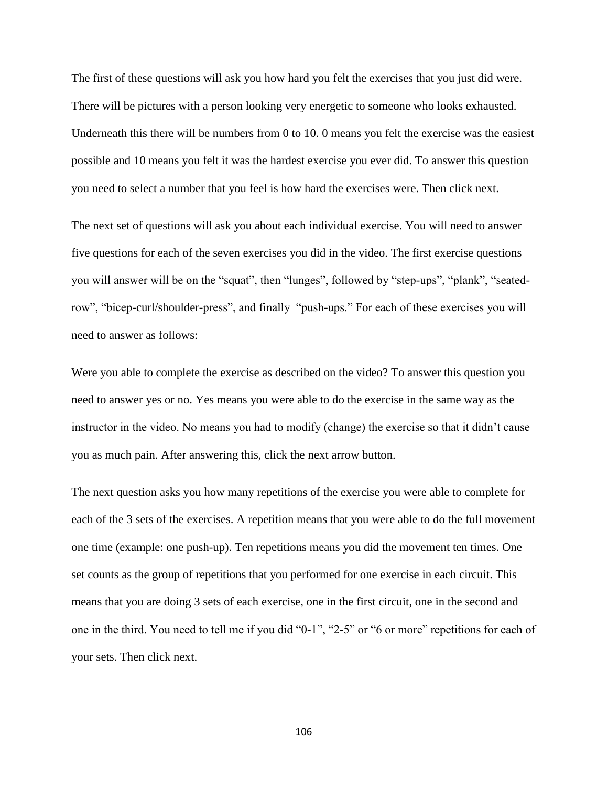The first of these questions will ask you how hard you felt the exercises that you just did were. There will be pictures with a person looking very energetic to someone who looks exhausted. Underneath this there will be numbers from 0 to 10. 0 means you felt the exercise was the easiest possible and 10 means you felt it was the hardest exercise you ever did. To answer this question you need to select a number that you feel is how hard the exercises were. Then click next.

The next set of questions will ask you about each individual exercise. You will need to answer five questions for each of the seven exercises you did in the video. The first exercise questions you will answer will be on the "squat", then "lunges", followed by "step-ups", "plank", "seatedrow", "bicep-curl/shoulder-press", and finally "push-ups." For each of these exercises you will need to answer as follows:

Were you able to complete the exercise as described on the video? To answer this question you need to answer yes or no. Yes means you were able to do the exercise in the same way as the instructor in the video. No means you had to modify (change) the exercise so that it didn"t cause you as much pain. After answering this, click the next arrow button.

The next question asks you how many repetitions of the exercise you were able to complete for each of the 3 sets of the exercises. A repetition means that you were able to do the full movement one time (example: one push-up). Ten repetitions means you did the movement ten times. One set counts as the group of repetitions that you performed for one exercise in each circuit. This means that you are doing 3 sets of each exercise, one in the first circuit, one in the second and one in the third. You need to tell me if you did "0-1", "2-5" or "6 or more" repetitions for each of your sets. Then click next.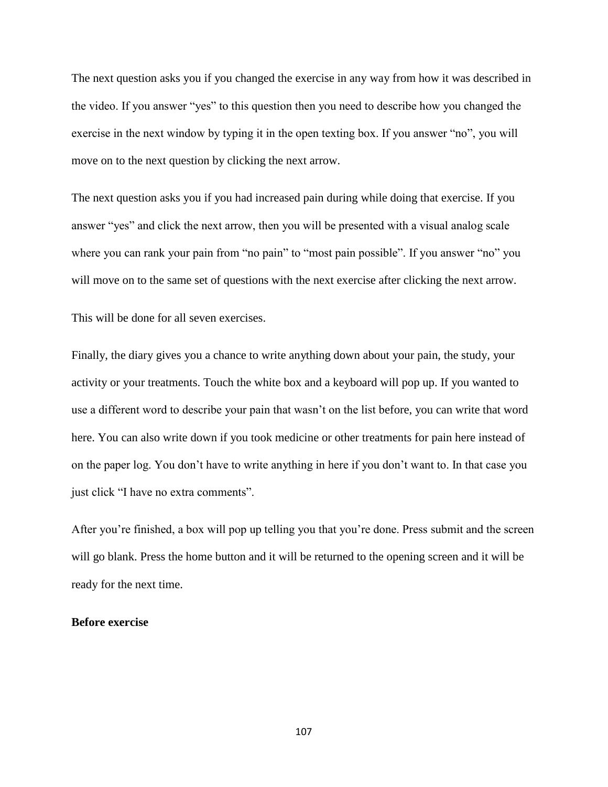The next question asks you if you changed the exercise in any way from how it was described in the video. If you answer "yes" to this question then you need to describe how you changed the exercise in the next window by typing it in the open texting box. If you answer "no", you will move on to the next question by clicking the next arrow.

The next question asks you if you had increased pain during while doing that exercise. If you answer "yes" and click the next arrow, then you will be presented with a visual analog scale where you can rank your pain from "no pain" to "most pain possible". If you answer "no" you will move on to the same set of questions with the next exercise after clicking the next arrow.

This will be done for all seven exercises.

Finally, the diary gives you a chance to write anything down about your pain, the study, your activity or your treatments. Touch the white box and a keyboard will pop up. If you wanted to use a different word to describe your pain that wasn"t on the list before, you can write that word here. You can also write down if you took medicine or other treatments for pain here instead of on the paper log. You don"t have to write anything in here if you don"t want to. In that case you just click "I have no extra comments".

After you"re finished, a box will pop up telling you that you"re done. Press submit and the screen will go blank. Press the home button and it will be returned to the opening screen and it will be ready for the next time.

#### **Before exercise**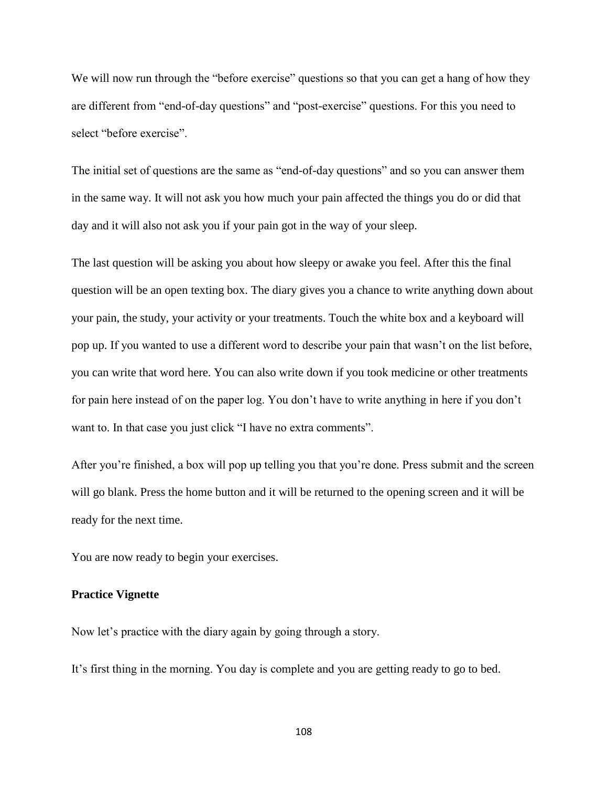We will now run through the "before exercise" questions so that you can get a hang of how they are different from "end-of-day questions" and "post-exercise" questions. For this you need to select "before exercise".

The initial set of questions are the same as "end-of-day questions" and so you can answer them in the same way. It will not ask you how much your pain affected the things you do or did that day and it will also not ask you if your pain got in the way of your sleep.

The last question will be asking you about how sleepy or awake you feel. After this the final question will be an open texting box. The diary gives you a chance to write anything down about your pain, the study, your activity or your treatments. Touch the white box and a keyboard will pop up. If you wanted to use a different word to describe your pain that wasn"t on the list before, you can write that word here. You can also write down if you took medicine or other treatments for pain here instead of on the paper log. You don"t have to write anything in here if you don"t want to. In that case you just click "I have no extra comments".

After you"re finished, a box will pop up telling you that you"re done. Press submit and the screen will go blank. Press the home button and it will be returned to the opening screen and it will be ready for the next time.

You are now ready to begin your exercises.

#### **Practice Vignette**

Now let"s practice with the diary again by going through a story.

It"s first thing in the morning. You day is complete and you are getting ready to go to bed.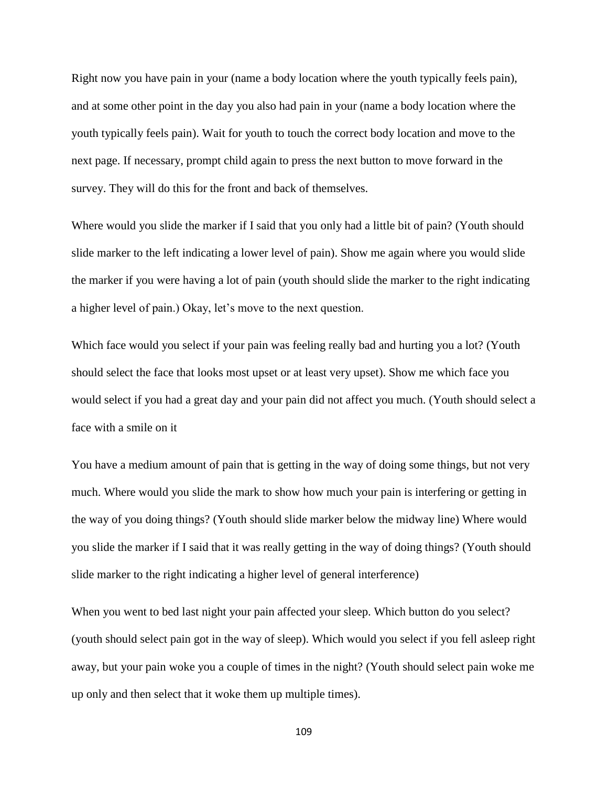Right now you have pain in your (name a body location where the youth typically feels pain), and at some other point in the day you also had pain in your (name a body location where the youth typically feels pain). Wait for youth to touch the correct body location and move to the next page. If necessary, prompt child again to press the next button to move forward in the survey. They will do this for the front and back of themselves.

Where would you slide the marker if I said that you only had a little bit of pain? (Youth should slide marker to the left indicating a lower level of pain). Show me again where you would slide the marker if you were having a lot of pain (youth should slide the marker to the right indicating a higher level of pain.) Okay, let's move to the next question.

Which face would you select if your pain was feeling really bad and hurting you a lot? (Youth should select the face that looks most upset or at least very upset). Show me which face you would select if you had a great day and your pain did not affect you much. (Youth should select a face with a smile on it

You have a medium amount of pain that is getting in the way of doing some things, but not very much. Where would you slide the mark to show how much your pain is interfering or getting in the way of you doing things? (Youth should slide marker below the midway line) Where would you slide the marker if I said that it was really getting in the way of doing things? (Youth should slide marker to the right indicating a higher level of general interference)

When you went to bed last night your pain affected your sleep. Which button do you select? (youth should select pain got in the way of sleep). Which would you select if you fell asleep right away, but your pain woke you a couple of times in the night? (Youth should select pain woke me up only and then select that it woke them up multiple times).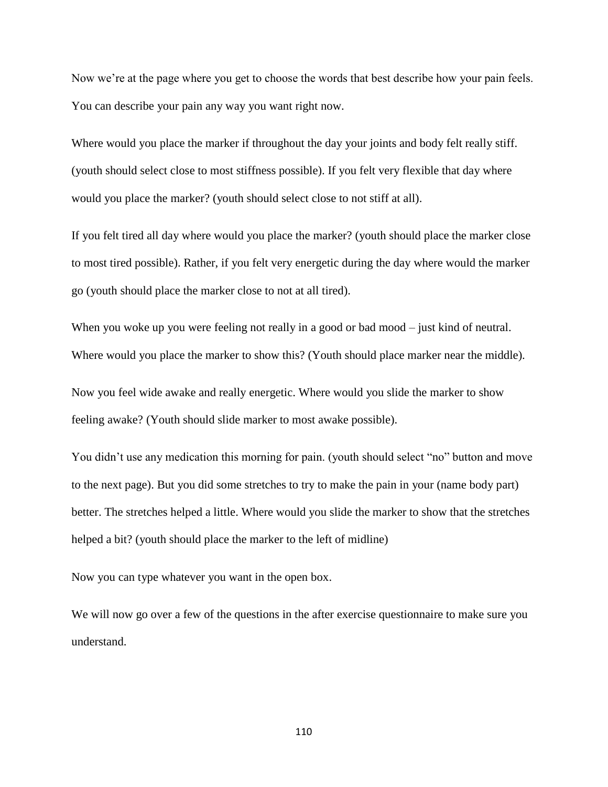Now we're at the page where you get to choose the words that best describe how your pain feels. You can describe your pain any way you want right now.

Where would you place the marker if throughout the day your joints and body felt really stiff. (youth should select close to most stiffness possible). If you felt very flexible that day where would you place the marker? (youth should select close to not stiff at all).

If you felt tired all day where would you place the marker? (youth should place the marker close to most tired possible). Rather, if you felt very energetic during the day where would the marker go (youth should place the marker close to not at all tired).

When you woke up you were feeling not really in a good or bad mood – just kind of neutral. Where would you place the marker to show this? (Youth should place marker near the middle).

Now you feel wide awake and really energetic. Where would you slide the marker to show feeling awake? (Youth should slide marker to most awake possible).

You didn't use any medication this morning for pain. (youth should select "no" button and move to the next page). But you did some stretches to try to make the pain in your (name body part) better. The stretches helped a little. Where would you slide the marker to show that the stretches helped a bit? (youth should place the marker to the left of midline)

Now you can type whatever you want in the open box.

We will now go over a few of the questions in the after exercise questionnaire to make sure you understand.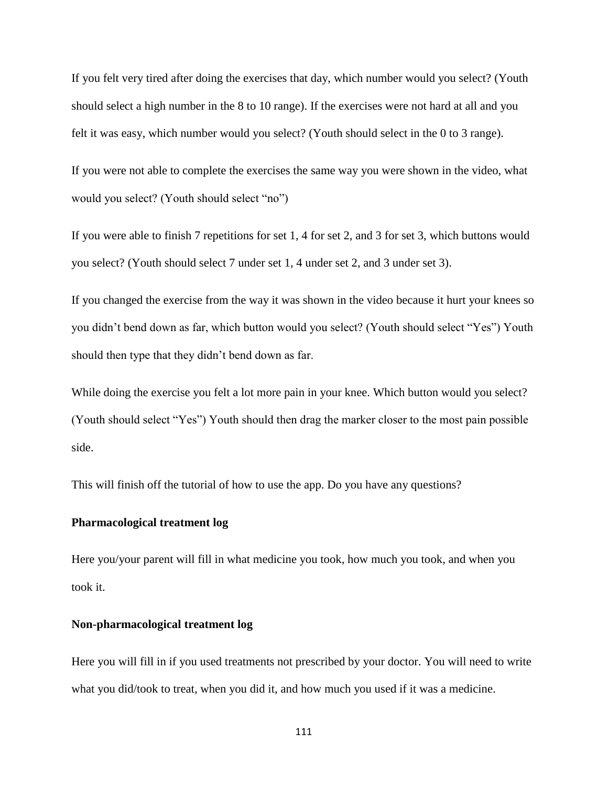If you felt very tired after doing the exercises that day, which number would you select? (Youth should select a high number in the 8 to 10 range). If the exercises were not hard at all and you felt it was easy, which number would you select? (Youth should select in the 0 to 3 range).

If you were not able to complete the exercises the same way you were shown in the video, what would you select? (Youth should select "no")

If you were able to finish 7 repetitions for set 1, 4 for set 2, and 3 for set 3, which buttons would you select? (Youth should select 7 under set 1, 4 under set 2, and 3 under set 3).

If you changed the exercise from the way it was shown in the video because it hurt your knees so you didn"t bend down as far, which button would you select? (Youth should select "Yes") Youth should then type that they didn"t bend down as far.

While doing the exercise you felt a lot more pain in your knee. Which button would you select? (Youth should select "Yes") Youth should then drag the marker closer to the most pain possible side.

This will finish off the tutorial of how to use the app. Do you have any questions?

#### **Pharmacological treatment log**

Here you/your parent will fill in what medicine you took, how much you took, and when you took it.

#### **Non-pharmacological treatment log**

Here you will fill in if you used treatments not prescribed by your doctor. You will need to write what you did/took to treat, when you did it, and how much you used if it was a medicine.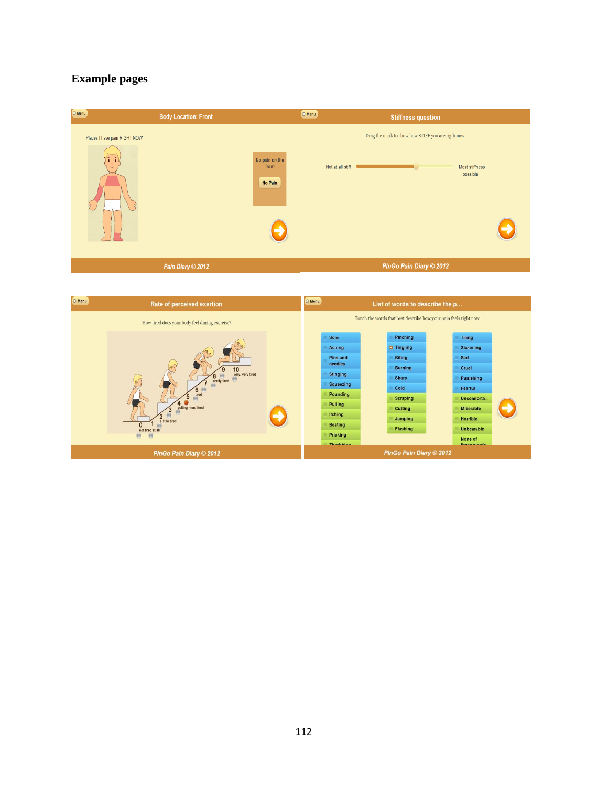### **Example pages**

| Places I have pain RIGHT NOW<br>にこ<br>No pain on the<br>front<br>Not at all stiff<br>No Pain | <b>Stiffness question</b>                                                        |
|----------------------------------------------------------------------------------------------|----------------------------------------------------------------------------------|
|                                                                                              | Drag the mark to show how STIFF you are rigth now.<br>Most stiffness<br>possible |
| Pain Diary © 2012                                                                            | <b>PInGo Pain Diary © 2012</b>                                                   |

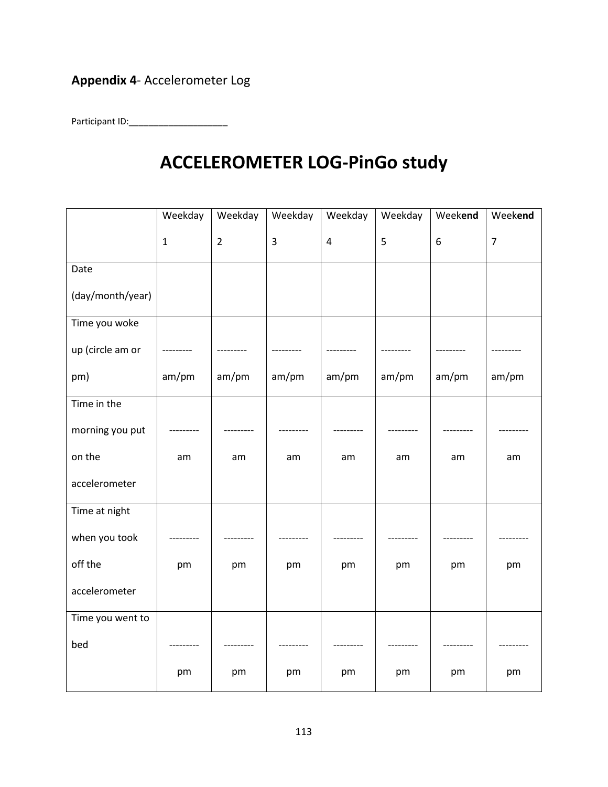# **Appendix 4**- Accelerometer Log

Participant ID:\_\_\_\_\_\_\_\_\_\_\_\_\_\_\_\_\_\_\_\_

# **ACCELEROMETER LOG-PinGo study**

|                  | Weekday      | Weekday        | Weekday | Weekday        | Weekday | Weekend | Weekend        |
|------------------|--------------|----------------|---------|----------------|---------|---------|----------------|
|                  | $\mathbf{1}$ | $\overline{2}$ | 3       | $\overline{4}$ | 5       | $6\,$   | $\overline{7}$ |
| Date             |              |                |         |                |         |         |                |
| (day/month/year) |              |                |         |                |         |         |                |
| Time you woke    |              |                |         |                |         |         |                |
| up (circle am or |              |                |         |                |         |         |                |
| pm)              | am/pm        | am/pm          | am/pm   | am/pm          | am/pm   | am/pm   | am/pm          |
| Time in the      |              |                |         |                |         |         |                |
| morning you put  |              |                |         |                |         |         |                |
| on the           | am           | am             | am      | am             | am      | am      | am             |
| accelerometer    |              |                |         |                |         |         |                |
| Time at night    |              |                |         |                |         |         |                |
| when you took    |              |                |         |                |         |         |                |
| off the          | pm           | pm             | pm      | pm             | pm      | pm      | pm             |
| accelerometer    |              |                |         |                |         |         |                |
| Time you went to |              |                |         |                |         |         |                |
| bed              |              |                |         |                |         |         |                |
|                  | pm           | pm             | pm      | pm             | pm      | pm      | pm             |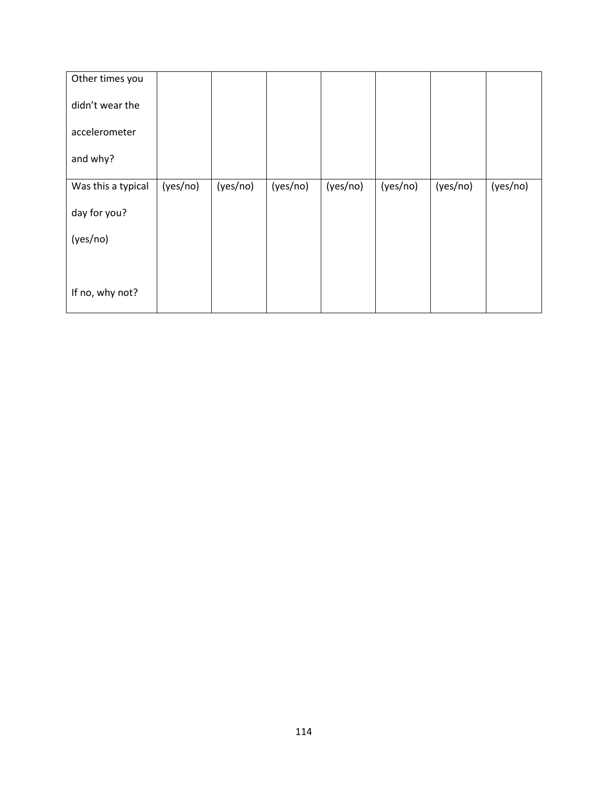| Other times you    |          |          |          |          |          |          |          |
|--------------------|----------|----------|----------|----------|----------|----------|----------|
| didn't wear the    |          |          |          |          |          |          |          |
| accelerometer      |          |          |          |          |          |          |          |
| and why?           |          |          |          |          |          |          |          |
| Was this a typical | (yes/no) | (yes/no) | (yes/no) | (yes/no) | (yes/no) | (yes/no) | (yes/no) |
| day for you?       |          |          |          |          |          |          |          |
| (yes/no)           |          |          |          |          |          |          |          |
|                    |          |          |          |          |          |          |          |
| If no, why not?    |          |          |          |          |          |          |          |